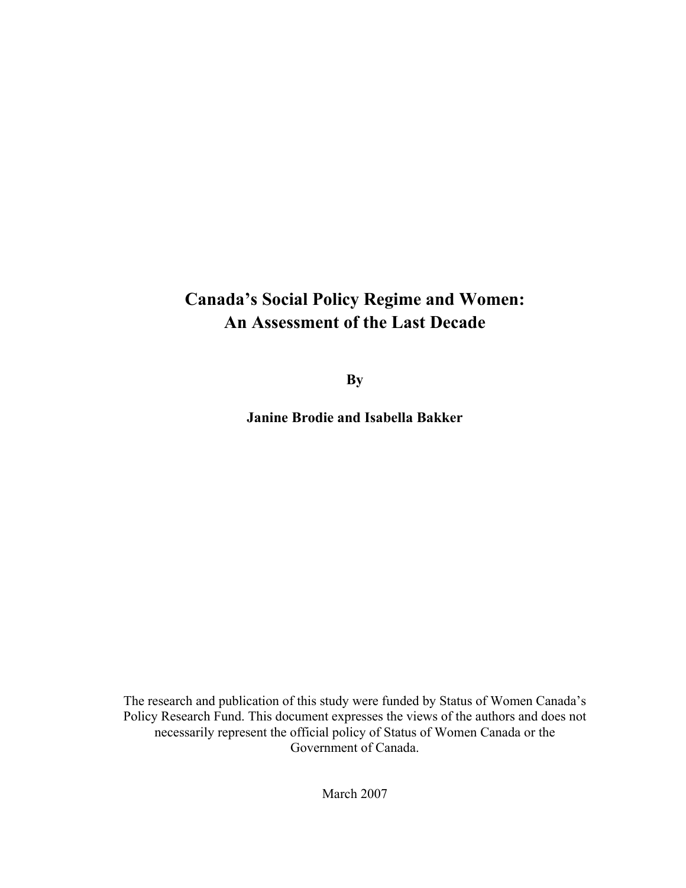# **Canada's Social Policy Regime and Women: An Assessment of the Last Decade**

**By** 

**Janine Brodie and Isabella Bakker** 

The research and publication of this study were funded by Status of Women Canada's Policy Research Fund. This document expresses the views of the authors and does not necessarily represent the official policy of Status of Women Canada or the Government of Canada.

March 2007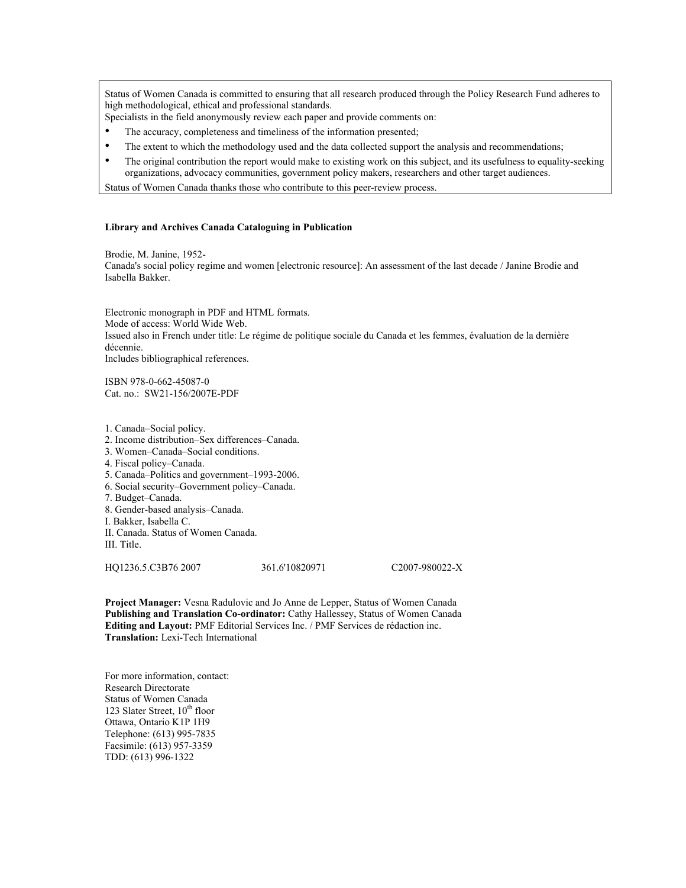Status of Women Canada is committed to ensuring that all research produced through the Policy Research Fund adheres to high methodological, ethical and professional standards.

Specialists in the field anonymously review each paper and provide comments on:

- The accuracy, completeness and timeliness of the information presented;
- The extent to which the methodology used and the data collected support the analysis and recommendations;
- The original contribution the report would make to existing work on this subject, and its usefulness to equality-seeking organizations, advocacy communities, government policy makers, researchers and other target audiences.

Status of Women Canada thanks those who contribute to this peer-review process.

#### **Library and Archives Canada Cataloguing in Publication**

Brodie, M. Janine, 1952-

Canada's social policy regime and women [electronic resource]: An assessment of the last decade / Janine Brodie and Isabella Bakker.

Electronic monograph in PDF and HTML formats. Mode of access: World Wide Web. Issued also in French under title: Le régime de politique sociale du Canada et les femmes, évaluation de la dernière décennie. Includes bibliographical references.

ISBN 978-0-662-45087-0 Cat. no.: SW21-156/2007E-PDF

1. Canada–Social policy.

2. Income distribution–Sex differences–Canada.

3. Women–Canada–Social conditions.

4. Fiscal policy–Canada.

5. Canada–Politics and government–1993-2006.

- 6. Social security–Government policy–Canada.
- 7. Budget–Canada.

8. Gender-based analysis–Canada.

I. Bakker, Isabella C.

II. Canada. Status of Women Canada.

III. Title.

HQ1236.5.C3B76 2007 361.6'10820971 C2007-980022-X

**Project Manager:** Vesna Radulovic and Jo Anne de Lepper, Status of Women Canada **Publishing and Translation Co-ordinator:** Cathy Hallessey, Status of Women Canada **Editing and Layout:** PMF Editorial Services Inc. / PMF Services de rédaction inc. **Translation:** Lexi-Tech International

For more information, contact: Research Directorate Status of Women Canada 123 Slater Street,  $10^{th}$  floor Ottawa, Ontario K1P 1H9 Telephone: (613) 995-7835 Facsimile: (613) 957-3359 TDD: (613) 996-1322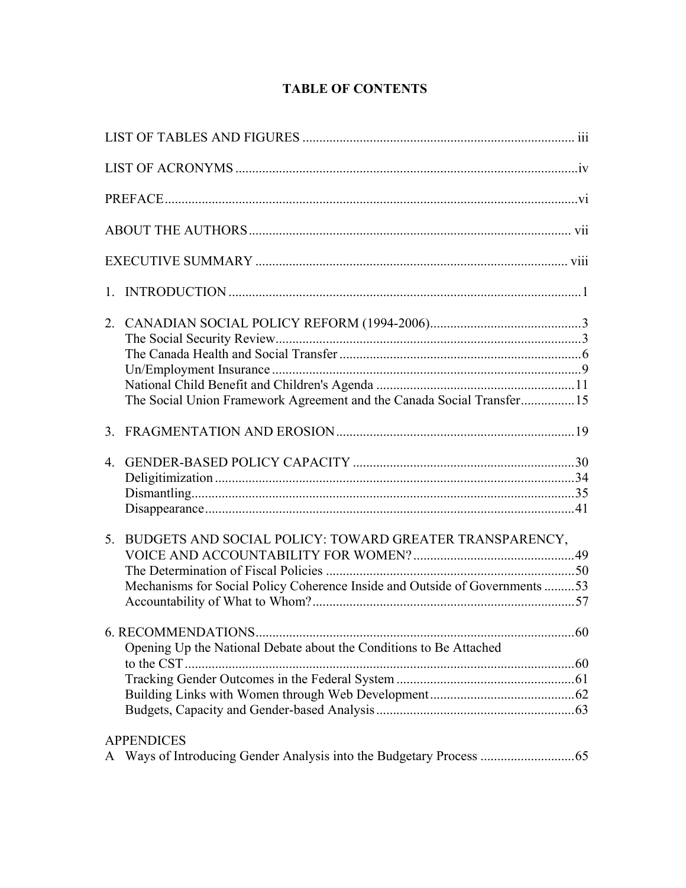## **TABLE OF CONTENTS**

|                | The Social Union Framework Agreement and the Canada Social Transfer15       |  |
|----------------|-----------------------------------------------------------------------------|--|
|                |                                                                             |  |
| $\overline{4}$ |                                                                             |  |
|                |                                                                             |  |
|                |                                                                             |  |
|                |                                                                             |  |
| 5.             | BUDGETS AND SOCIAL POLICY: TOWARD GREATER TRANSPARENCY,                     |  |
|                |                                                                             |  |
|                | Mechanisms for Social Policy Coherence Inside and Outside of Governments 53 |  |
|                |                                                                             |  |
|                | 60                                                                          |  |
|                | Opening Up the National Debate about the Conditions to Be Attached          |  |
|                |                                                                             |  |
|                |                                                                             |  |
|                |                                                                             |  |
|                |                                                                             |  |
|                | <b>APPENDICES</b>                                                           |  |
| A              |                                                                             |  |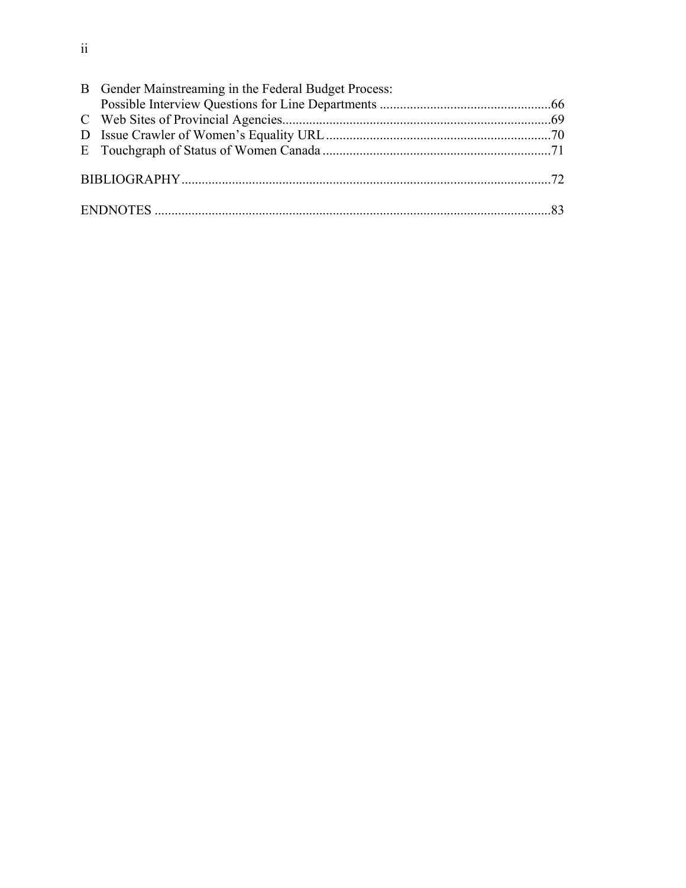| B Gender Mainstreaming in the Federal Budget Process: |  |
|-------------------------------------------------------|--|
|                                                       |  |
|                                                       |  |
|                                                       |  |
|                                                       |  |
|                                                       |  |
|                                                       |  |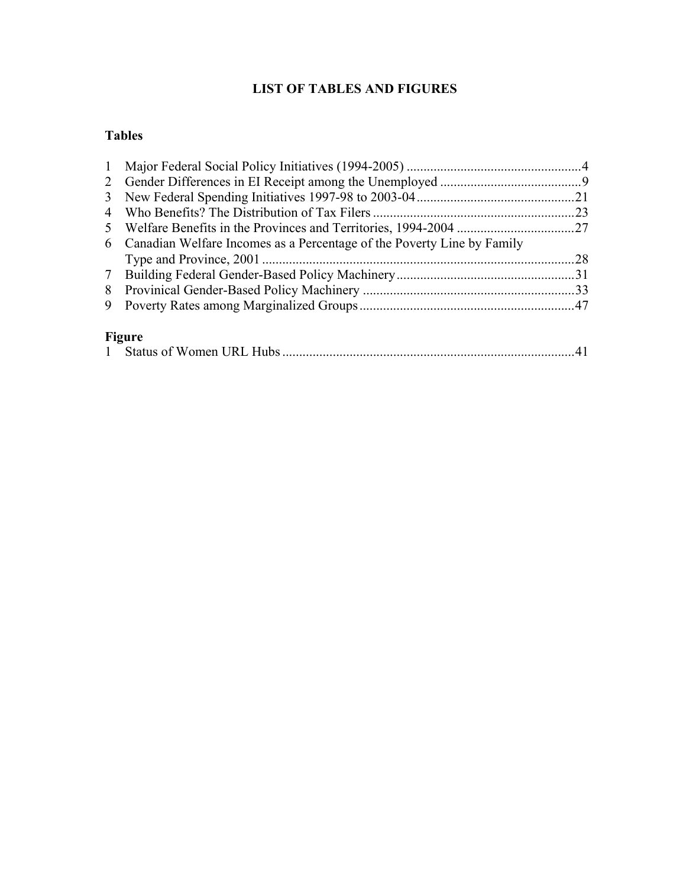## **LIST OF TABLES AND FIGURES**

## **Tables**

| 3 |                                                                        |  |
|---|------------------------------------------------------------------------|--|
| 4 |                                                                        |  |
| 5 |                                                                        |  |
| 6 | Canadian Welfare Incomes as a Percentage of the Poverty Line by Family |  |
|   |                                                                        |  |
|   |                                                                        |  |
| 8 |                                                                        |  |
| 9 |                                                                        |  |
|   |                                                                        |  |
|   | Figure                                                                 |  |
|   |                                                                        |  |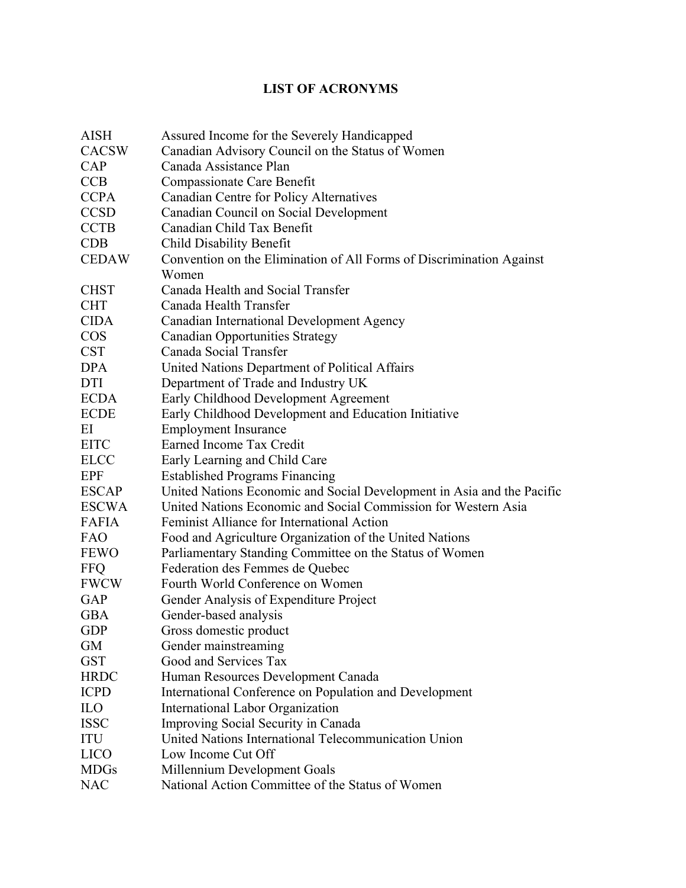## **LIST OF ACRONYMS**

| <b>AISH</b>     | Assured Income for the Severely Handicapped                            |
|-----------------|------------------------------------------------------------------------|
| CACSW           | Canadian Advisory Council on the Status of Women                       |
| CAP             | Canada Assistance Plan                                                 |
| <b>CCB</b>      | Compassionate Care Benefit                                             |
| <b>CCPA</b>     | Canadian Centre for Policy Alternatives                                |
| <b>CCSD</b>     | Canadian Council on Social Development                                 |
| <b>CCTB</b>     | Canadian Child Tax Benefit                                             |
| <b>CDB</b>      | <b>Child Disability Benefit</b>                                        |
| <b>CEDAW</b>    | Convention on the Elimination of All Forms of Discrimination Against   |
|                 | Women                                                                  |
| <b>CHST</b>     | Canada Health and Social Transfer                                      |
| <b>CHT</b>      | Canada Health Transfer                                                 |
| <b>CIDA</b>     | <b>Canadian International Development Agency</b>                       |
| <b>COS</b>      | <b>Canadian Opportunities Strategy</b>                                 |
| <b>CST</b>      | Canada Social Transfer                                                 |
| <b>DPA</b>      | United Nations Department of Political Affairs                         |
| <b>DTI</b>      | Department of Trade and Industry UK                                    |
| <b>ECDA</b>     | Early Childhood Development Agreement                                  |
| <b>ECDE</b>     | Early Childhood Development and Education Initiative                   |
| ΕI              | <b>Employment Insurance</b>                                            |
| <b>EITC</b>     | Earned Income Tax Credit                                               |
| <b>ELCC</b>     | Early Learning and Child Care                                          |
| <b>EPF</b>      | <b>Established Programs Financing</b>                                  |
| <b>ESCAP</b>    | United Nations Economic and Social Development in Asia and the Pacific |
| <b>ESCWA</b>    | United Nations Economic and Social Commission for Western Asia         |
| <b>FAFIA</b>    | Feminist Alliance for International Action                             |
| <b>FAO</b>      | Food and Agriculture Organization of the United Nations                |
| <b>FEWO</b>     | Parliamentary Standing Committee on the Status of Women                |
| <b>FFQ</b>      | Federation des Femmes de Quebec                                        |
| <b>FWCW</b>     | Fourth World Conference on Women                                       |
| GAP             | Gender Analysis of Expenditure Project                                 |
| <b>GBA</b>      | Gender-based analysis                                                  |
| <b>GDP</b>      | Gross domestic product                                                 |
| <b>GM</b>       | Gender mainstreaming                                                   |
| <b>GST</b>      | Good and Services Tax                                                  |
| <b>HRDC</b>     | Human Resources Development Canada                                     |
| <b>ICPD</b>     | International Conference on Population and Development                 |
| IL <sub>O</sub> | <b>International Labor Organization</b>                                |
| <b>ISSC</b>     | Improving Social Security in Canada                                    |
| ITU             | United Nations International Telecommunication Union                   |
| <b>LICO</b>     | Low Income Cut Off                                                     |
| <b>MDGs</b>     | Millennium Development Goals                                           |
| <b>NAC</b>      | National Action Committee of the Status of Women                       |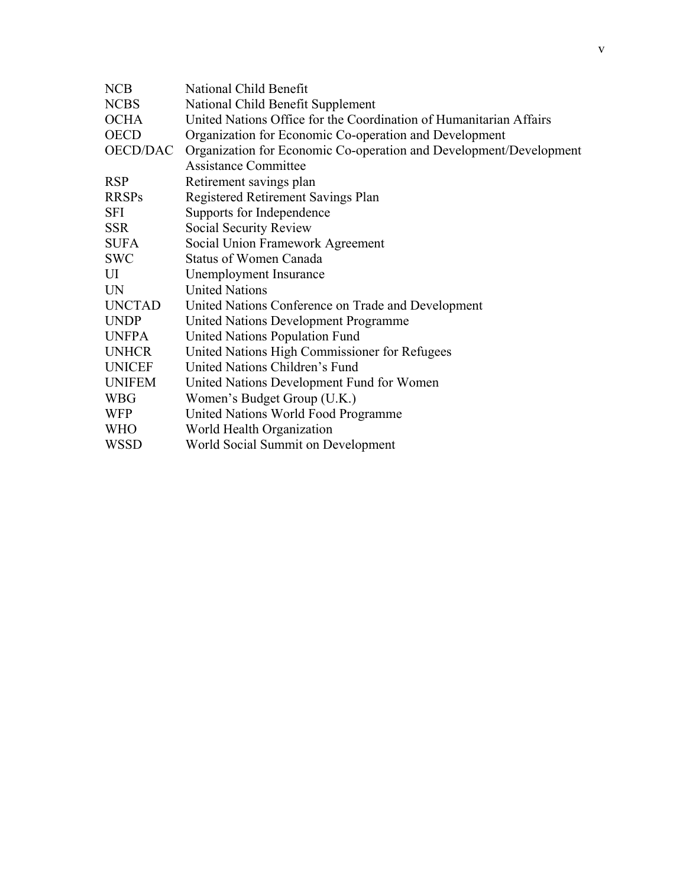| <b>NCB</b>    | National Child Benefit                                             |
|---------------|--------------------------------------------------------------------|
| <b>NCBS</b>   | National Child Benefit Supplement                                  |
| <b>OCHA</b>   | United Nations Office for the Coordination of Humanitarian Affairs |
| <b>OECD</b>   | Organization for Economic Co-operation and Development             |
| OECD/DAC      | Organization for Economic Co-operation and Development/Development |
|               | <b>Assistance Committee</b>                                        |
| <b>RSP</b>    | Retirement savings plan                                            |
| <b>RRSPs</b>  | Registered Retirement Savings Plan                                 |
| <b>SFI</b>    | Supports for Independence                                          |
| <b>SSR</b>    | Social Security Review                                             |
| <b>SUFA</b>   | Social Union Framework Agreement                                   |
| <b>SWC</b>    | <b>Status of Women Canada</b>                                      |
| UI            | Unemployment Insurance                                             |
| <b>UN</b>     | <b>United Nations</b>                                              |
| <b>UNCTAD</b> | United Nations Conference on Trade and Development                 |
| <b>UNDP</b>   | United Nations Development Programme                               |
| <b>UNFPA</b>  | United Nations Population Fund                                     |
| <b>UNHCR</b>  | United Nations High Commissioner for Refugees                      |
| <b>UNICEF</b> | United Nations Children's Fund                                     |
| <b>UNIFEM</b> | United Nations Development Fund for Women                          |
| <b>WBG</b>    | Women's Budget Group (U.K.)                                        |
| <b>WFP</b>    | United Nations World Food Programme                                |
| <b>WHO</b>    | World Health Organization                                          |
| <b>WSSD</b>   | World Social Summit on Development                                 |
|               |                                                                    |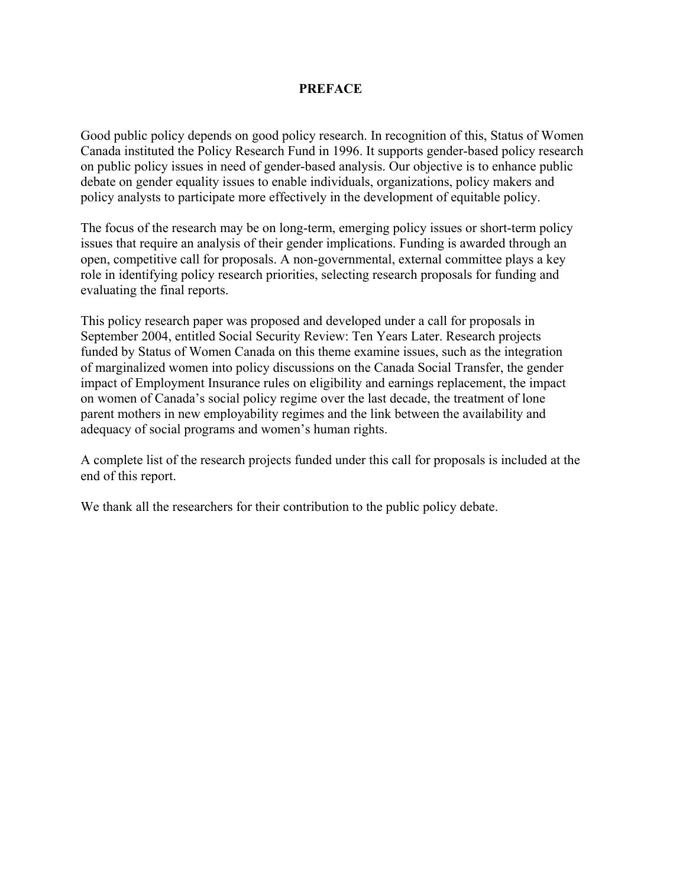### **PREFACE**

Good public policy depends on good policy research. In recognition of this, Status of Women Canada instituted the Policy Research Fund in 1996. It supports gender-based policy research on public policy issues in need of gender-based analysis. Our objective is to enhance public debate on gender equality issues to enable individuals, organizations, policy makers and policy analysts to participate more effectively in the development of equitable policy.

The focus of the research may be on long-term, emerging policy issues or short-term policy issues that require an analysis of their gender implications. Funding is awarded through an open, competitive call for proposals. A non-governmental, external committee plays a key role in identifying policy research priorities, selecting research proposals for funding and evaluating the final reports.

This policy research paper was proposed and developed under a call for proposals in September 2004, entitled Social Security Review: Ten Years Later. Research projects funded by Status of Women Canada on this theme examine issues, such as the integration of marginalized women into policy discussions on the Canada Social Transfer, the gender impact of Employment Insurance rules on eligibility and earnings replacement, the impact on women of Canada's social policy regime over the last decade, the treatment of lone parent mothers in new employability regimes and the link between the availability and adequacy of social programs and women's human rights.

A complete list of the research projects funded under this call for proposals is included at the end of this report.

We thank all the researchers for their contribution to the public policy debate.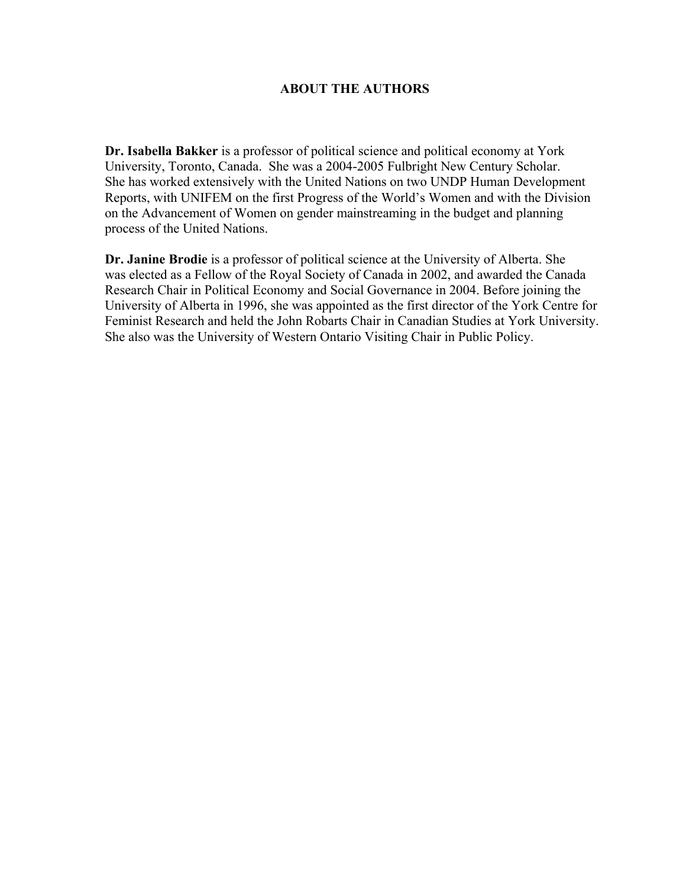## **ABOUT THE AUTHORS**

**Dr. Isabella Bakker** is a professor of political science and political economy at York University, Toronto, Canada. She was a 2004-2005 Fulbright New Century Scholar. She has worked extensively with the United Nations on two UNDP Human Development Reports, with UNIFEM on the first Progress of the World's Women and with the Division on the Advancement of Women on gender mainstreaming in the budget and planning process of the United Nations.

**Dr. Janine Brodie** is a professor of political science at the University of Alberta. She was elected as a Fellow of the Royal Society of Canada in 2002, and awarded the Canada Research Chair in Political Economy and Social Governance in 2004. Before joining the University of Alberta in 1996, she was appointed as the first director of the York Centre for Feminist Research and held the John Robarts Chair in Canadian Studies at York University. She also was the University of Western Ontario Visiting Chair in Public Policy.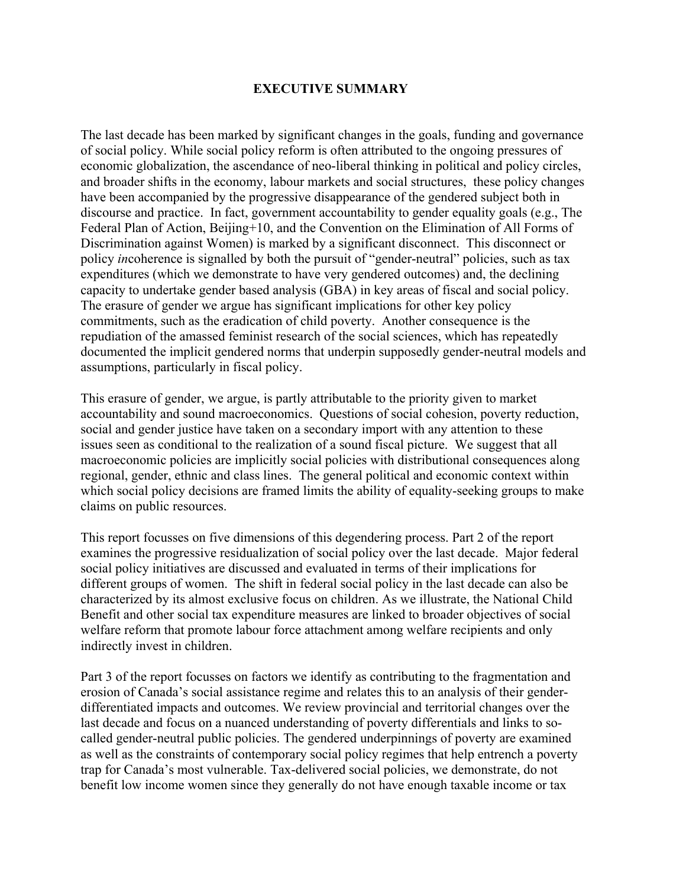### **EXECUTIVE SUMMARY**

The last decade has been marked by significant changes in the goals, funding and governance of social policy. While social policy reform is often attributed to the ongoing pressures of economic globalization, the ascendance of neo-liberal thinking in political and policy circles, and broader shifts in the economy, labour markets and social structures, these policy changes have been accompanied by the progressive disappearance of the gendered subject both in discourse and practice. In fact, government accountability to gender equality goals (e.g., The Federal Plan of Action, Beijing+10, and the Convention on the Elimination of All Forms of Discrimination against Women) is marked by a significant disconnect. This disconnect or policy *in*coherence is signalled by both the pursuit of "gender-neutral" policies, such as tax expenditures (which we demonstrate to have very gendered outcomes) and, the declining capacity to undertake gender based analysis (GBA) in key areas of fiscal and social policy. The erasure of gender we argue has significant implications for other key policy commitments, such as the eradication of child poverty. Another consequence is the repudiation of the amassed feminist research of the social sciences, which has repeatedly documented the implicit gendered norms that underpin supposedly gender-neutral models and assumptions, particularly in fiscal policy.

This erasure of gender, we argue, is partly attributable to the priority given to market accountability and sound macroeconomics. Questions of social cohesion, poverty reduction, social and gender justice have taken on a secondary import with any attention to these issues seen as conditional to the realization of a sound fiscal picture. We suggest that all macroeconomic policies are implicitly social policies with distributional consequences along regional, gender, ethnic and class lines. The general political and economic context within which social policy decisions are framed limits the ability of equality-seeking groups to make claims on public resources.

This report focusses on five dimensions of this degendering process. Part 2 of the report examines the progressive residualization of social policy over the last decade. Major federal social policy initiatives are discussed and evaluated in terms of their implications for different groups of women. The shift in federal social policy in the last decade can also be characterized by its almost exclusive focus on children. As we illustrate, the National Child Benefit and other social tax expenditure measures are linked to broader objectives of social welfare reform that promote labour force attachment among welfare recipients and only indirectly invest in children.

Part 3 of the report focusses on factors we identify as contributing to the fragmentation and erosion of Canada's social assistance regime and relates this to an analysis of their genderdifferentiated impacts and outcomes. We review provincial and territorial changes over the last decade and focus on a nuanced understanding of poverty differentials and links to socalled gender-neutral public policies. The gendered underpinnings of poverty are examined as well as the constraints of contemporary social policy regimes that help entrench a poverty trap for Canada's most vulnerable. Tax-delivered social policies, we demonstrate, do not benefit low income women since they generally do not have enough taxable income or tax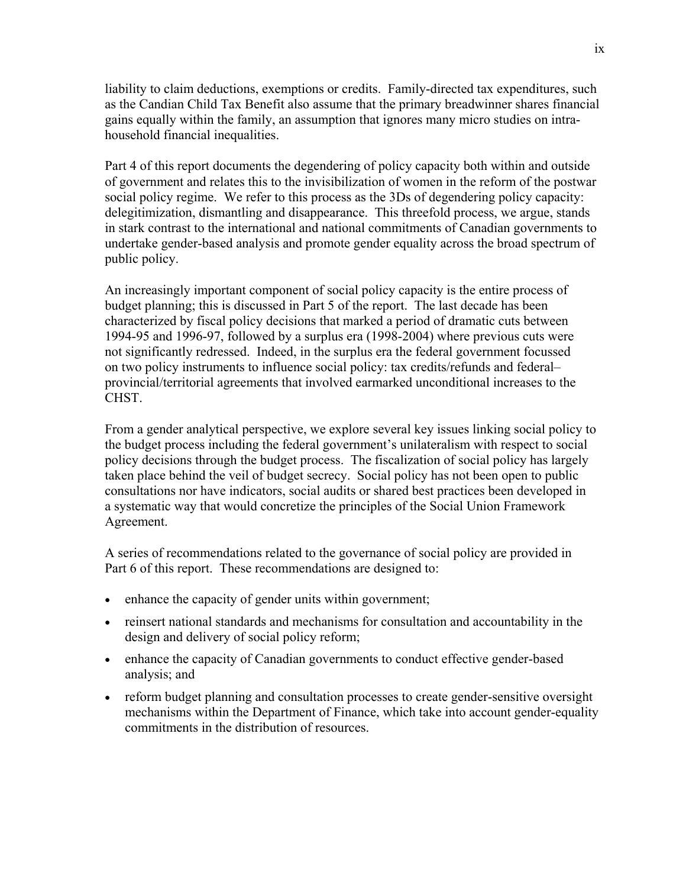liability to claim deductions, exemptions or credits. Family-directed tax expenditures, such as the Candian Child Tax Benefit also assume that the primary breadwinner shares financial gains equally within the family, an assumption that ignores many micro studies on intrahousehold financial inequalities.

Part 4 of this report documents the degendering of policy capacity both within and outside of government and relates this to the invisibilization of women in the reform of the postwar social policy regime. We refer to this process as the 3Ds of degendering policy capacity: delegitimization, dismantling and disappearance. This threefold process, we argue, stands in stark contrast to the international and national commitments of Canadian governments to undertake gender-based analysis and promote gender equality across the broad spectrum of public policy.

An increasingly important component of social policy capacity is the entire process of budget planning; this is discussed in Part 5 of the report. The last decade has been characterized by fiscal policy decisions that marked a period of dramatic cuts between 1994-95 and 1996-97, followed by a surplus era (1998-2004) where previous cuts were not significantly redressed. Indeed, in the surplus era the federal government focussed on two policy instruments to influence social policy: tax credits/refunds and federal– provincial/territorial agreements that involved earmarked unconditional increases to the CHST.

From a gender analytical perspective, we explore several key issues linking social policy to the budget process including the federal government's unilateralism with respect to social policy decisions through the budget process. The fiscalization of social policy has largely taken place behind the veil of budget secrecy. Social policy has not been open to public consultations nor have indicators, social audits or shared best practices been developed in a systematic way that would concretize the principles of the Social Union Framework Agreement.

A series of recommendations related to the governance of social policy are provided in Part 6 of this report. These recommendations are designed to:

- enhance the capacity of gender units within government;
- reinsert national standards and mechanisms for consultation and accountability in the design and delivery of social policy reform;
- enhance the capacity of Canadian governments to conduct effective gender-based analysis; and
- reform budget planning and consultation processes to create gender-sensitive oversight mechanisms within the Department of Finance, which take into account gender-equality commitments in the distribution of resources.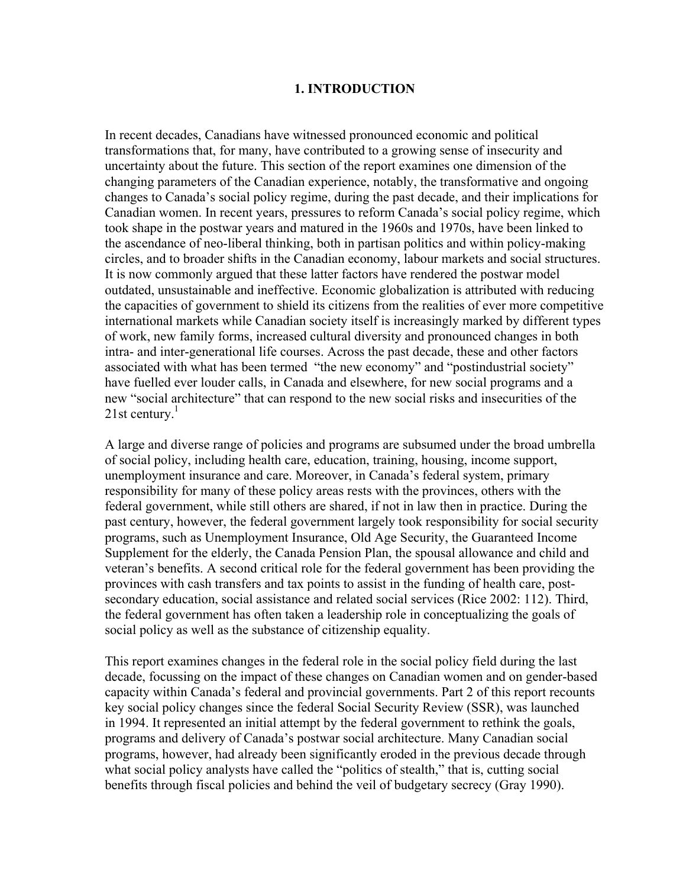#### **1. INTRODUCTION**

In recent decades, Canadians have witnessed pronounced economic and political transformations that, for many, have contributed to a growing sense of insecurity and uncertainty about the future. This section of the report examines one dimension of the changing parameters of the Canadian experience, notably, the transformative and ongoing changes to Canada's social policy regime, during the past decade, and their implications for Canadian women. In recent years, pressures to reform Canada's social policy regime, which took shape in the postwar years and matured in the 1960s and 1970s, have been linked to the ascendance of neo-liberal thinking, both in partisan politics and within policy-making circles, and to broader shifts in the Canadian economy, labour markets and social structures. It is now commonly argued that these latter factors have rendered the postwar model outdated, unsustainable and ineffective. Economic globalization is attributed with reducing the capacities of government to shield its citizens from the realities of ever more competitive international markets while Canadian society itself is increasingly marked by different types of work, new family forms, increased cultural diversity and pronounced changes in both intra- and inter-generational life courses. Across the past decade, these and other factors associated with what has been termed "the new economy" and "postindustrial society" have fuelled ever louder calls, in Canada and elsewhere, for new social programs and a new "social architecture" that can respond to the new social risks and insecurities of the 21st century. $1$ 

A large and diverse range of policies and programs are subsumed under the broad umbrella of social policy, including health care, education, training, housing, income support, unemployment insurance and care. Moreover, in Canada's federal system, primary responsibility for many of these policy areas rests with the provinces, others with the federal government, while still others are shared, if not in law then in practice. During the past century, however, the federal government largely took responsibility for social security programs, such as Unemployment Insurance, Old Age Security, the Guaranteed Income Supplement for the elderly, the Canada Pension Plan, the spousal allowance and child and veteran's benefits. A second critical role for the federal government has been providing the provinces with cash transfers and tax points to assist in the funding of health care, postsecondary education, social assistance and related social services (Rice 2002: 112). Third, the federal government has often taken a leadership role in conceptualizing the goals of social policy as well as the substance of citizenship equality.

This report examines changes in the federal role in the social policy field during the last decade, focussing on the impact of these changes on Canadian women and on gender-based capacity within Canada's federal and provincial governments. Part 2 of this report recounts key social policy changes since the federal Social Security Review (SSR), was launched in 1994. It represented an initial attempt by the federal government to rethink the goals, programs and delivery of Canada's postwar social architecture. Many Canadian social programs, however, had already been significantly eroded in the previous decade through what social policy analysts have called the "politics of stealth," that is, cutting social benefits through fiscal policies and behind the veil of budgetary secrecy (Gray 1990).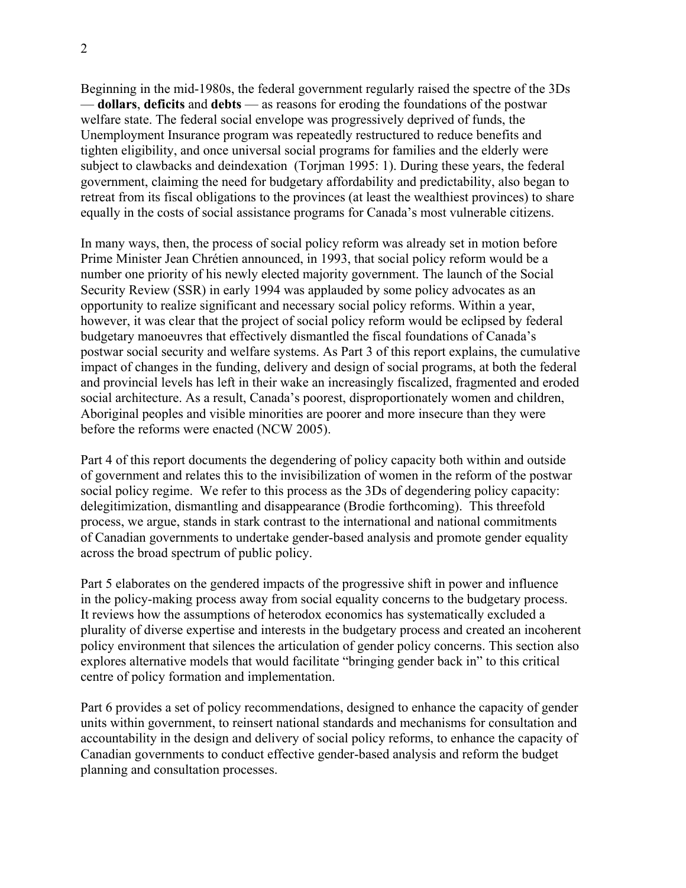Beginning in the mid-1980s, the federal government regularly raised the spectre of the 3Ds — **dollars**, **deficits** and **debts** — as reasons for eroding the foundations of the postwar welfare state. The federal social envelope was progressively deprived of funds, the Unemployment Insurance program was repeatedly restructured to reduce benefits and tighten eligibility, and once universal social programs for families and the elderly were subject to clawbacks and deindexation (Torjman 1995: 1). During these years, the federal government, claiming the need for budgetary affordability and predictability, also began to retreat from its fiscal obligations to the provinces (at least the wealthiest provinces) to share equally in the costs of social assistance programs for Canada's most vulnerable citizens.

In many ways, then, the process of social policy reform was already set in motion before Prime Minister Jean Chrétien announced, in 1993, that social policy reform would be a number one priority of his newly elected majority government. The launch of the Social Security Review (SSR) in early 1994 was applauded by some policy advocates as an opportunity to realize significant and necessary social policy reforms. Within a year, however, it was clear that the project of social policy reform would be eclipsed by federal budgetary manoeuvres that effectively dismantled the fiscal foundations of Canada's postwar social security and welfare systems. As Part 3 of this report explains, the cumulative impact of changes in the funding, delivery and design of social programs, at both the federal and provincial levels has left in their wake an increasingly fiscalized, fragmented and eroded social architecture. As a result, Canada's poorest, disproportionately women and children, Aboriginal peoples and visible minorities are poorer and more insecure than they were before the reforms were enacted (NCW 2005).

Part 4 of this report documents the degendering of policy capacity both within and outside of government and relates this to the invisibilization of women in the reform of the postwar social policy regime. We refer to this process as the 3Ds of degendering policy capacity: delegitimization, dismantling and disappearance (Brodie forthcoming). This threefold process, we argue, stands in stark contrast to the international and national commitments of Canadian governments to undertake gender-based analysis and promote gender equality across the broad spectrum of public policy.

Part 5 elaborates on the gendered impacts of the progressive shift in power and influence in the policy-making process away from social equality concerns to the budgetary process. It reviews how the assumptions of heterodox economics has systematically excluded a plurality of diverse expertise and interests in the budgetary process and created an incoherent policy environment that silences the articulation of gender policy concerns. This section also explores alternative models that would facilitate "bringing gender back in" to this critical centre of policy formation and implementation.

Part 6 provides a set of policy recommendations, designed to enhance the capacity of gender units within government, to reinsert national standards and mechanisms for consultation and accountability in the design and delivery of social policy reforms, to enhance the capacity of Canadian governments to conduct effective gender-based analysis and reform the budget planning and consultation processes.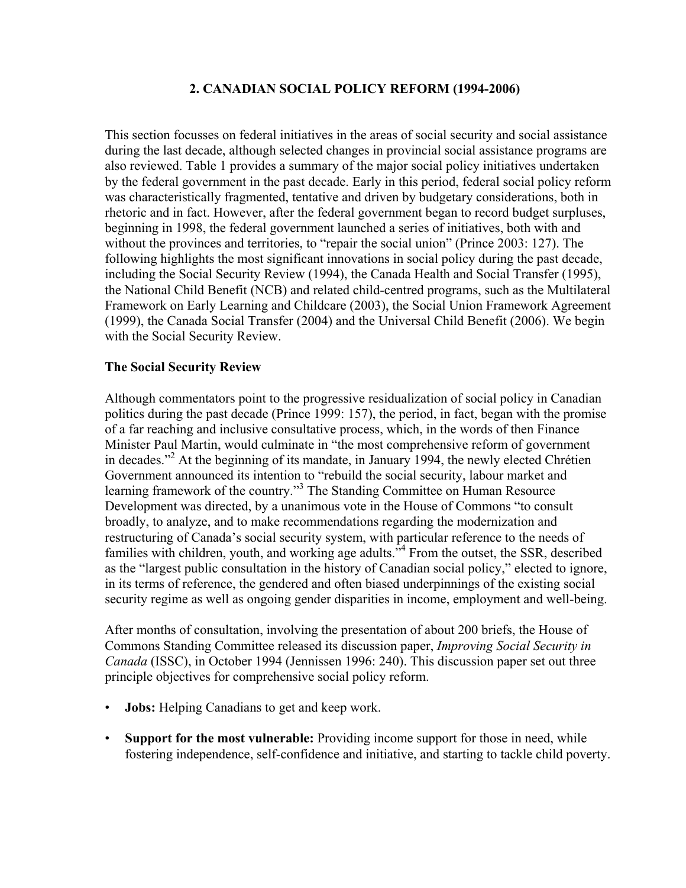## **2. CANADIAN SOCIAL POLICY REFORM (1994-2006)**

This section focusses on federal initiatives in the areas of social security and social assistance during the last decade, although selected changes in provincial social assistance programs are also reviewed. Table 1 provides a summary of the major social policy initiatives undertaken by the federal government in the past decade. Early in this period, federal social policy reform was characteristically fragmented, tentative and driven by budgetary considerations, both in rhetoric and in fact. However, after the federal government began to record budget surpluses, beginning in 1998, the federal government launched a series of initiatives, both with and without the provinces and territories, to "repair the social union" (Prince 2003: 127). The following highlights the most significant innovations in social policy during the past decade, including the Social Security Review (1994), the Canada Health and Social Transfer (1995), the National Child Benefit (NCB) and related child-centred programs, such as the Multilateral Framework on Early Learning and Childcare (2003), the Social Union Framework Agreement (1999), the Canada Social Transfer (2004) and the Universal Child Benefit (2006). We begin with the Social Security Review.

## **The Social Security Review**

Although commentators point to the progressive residualization of social policy in Canadian politics during the past decade (Prince 1999: 157), the period, in fact, began with the promise of a far reaching and inclusive consultative process, which, in the words of then Finance Minister Paul Martin, would culminate in "the most comprehensive reform of government in decades."<sup>2</sup> At the beginning of its mandate, in January 1994, the newly elected Chrétien Government announced its intention to "rebuild the social security, labour market and learning framework of the country."<sup>3</sup> The Standing Committee on Human Resource Development was directed, by a unanimous vote in the House of Commons "to consult broadly, to analyze, and to make recommendations regarding the modernization and restructuring of Canada's social security system, with particular reference to the needs of families with children, youth, and working age adults.<sup>34</sup> From the outset, the SSR, described as the "largest public consultation in the history of Canadian social policy," elected to ignore, in its terms of reference, the gendered and often biased underpinnings of the existing social security regime as well as ongoing gender disparities in income, employment and well-being.

After months of consultation, involving the presentation of about 200 briefs, the House of Commons Standing Committee released its discussion paper, *Improving Social Security in Canada* (ISSC), in October 1994 (Jennissen 1996: 240). This discussion paper set out three principle objectives for comprehensive social policy reform.

- **Jobs:** Helping Canadians to get and keep work.
- **Support for the most vulnerable:** Providing income support for those in need, while fostering independence, self-confidence and initiative, and starting to tackle child poverty.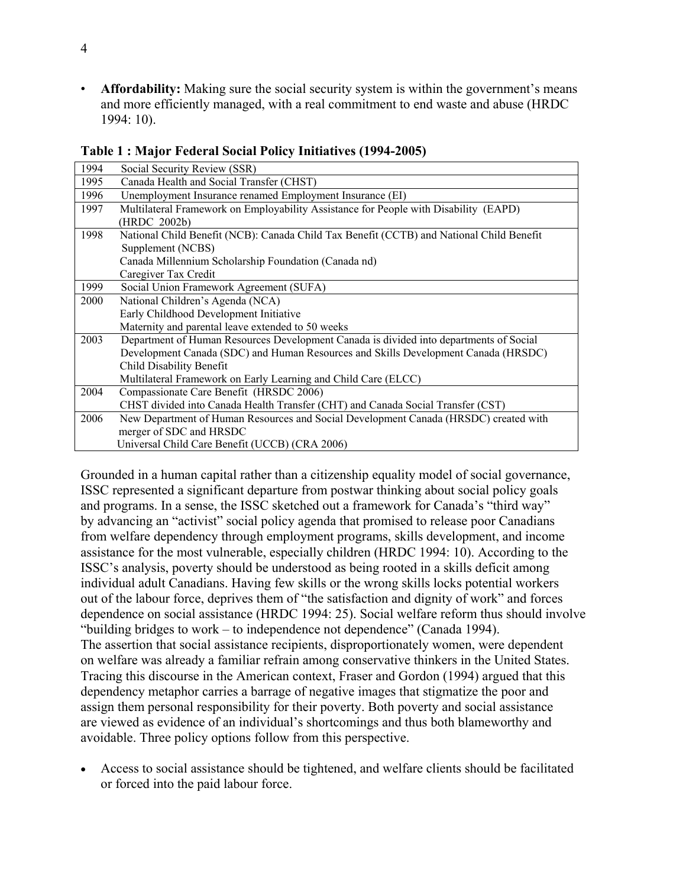• **Affordability:** Making sure the social security system is within the government's means and more efficiently managed, with a real commitment to end waste and abuse (HRDC 1994: 10).

| Table 1 : Major Federal Social Policy Initiatives (1994-2005) |  |  |
|---------------------------------------------------------------|--|--|
|---------------------------------------------------------------|--|--|

| 1994 | Social Security Review (SSR)                                                             |
|------|------------------------------------------------------------------------------------------|
| 1995 | Canada Health and Social Transfer (CHST)                                                 |
| 1996 | Unemployment Insurance renamed Employment Insurance (EI)                                 |
| 1997 | Multilateral Framework on Employability Assistance for People with Disability (EAPD)     |
|      | (HRDC 2002b)                                                                             |
| 1998 | National Child Benefit (NCB): Canada Child Tax Benefit (CCTB) and National Child Benefit |
|      | Supplement (NCBS)                                                                        |
|      | Canada Millennium Scholarship Foundation (Canada nd)                                     |
|      | Caregiver Tax Credit                                                                     |
| 1999 | Social Union Framework Agreement (SUFA)                                                  |
| 2000 | National Children's Agenda (NCA)                                                         |
|      | Early Childhood Development Initiative                                                   |
|      | Maternity and parental leave extended to 50 weeks                                        |
| 2003 | Department of Human Resources Development Canada is divided into departments of Social   |
|      | Development Canada (SDC) and Human Resources and Skills Development Canada (HRSDC)       |
|      | Child Disability Benefit                                                                 |
|      | Multilateral Framework on Early Learning and Child Care (ELCC)                           |
| 2004 | Compassionate Care Benefit (HRSDC 2006)                                                  |
|      | CHST divided into Canada Health Transfer (CHT) and Canada Social Transfer (CST)          |
| 2006 | New Department of Human Resources and Social Development Canada (HRSDC) created with     |
|      | merger of SDC and HRSDC                                                                  |
|      | Universal Child Care Benefit (UCCB) (CRA 2006)                                           |

Grounded in a human capital rather than a citizenship equality model of social governance, ISSC represented a significant departure from postwar thinking about social policy goals and programs. In a sense, the ISSC sketched out a framework for Canada's "third way" by advancing an "activist" social policy agenda that promised to release poor Canadians from welfare dependency through employment programs, skills development, and income assistance for the most vulnerable, especially children (HRDC 1994: 10). According to the ISSC's analysis, poverty should be understood as being rooted in a skills deficit among individual adult Canadians. Having few skills or the wrong skills locks potential workers out of the labour force, deprives them of "the satisfaction and dignity of work" and forces dependence on social assistance (HRDC 1994: 25). Social welfare reform thus should involve "building bridges to work – to independence not dependence" (Canada 1994). The assertion that social assistance recipients, disproportionately women, were dependent on welfare was already a familiar refrain among conservative thinkers in the United States. Tracing this discourse in the American context, Fraser and Gordon (1994) argued that this dependency metaphor carries a barrage of negative images that stigmatize the poor and assign them personal responsibility for their poverty. Both poverty and social assistance are viewed as evidence of an individual's shortcomings and thus both blameworthy and avoidable. Three policy options follow from this perspective.

• Access to social assistance should be tightened, and welfare clients should be facilitated or forced into the paid labour force.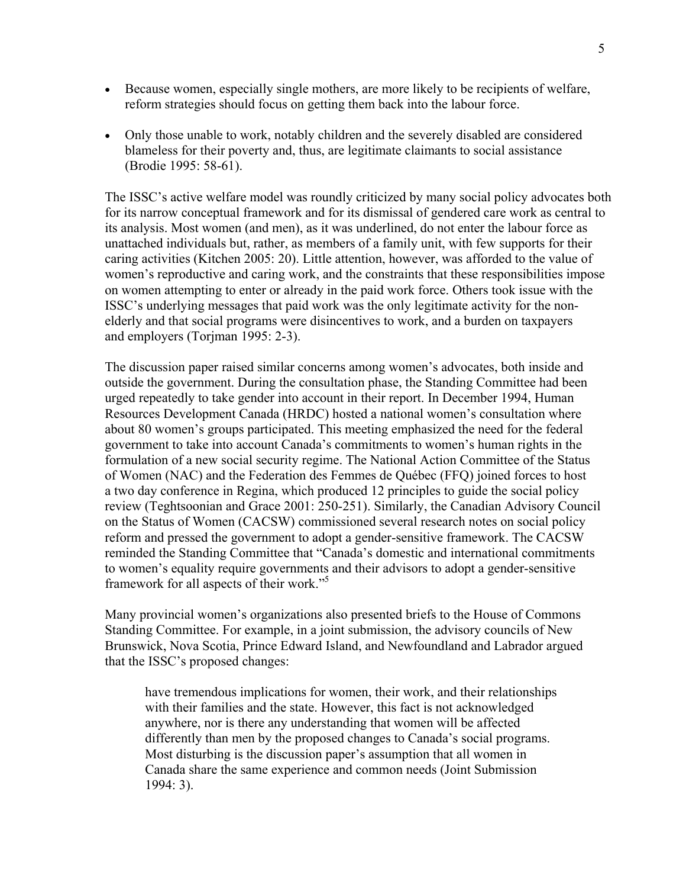- Because women, especially single mothers, are more likely to be recipients of welfare, reform strategies should focus on getting them back into the labour force.
- Only those unable to work, notably children and the severely disabled are considered blameless for their poverty and, thus, are legitimate claimants to social assistance (Brodie 1995: 58-61).

The ISSC's active welfare model was roundly criticized by many social policy advocates both for its narrow conceptual framework and for its dismissal of gendered care work as central to its analysis. Most women (and men), as it was underlined, do not enter the labour force as unattached individuals but, rather, as members of a family unit, with few supports for their caring activities (Kitchen 2005: 20). Little attention, however, was afforded to the value of women's reproductive and caring work, and the constraints that these responsibilities impose on women attempting to enter or already in the paid work force. Others took issue with the ISSC's underlying messages that paid work was the only legitimate activity for the nonelderly and that social programs were disincentives to work, and a burden on taxpayers and employers (Torjman 1995: 2-3).

The discussion paper raised similar concerns among women's advocates, both inside and outside the government. During the consultation phase, the Standing Committee had been urged repeatedly to take gender into account in their report. In December 1994, Human Resources Development Canada (HRDC) hosted a national women's consultation where about 80 women's groups participated. This meeting emphasized the need for the federal government to take into account Canada's commitments to women's human rights in the formulation of a new social security regime. The National Action Committee of the Status of Women (NAC) and the Federation des Femmes de Québec (FFQ) joined forces to host a two day conference in Regina, which produced 12 principles to guide the social policy review (Teghtsoonian and Grace 2001: 250-251). Similarly, the Canadian Advisory Council on the Status of Women (CACSW) commissioned several research notes on social policy reform and pressed the government to adopt a gender-sensitive framework. The CACSW reminded the Standing Committee that "Canada's domestic and international commitments to women's equality require governments and their advisors to adopt a gender-sensitive framework for all aspects of their work."5

Many provincial women's organizations also presented briefs to the House of Commons Standing Committee. For example, in a joint submission, the advisory councils of New Brunswick, Nova Scotia, Prince Edward Island, and Newfoundland and Labrador argued that the ISSC's proposed changes:

have tremendous implications for women, their work, and their relationships with their families and the state. However, this fact is not acknowledged anywhere, nor is there any understanding that women will be affected differently than men by the proposed changes to Canada's social programs. Most disturbing is the discussion paper's assumption that all women in Canada share the same experience and common needs (Joint Submission 1994: 3).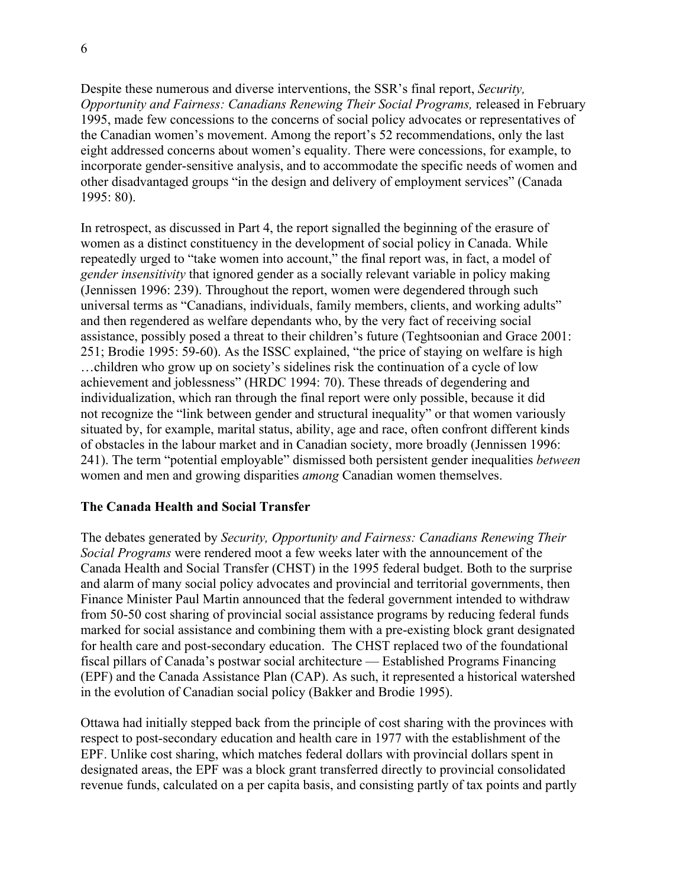Despite these numerous and diverse interventions, the SSR's final report, *Security, Opportunity and Fairness: Canadians Renewing Their Social Programs,* released in February 1995, made few concessions to the concerns of social policy advocates or representatives of the Canadian women's movement. Among the report's 52 recommendations, only the last eight addressed concerns about women's equality. There were concessions, for example, to incorporate gender-sensitive analysis, and to accommodate the specific needs of women and other disadvantaged groups "in the design and delivery of employment services" (Canada 1995: 80).

In retrospect, as discussed in Part 4, the report signalled the beginning of the erasure of women as a distinct constituency in the development of social policy in Canada. While repeatedly urged to "take women into account," the final report was, in fact, a model of *gender insensitivity* that ignored gender as a socially relevant variable in policy making (Jennissen 1996: 239). Throughout the report, women were degendered through such universal terms as "Canadians, individuals, family members, clients, and working adults" and then regendered as welfare dependants who, by the very fact of receiving social assistance, possibly posed a threat to their children's future (Teghtsoonian and Grace 2001: 251; Brodie 1995: 59-60). As the ISSC explained, "the price of staying on welfare is high …children who grow up on society's sidelines risk the continuation of a cycle of low achievement and joblessness" (HRDC 1994: 70). These threads of degendering and individualization, which ran through the final report were only possible, because it did not recognize the "link between gender and structural inequality" or that women variously situated by, for example, marital status, ability, age and race, often confront different kinds of obstacles in the labour market and in Canadian society, more broadly (Jennissen 1996: 241). The term "potential employable" dismissed both persistent gender inequalities *between* women and men and growing disparities *among* Canadian women themselves.

## **The Canada Health and Social Transfer**

The debates generated by *Security, Opportunity and Fairness: Canadians Renewing Their Social Programs* were rendered moot a few weeks later with the announcement of the Canada Health and Social Transfer (CHST) in the 1995 federal budget. Both to the surprise and alarm of many social policy advocates and provincial and territorial governments, then Finance Minister Paul Martin announced that the federal government intended to withdraw from 50-50 cost sharing of provincial social assistance programs by reducing federal funds marked for social assistance and combining them with a pre-existing block grant designated for health care and post-secondary education. The CHST replaced two of the foundational fiscal pillars of Canada's postwar social architecture — Established Programs Financing (EPF) and the Canada Assistance Plan (CAP). As such, it represented a historical watershed in the evolution of Canadian social policy (Bakker and Brodie 1995).

Ottawa had initially stepped back from the principle of cost sharing with the provinces with respect to post-secondary education and health care in 1977 with the establishment of the EPF. Unlike cost sharing, which matches federal dollars with provincial dollars spent in designated areas, the EPF was a block grant transferred directly to provincial consolidated revenue funds, calculated on a per capita basis, and consisting partly of tax points and partly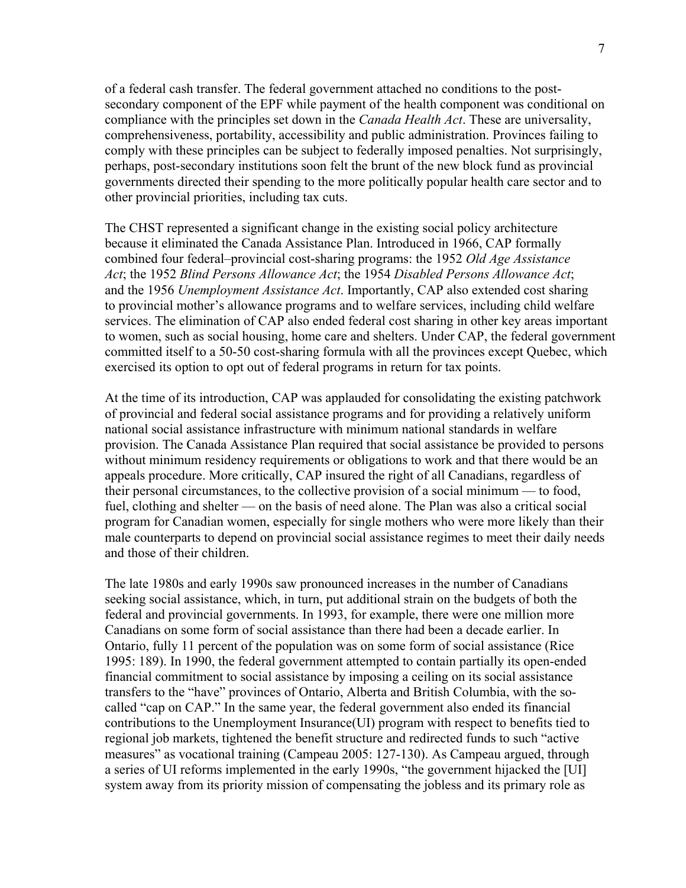of a federal cash transfer. The federal government attached no conditions to the postsecondary component of the EPF while payment of the health component was conditional on compliance with the principles set down in the *Canada Health Act*. These are universality, comprehensiveness, portability, accessibility and public administration. Provinces failing to comply with these principles can be subject to federally imposed penalties. Not surprisingly, perhaps, post-secondary institutions soon felt the brunt of the new block fund as provincial governments directed their spending to the more politically popular health care sector and to other provincial priorities, including tax cuts.

The CHST represented a significant change in the existing social policy architecture because it eliminated the Canada Assistance Plan. Introduced in 1966, CAP formally combined four federal–provincial cost-sharing programs: the 1952 *Old Age Assistance Act*; the 1952 *Blind Persons Allowance Act*; the 1954 *Disabled Persons Allowance Act*; and the 1956 *Unemployment Assistance Act*. Importantly, CAP also extended cost sharing to provincial mother's allowance programs and to welfare services, including child welfare services. The elimination of CAP also ended federal cost sharing in other key areas important to women, such as social housing, home care and shelters. Under CAP, the federal government committed itself to a 50-50 cost-sharing formula with all the provinces except Quebec, which exercised its option to opt out of federal programs in return for tax points.

At the time of its introduction, CAP was applauded for consolidating the existing patchwork of provincial and federal social assistance programs and for providing a relatively uniform national social assistance infrastructure with minimum national standards in welfare provision. The Canada Assistance Plan required that social assistance be provided to persons without minimum residency requirements or obligations to work and that there would be an appeals procedure. More critically, CAP insured the right of all Canadians, regardless of their personal circumstances, to the collective provision of a social minimum — to food, fuel, clothing and shelter — on the basis of need alone. The Plan was also a critical social program for Canadian women, especially for single mothers who were more likely than their male counterparts to depend on provincial social assistance regimes to meet their daily needs and those of their children.

The late 1980s and early 1990s saw pronounced increases in the number of Canadians seeking social assistance, which, in turn, put additional strain on the budgets of both the federal and provincial governments. In 1993, for example, there were one million more Canadians on some form of social assistance than there had been a decade earlier. In Ontario, fully 11 percent of the population was on some form of social assistance (Rice 1995: 189). In 1990, the federal government attempted to contain partially its open-ended financial commitment to social assistance by imposing a ceiling on its social assistance transfers to the "have" provinces of Ontario, Alberta and British Columbia, with the socalled "cap on CAP." In the same year, the federal government also ended its financial contributions to the Unemployment Insurance(UI) program with respect to benefits tied to regional job markets, tightened the benefit structure and redirected funds to such "active measures" as vocational training (Campeau 2005: 127-130). As Campeau argued, through a series of UI reforms implemented in the early 1990s, "the government hijacked the [UI] system away from its priority mission of compensating the jobless and its primary role as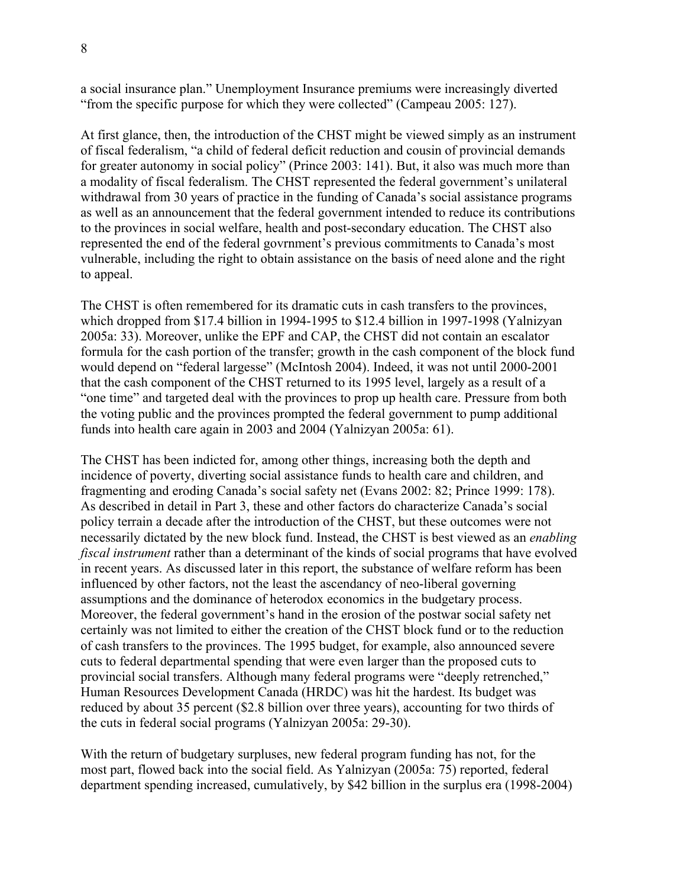a social insurance plan." Unemployment Insurance premiums were increasingly diverted "from the specific purpose for which they were collected" (Campeau 2005: 127).

At first glance, then, the introduction of the CHST might be viewed simply as an instrument of fiscal federalism, "a child of federal deficit reduction and cousin of provincial demands for greater autonomy in social policy" (Prince 2003: 141). But, it also was much more than a modality of fiscal federalism. The CHST represented the federal government's unilateral withdrawal from 30 years of practice in the funding of Canada's social assistance programs as well as an announcement that the federal government intended to reduce its contributions to the provinces in social welfare, health and post-secondary education. The CHST also represented the end of the federal govrnment's previous commitments to Canada's most vulnerable, including the right to obtain assistance on the basis of need alone and the right to appeal.

The CHST is often remembered for its dramatic cuts in cash transfers to the provinces, which dropped from \$17.4 billion in 1994-1995 to \$12.4 billion in 1997-1998 (Yalnizyan 2005a: 33). Moreover, unlike the EPF and CAP, the CHST did not contain an escalator formula for the cash portion of the transfer; growth in the cash component of the block fund would depend on "federal largesse" (McIntosh 2004). Indeed, it was not until 2000-2001 that the cash component of the CHST returned to its 1995 level, largely as a result of a "one time" and targeted deal with the provinces to prop up health care. Pressure from both the voting public and the provinces prompted the federal government to pump additional funds into health care again in 2003 and 2004 (Yalnizyan 2005a: 61).

The CHST has been indicted for, among other things, increasing both the depth and incidence of poverty, diverting social assistance funds to health care and children, and fragmenting and eroding Canada's social safety net (Evans 2002: 82; Prince 1999: 178). As described in detail in Part 3, these and other factors do characterize Canada's social policy terrain a decade after the introduction of the CHST, but these outcomes were not necessarily dictated by the new block fund. Instead, the CHST is best viewed as an *enabling fiscal instrument* rather than a determinant of the kinds of social programs that have evolved in recent years. As discussed later in this report, the substance of welfare reform has been influenced by other factors, not the least the ascendancy of neo-liberal governing assumptions and the dominance of heterodox economics in the budgetary process. Moreover, the federal government's hand in the erosion of the postwar social safety net certainly was not limited to either the creation of the CHST block fund or to the reduction of cash transfers to the provinces. The 1995 budget, for example, also announced severe cuts to federal departmental spending that were even larger than the proposed cuts to provincial social transfers. Although many federal programs were "deeply retrenched," Human Resources Development Canada (HRDC) was hit the hardest. Its budget was reduced by about 35 percent (\$2.8 billion over three years), accounting for two thirds of the cuts in federal social programs (Yalnizyan 2005a: 29-30).

With the return of budgetary surpluses, new federal program funding has not, for the most part, flowed back into the social field. As Yalnizyan (2005a: 75) reported, federal department spending increased, cumulatively, by \$42 billion in the surplus era (1998-2004)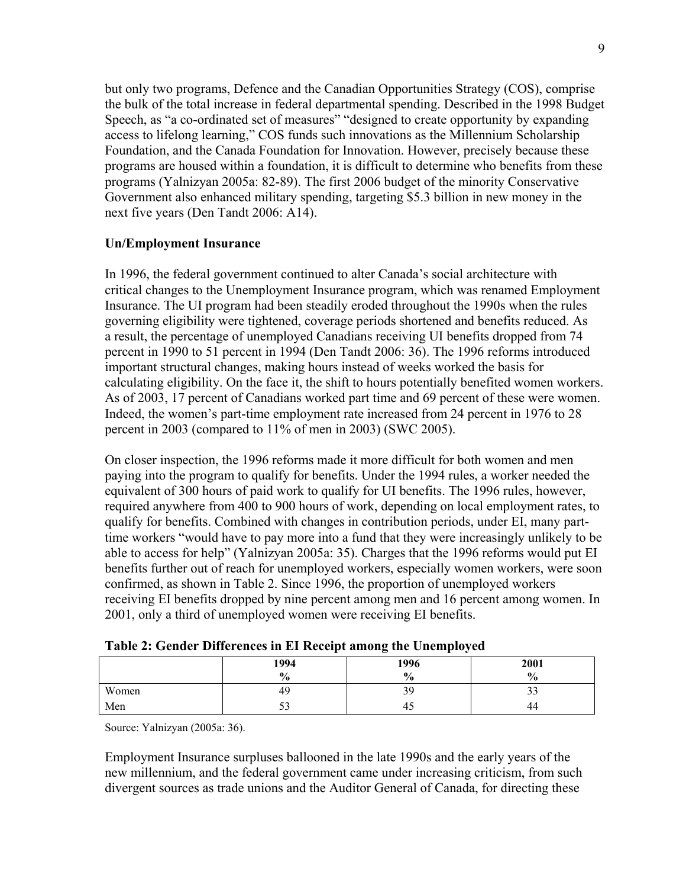but only two programs, Defence and the Canadian Opportunities Strategy (COS), comprise the bulk of the total increase in federal departmental spending. Described in the 1998 Budget Speech, as "a co-ordinated set of measures" "designed to create opportunity by expanding access to lifelong learning," COS funds such innovations as the Millennium Scholarship Foundation, and the Canada Foundation for Innovation. However, precisely because these programs are housed within a foundation, it is difficult to determine who benefits from these programs (Yalnizyan 2005a: 82-89). The first 2006 budget of the minority Conservative Government also enhanced military spending, targeting \$5.3 billion in new money in the next five years (Den Tandt 2006: A14).

## **Un/Employment Insurance**

In 1996, the federal government continued to alter Canada's social architecture with critical changes to the Unemployment Insurance program, which was renamed Employment Insurance. The UI program had been steadily eroded throughout the 1990s when the rules governing eligibility were tightened, coverage periods shortened and benefits reduced. As a result, the percentage of unemployed Canadians receiving UI benefits dropped from 74 percent in 1990 to 51 percent in 1994 (Den Tandt 2006: 36). The 1996 reforms introduced important structural changes, making hours instead of weeks worked the basis for calculating eligibility. On the face it, the shift to hours potentially benefited women workers. As of 2003, 17 percent of Canadians worked part time and 69 percent of these were women. Indeed, the women's part-time employment rate increased from 24 percent in 1976 to 28 percent in 2003 (compared to 11% of men in 2003) (SWC 2005).

On closer inspection, the 1996 reforms made it more difficult for both women and men paying into the program to qualify for benefits. Under the 1994 rules, a worker needed the equivalent of 300 hours of paid work to qualify for UI benefits. The 1996 rules, however, required anywhere from 400 to 900 hours of work, depending on local employment rates, to qualify for benefits. Combined with changes in contribution periods, under EI, many parttime workers "would have to pay more into a fund that they were increasingly unlikely to be able to access for help" (Yalnizyan 2005a: 35). Charges that the 1996 reforms would put EI benefits further out of reach for unemployed workers, especially women workers, were soon confirmed, as shown in Table 2. Since 1996, the proportion of unemployed workers receiving EI benefits dropped by nine percent among men and 16 percent among women. In 2001, only a third of unemployed women were receiving EI benefits.

|       | 1994<br>$\frac{6}{6}$ | 1996<br>$\frac{0}{0}$ | 2001<br>$\frac{0}{0}$ |
|-------|-----------------------|-----------------------|-----------------------|
| Women | 49                    | 39                    | $\sim$<br>ر ر         |
| Men   | IJ                    | 43                    | 44                    |

| Table 2: Gender Differences in EI Receipt among the Unemployed |  |  |
|----------------------------------------------------------------|--|--|
|                                                                |  |  |

Source: Yalnizyan (2005a: 36).

Employment Insurance surpluses ballooned in the late 1990s and the early years of the new millennium, and the federal government came under increasing criticism, from such divergent sources as trade unions and the Auditor General of Canada, for directing these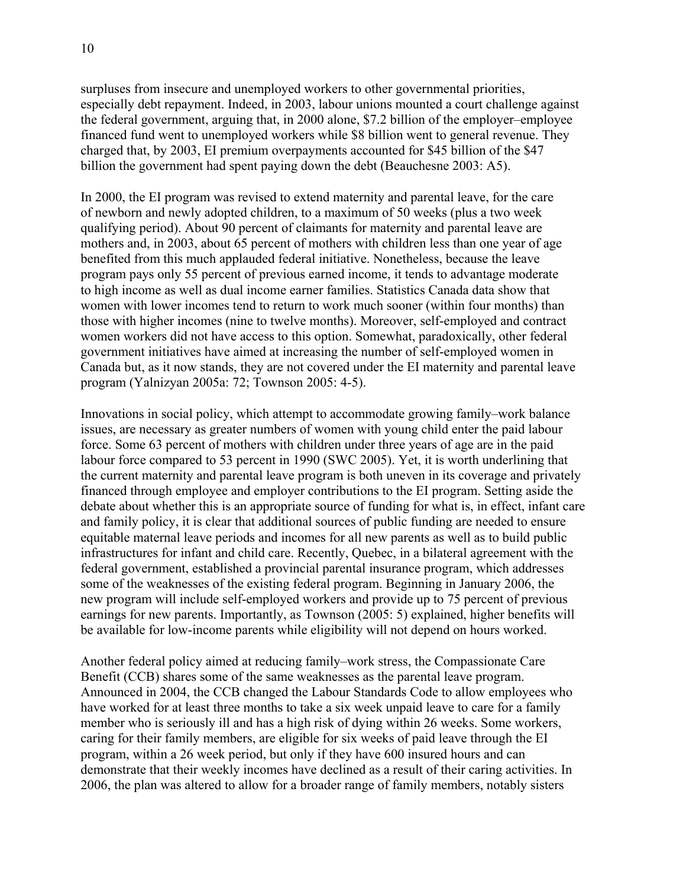surpluses from insecure and unemployed workers to other governmental priorities, especially debt repayment. Indeed, in 2003, labour unions mounted a court challenge against the federal government, arguing that, in 2000 alone, \$7.2 billion of the employer–employee financed fund went to unemployed workers while \$8 billion went to general revenue. They charged that, by 2003, EI premium overpayments accounted for \$45 billion of the \$47 billion the government had spent paying down the debt (Beauchesne 2003: A5).

In 2000, the EI program was revised to extend maternity and parental leave, for the care of newborn and newly adopted children, to a maximum of 50 weeks (plus a two week qualifying period). About 90 percent of claimants for maternity and parental leave are mothers and, in 2003, about 65 percent of mothers with children less than one year of age benefited from this much applauded federal initiative. Nonetheless, because the leave program pays only 55 percent of previous earned income, it tends to advantage moderate to high income as well as dual income earner families. Statistics Canada data show that women with lower incomes tend to return to work much sooner (within four months) than those with higher incomes (nine to twelve months). Moreover, self-employed and contract women workers did not have access to this option. Somewhat, paradoxically, other federal government initiatives have aimed at increasing the number of self-employed women in Canada but, as it now stands, they are not covered under the EI maternity and parental leave program (Yalnizyan 2005a: 72; Townson 2005: 4-5).

Innovations in social policy, which attempt to accommodate growing family–work balance issues, are necessary as greater numbers of women with young child enter the paid labour force. Some 63 percent of mothers with children under three years of age are in the paid labour force compared to 53 percent in 1990 (SWC 2005). Yet, it is worth underlining that the current maternity and parental leave program is both uneven in its coverage and privately financed through employee and employer contributions to the EI program. Setting aside the debate about whether this is an appropriate source of funding for what is, in effect, infant care and family policy, it is clear that additional sources of public funding are needed to ensure equitable maternal leave periods and incomes for all new parents as well as to build public infrastructures for infant and child care. Recently, Quebec, in a bilateral agreement with the federal government, established a provincial parental insurance program, which addresses some of the weaknesses of the existing federal program. Beginning in January 2006, the new program will include self-employed workers and provide up to 75 percent of previous earnings for new parents. Importantly, as Townson (2005: 5) explained, higher benefits will be available for low-income parents while eligibility will not depend on hours worked.

Another federal policy aimed at reducing family–work stress, the Compassionate Care Benefit (CCB) shares some of the same weaknesses as the parental leave program. Announced in 2004, the CCB changed the Labour Standards Code to allow employees who have worked for at least three months to take a six week unpaid leave to care for a family member who is seriously ill and has a high risk of dying within 26 weeks. Some workers, caring for their family members, are eligible for six weeks of paid leave through the EI program, within a 26 week period, but only if they have 600 insured hours and can demonstrate that their weekly incomes have declined as a result of their caring activities. In 2006, the plan was altered to allow for a broader range of family members, notably sisters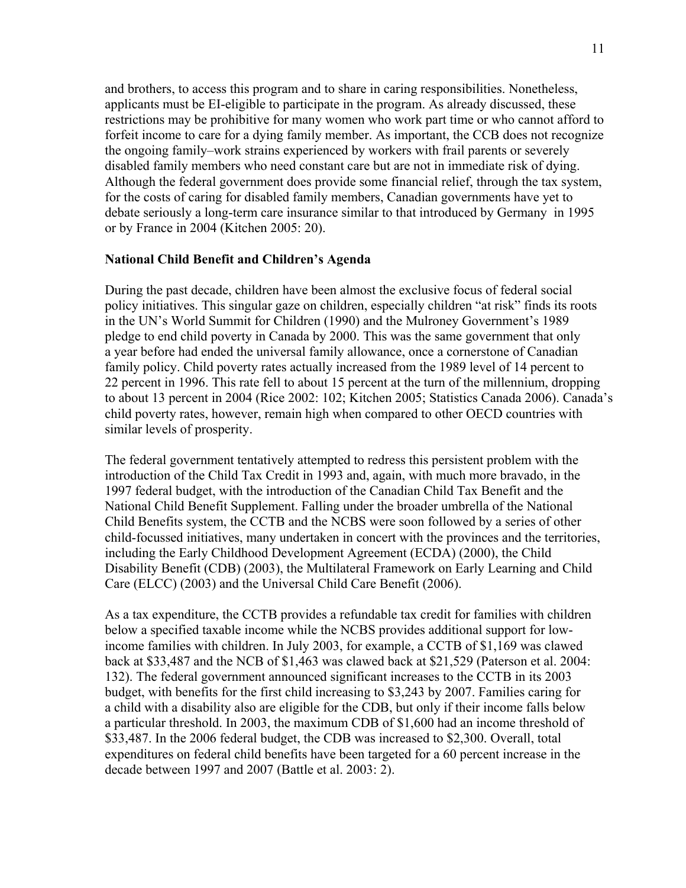and brothers, to access this program and to share in caring responsibilities. Nonetheless, applicants must be EI-eligible to participate in the program. As already discussed, these restrictions may be prohibitive for many women who work part time or who cannot afford to forfeit income to care for a dying family member. As important, the CCB does not recognize the ongoing family–work strains experienced by workers with frail parents or severely disabled family members who need constant care but are not in immediate risk of dying. Although the federal government does provide some financial relief, through the tax system, for the costs of caring for disabled family members, Canadian governments have yet to debate seriously a long-term care insurance similar to that introduced by Germany in 1995 or by France in 2004 (Kitchen 2005: 20).

#### **National Child Benefit and Children's Agenda**

During the past decade, children have been almost the exclusive focus of federal social policy initiatives. This singular gaze on children, especially children "at risk" finds its roots in the UN's World Summit for Children (1990) and the Mulroney Government's 1989 pledge to end child poverty in Canada by 2000. This was the same government that only a year before had ended the universal family allowance, once a cornerstone of Canadian family policy. Child poverty rates actually increased from the 1989 level of 14 percent to 22 percent in 1996. This rate fell to about 15 percent at the turn of the millennium, dropping to about 13 percent in 2004 (Rice 2002: 102; Kitchen 2005; Statistics Canada 2006). Canada's child poverty rates, however, remain high when compared to other OECD countries with similar levels of prosperity.

The federal government tentatively attempted to redress this persistent problem with the introduction of the Child Tax Credit in 1993 and, again, with much more bravado, in the 1997 federal budget, with the introduction of the Canadian Child Tax Benefit and the National Child Benefit Supplement. Falling under the broader umbrella of the National Child Benefits system, the CCTB and the NCBS were soon followed by a series of other child-focussed initiatives, many undertaken in concert with the provinces and the territories, including the Early Childhood Development Agreement (ECDA) (2000), the Child Disability Benefit (CDB) (2003), the Multilateral Framework on Early Learning and Child Care (ELCC) (2003) and the Universal Child Care Benefit (2006).

As a tax expenditure, the CCTB provides a refundable tax credit for families with children below a specified taxable income while the NCBS provides additional support for lowincome families with children. In July 2003, for example, a CCTB of \$1,169 was clawed back at \$33,487 and the NCB of \$1,463 was clawed back at \$21,529 (Paterson et al. 2004: 132). The federal government announced significant increases to the CCTB in its 2003 budget, with benefits for the first child increasing to \$3,243 by 2007. Families caring for a child with a disability also are eligible for the CDB, but only if their income falls below a particular threshold. In 2003, the maximum CDB of \$1,600 had an income threshold of \$33,487. In the 2006 federal budget, the CDB was increased to \$2,300. Overall, total expenditures on federal child benefits have been targeted for a 60 percent increase in the decade between 1997 and 2007 (Battle et al. 2003: 2).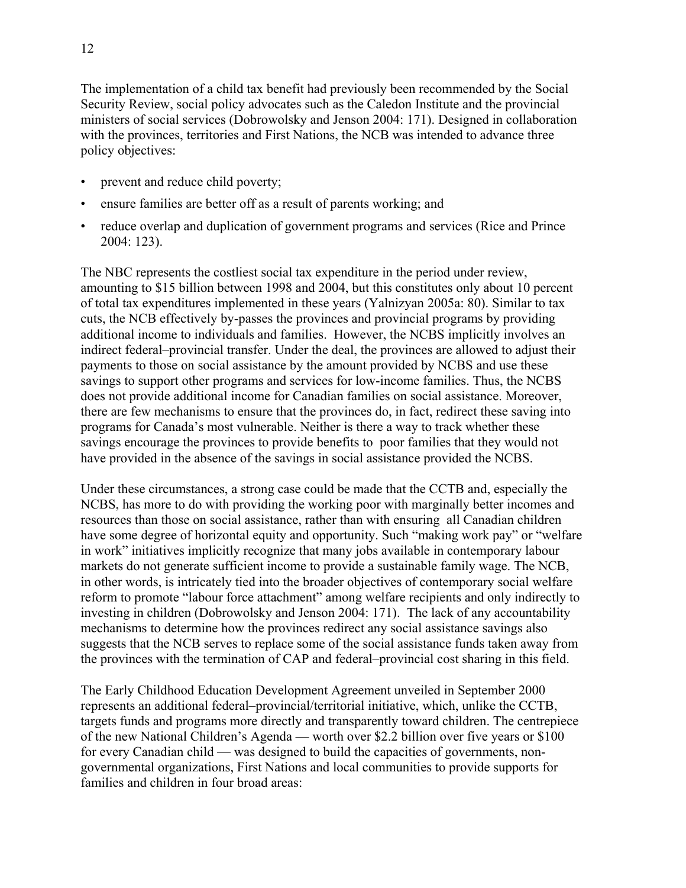The implementation of a child tax benefit had previously been recommended by the Social Security Review, social policy advocates such as the Caledon Institute and the provincial ministers of social services (Dobrowolsky and Jenson 2004: 171). Designed in collaboration with the provinces, territories and First Nations, the NCB was intended to advance three policy objectives:

- prevent and reduce child poverty;
- ensure families are better off as a result of parents working; and
- reduce overlap and duplication of government programs and services (Rice and Prince 2004: 123).

The NBC represents the costliest social tax expenditure in the period under review, amounting to \$15 billion between 1998 and 2004, but this constitutes only about 10 percent of total tax expenditures implemented in these years (Yalnizyan 2005a: 80). Similar to tax cuts, the NCB effectively by-passes the provinces and provincial programs by providing additional income to individuals and families. However, the NCBS implicitly involves an indirect federal–provincial transfer. Under the deal, the provinces are allowed to adjust their payments to those on social assistance by the amount provided by NCBS and use these savings to support other programs and services for low-income families. Thus, the NCBS does not provide additional income for Canadian families on social assistance. Moreover, there are few mechanisms to ensure that the provinces do, in fact, redirect these saving into programs for Canada's most vulnerable. Neither is there a way to track whether these savings encourage the provinces to provide benefits to poor families that they would not have provided in the absence of the savings in social assistance provided the NCBS.

Under these circumstances, a strong case could be made that the CCTB and, especially the NCBS, has more to do with providing the working poor with marginally better incomes and resources than those on social assistance, rather than with ensuring all Canadian children have some degree of horizontal equity and opportunity. Such "making work pay" or "welfare in work" initiatives implicitly recognize that many jobs available in contemporary labour markets do not generate sufficient income to provide a sustainable family wage. The NCB, in other words, is intricately tied into the broader objectives of contemporary social welfare reform to promote "labour force attachment" among welfare recipients and only indirectly to investing in children (Dobrowolsky and Jenson 2004: 171). The lack of any accountability mechanisms to determine how the provinces redirect any social assistance savings also suggests that the NCB serves to replace some of the social assistance funds taken away from the provinces with the termination of CAP and federal–provincial cost sharing in this field.

The Early Childhood Education Development Agreement unveiled in September 2000 represents an additional federal–provincial/territorial initiative, which, unlike the CCTB, targets funds and programs more directly and transparently toward children. The centrepiece of the new National Children's Agenda — worth over \$2.2 billion over five years or \$100 for every Canadian child — was designed to build the capacities of governments, nongovernmental organizations, First Nations and local communities to provide supports for families and children in four broad areas: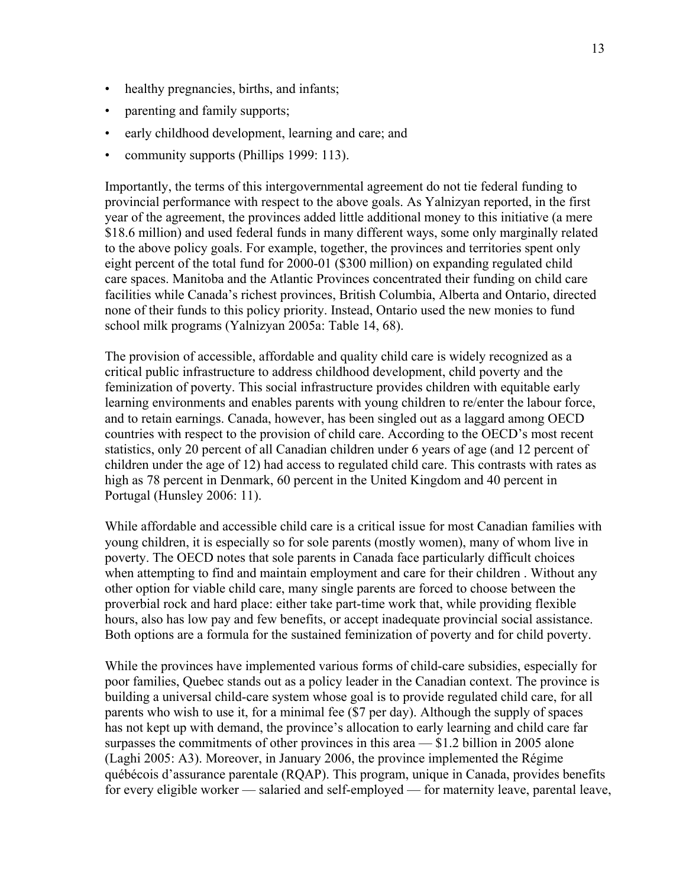- healthy pregnancies, births, and infants;
- parenting and family supports;
- early childhood development, learning and care; and
- community supports (Phillips 1999: 113).

Importantly, the terms of this intergovernmental agreement do not tie federal funding to provincial performance with respect to the above goals. As Yalnizyan reported, in the first year of the agreement, the provinces added little additional money to this initiative (a mere \$18.6 million) and used federal funds in many different ways, some only marginally related to the above policy goals. For example, together, the provinces and territories spent only eight percent of the total fund for 2000-01 (\$300 million) on expanding regulated child care spaces. Manitoba and the Atlantic Provinces concentrated their funding on child care facilities while Canada's richest provinces, British Columbia, Alberta and Ontario, directed none of their funds to this policy priority. Instead, Ontario used the new monies to fund school milk programs (Yalnizyan 2005a: Table 14, 68).

The provision of accessible, affordable and quality child care is widely recognized as a critical public infrastructure to address childhood development, child poverty and the feminization of poverty. This social infrastructure provides children with equitable early learning environments and enables parents with young children to re/enter the labour force, and to retain earnings. Canada, however, has been singled out as a laggard among OECD countries with respect to the provision of child care. According to the OECD's most recent statistics, only 20 percent of all Canadian children under 6 years of age (and 12 percent of children under the age of 12) had access to regulated child care. This contrasts with rates as high as 78 percent in Denmark, 60 percent in the United Kingdom and 40 percent in Portugal (Hunsley 2006: 11).

While affordable and accessible child care is a critical issue for most Canadian families with young children, it is especially so for sole parents (mostly women), many of whom live in poverty. The OECD notes that sole parents in Canada face particularly difficult choices when attempting to find and maintain employment and care for their children . Without any other option for viable child care, many single parents are forced to choose between the proverbial rock and hard place: either take part-time work that, while providing flexible hours, also has low pay and few benefits, or accept inadequate provincial social assistance. Both options are a formula for the sustained feminization of poverty and for child poverty.

While the provinces have implemented various forms of child-care subsidies, especially for poor families, Quebec stands out as a policy leader in the Canadian context. The province is building a universal child-care system whose goal is to provide regulated child care, for all parents who wish to use it, for a minimal fee (\$7 per day). Although the supply of spaces has not kept up with demand, the province's allocation to early learning and child care far surpasses the commitments of other provinces in this area — \$1.2 billion in 2005 alone (Laghi 2005: A3). Moreover, in January 2006, the province implemented the Régime québécois d'assurance parentale (RQAP). This program, unique in Canada, provides benefits for every eligible worker — salaried and self-employed — for maternity leave, parental leave,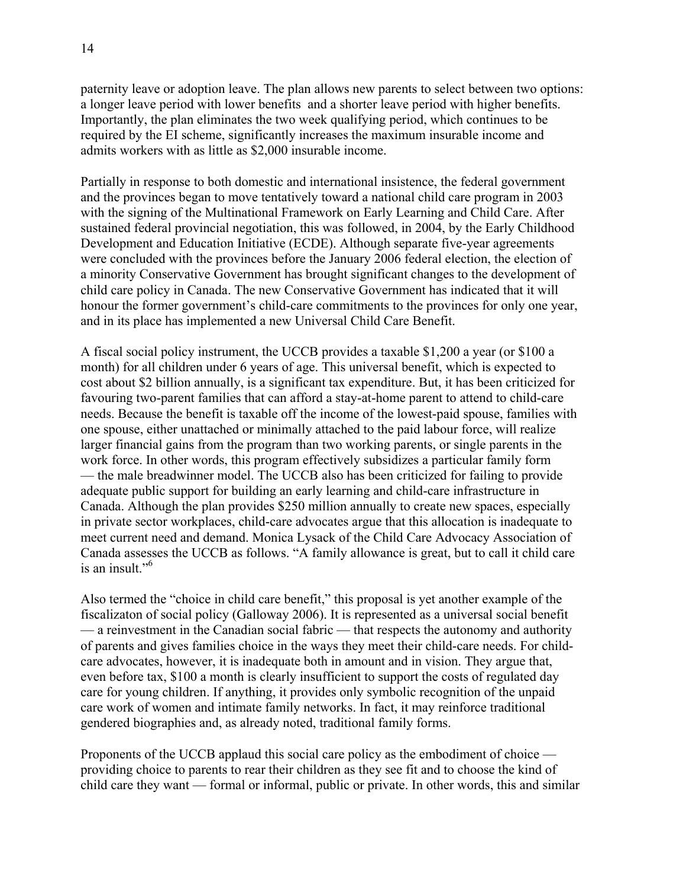paternity leave or adoption leave. The plan allows new parents to select between two options: a longer leave period with lower benefits and a shorter leave period with higher benefits. Importantly, the plan eliminates the two week qualifying period, which continues to be required by the EI scheme, significantly increases the maximum insurable income and admits workers with as little as \$2,000 insurable income.

Partially in response to both domestic and international insistence, the federal government and the provinces began to move tentatively toward a national child care program in 2003 with the signing of the Multinational Framework on Early Learning and Child Care. After sustained federal provincial negotiation, this was followed, in 2004, by the Early Childhood Development and Education Initiative (ECDE). Although separate five-year agreements were concluded with the provinces before the January 2006 federal election, the election of a minority Conservative Government has brought significant changes to the development of child care policy in Canada. The new Conservative Government has indicated that it will honour the former government's child-care commitments to the provinces for only one year, and in its place has implemented a new Universal Child Care Benefit.

A fiscal social policy instrument, the UCCB provides a taxable \$1,200 a year (or \$100 a month) for all children under 6 years of age. This universal benefit, which is expected to cost about \$2 billion annually, is a significant tax expenditure. But, it has been criticized for favouring two-parent families that can afford a stay-at-home parent to attend to child-care needs. Because the benefit is taxable off the income of the lowest-paid spouse, families with one spouse, either unattached or minimally attached to the paid labour force, will realize larger financial gains from the program than two working parents, or single parents in the work force. In other words, this program effectively subsidizes a particular family form — the male breadwinner model. The UCCB also has been criticized for failing to provide adequate public support for building an early learning and child-care infrastructure in Canada. Although the plan provides \$250 million annually to create new spaces, especially in private sector workplaces, child-care advocates argue that this allocation is inadequate to meet current need and demand. Monica Lysack of the Child Care Advocacy Association of Canada assesses the UCCB as follows. "A family allowance is great, but to call it child care is an insult."<sup>6</sup>

Also termed the "choice in child care benefit," this proposal is yet another example of the fiscalizaton of social policy (Galloway 2006). It is represented as a universal social benefit — a reinvestment in the Canadian social fabric — that respects the autonomy and authority of parents and gives families choice in the ways they meet their child-care needs. For childcare advocates, however, it is inadequate both in amount and in vision. They argue that, even before tax, \$100 a month is clearly insufficient to support the costs of regulated day care for young children. If anything, it provides only symbolic recognition of the unpaid care work of women and intimate family networks. In fact, it may reinforce traditional gendered biographies and, as already noted, traditional family forms.

Proponents of the UCCB applaud this social care policy as the embodiment of choice providing choice to parents to rear their children as they see fit and to choose the kind of child care they want — formal or informal, public or private. In other words, this and similar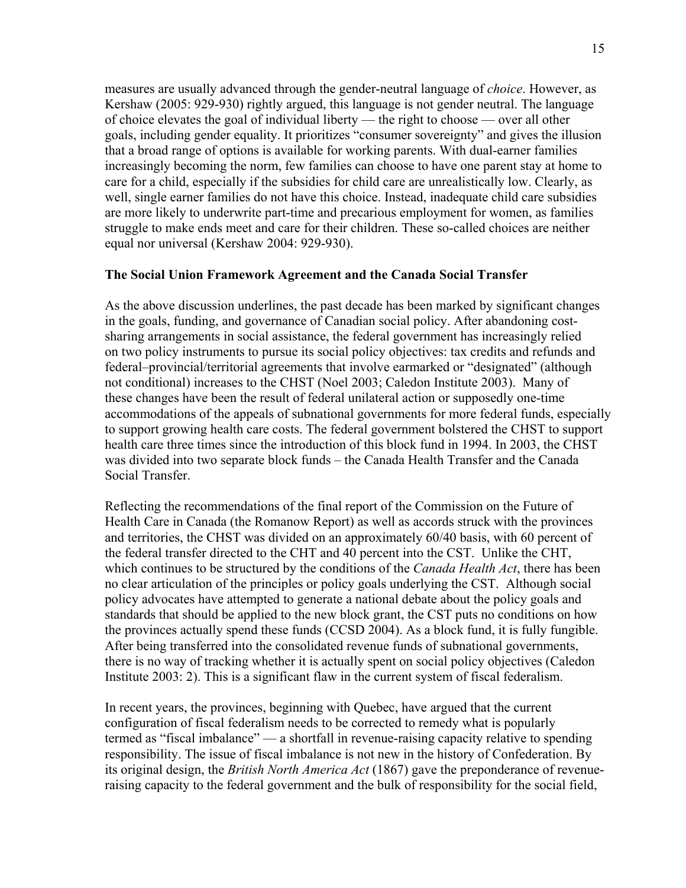measures are usually advanced through the gender-neutral language of *choice*. However, as Kershaw (2005: 929-930) rightly argued, this language is not gender neutral. The language of choice elevates the goal of individual liberty — the right to choose — over all other goals, including gender equality. It prioritizes "consumer sovereignty" and gives the illusion that a broad range of options is available for working parents. With dual-earner families increasingly becoming the norm, few families can choose to have one parent stay at home to care for a child, especially if the subsidies for child care are unrealistically low. Clearly, as well, single earner families do not have this choice. Instead, inadequate child care subsidies are more likely to underwrite part-time and precarious employment for women, as families struggle to make ends meet and care for their children. These so-called choices are neither equal nor universal (Kershaw 2004: 929-930).

#### **The Social Union Framework Agreement and the Canada Social Transfer**

As the above discussion underlines, the past decade has been marked by significant changes in the goals, funding, and governance of Canadian social policy. After abandoning costsharing arrangements in social assistance, the federal government has increasingly relied on two policy instruments to pursue its social policy objectives: tax credits and refunds and federal–provincial/territorial agreements that involve earmarked or "designated" (although not conditional) increases to the CHST (Noel 2003; Caledon Institute 2003). Many of these changes have been the result of federal unilateral action or supposedly one-time accommodations of the appeals of subnational governments for more federal funds, especially to support growing health care costs. The federal government bolstered the CHST to support health care three times since the introduction of this block fund in 1994. In 2003, the CHST was divided into two separate block funds – the Canada Health Transfer and the Canada Social Transfer.

Reflecting the recommendations of the final report of the Commission on the Future of Health Care in Canada (the Romanow Report) as well as accords struck with the provinces and territories, the CHST was divided on an approximately 60/40 basis, with 60 percent of the federal transfer directed to the CHT and 40 percent into the CST. Unlike the CHT, which continues to be structured by the conditions of the *Canada Health Act*, there has been no clear articulation of the principles or policy goals underlying the CST. Although social policy advocates have attempted to generate a national debate about the policy goals and standards that should be applied to the new block grant, the CST puts no conditions on how the provinces actually spend these funds (CCSD 2004). As a block fund, it is fully fungible. After being transferred into the consolidated revenue funds of subnational governments, there is no way of tracking whether it is actually spent on social policy objectives (Caledon Institute 2003: 2). This is a significant flaw in the current system of fiscal federalism.

In recent years, the provinces, beginning with Quebec, have argued that the current configuration of fiscal federalism needs to be corrected to remedy what is popularly termed as "fiscal imbalance" — a shortfall in revenue-raising capacity relative to spending responsibility. The issue of fiscal imbalance is not new in the history of Confederation. By its original design, the *British North America Act* (1867) gave the preponderance of revenueraising capacity to the federal government and the bulk of responsibility for the social field,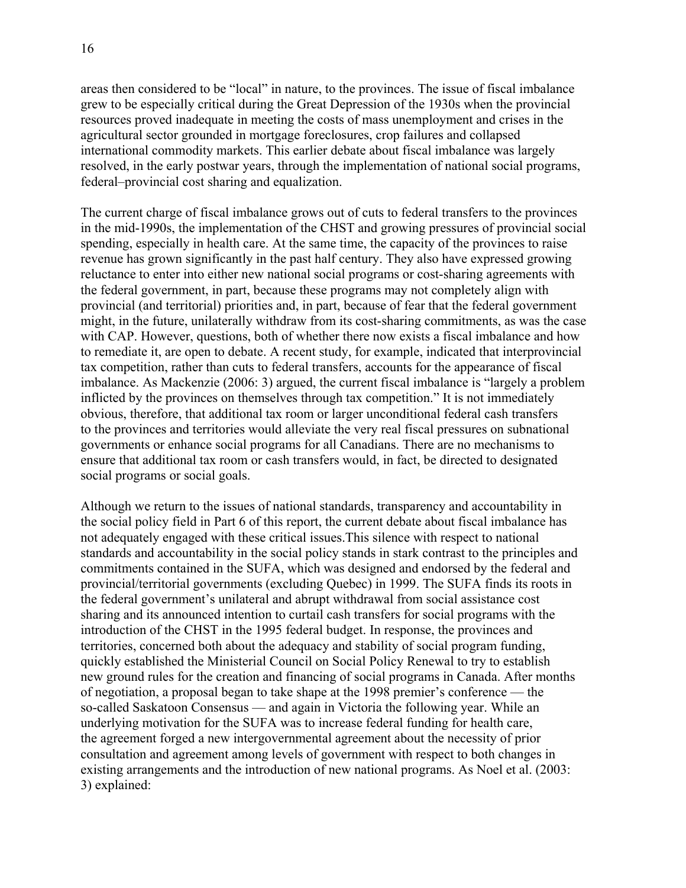areas then considered to be "local" in nature, to the provinces. The issue of fiscal imbalance grew to be especially critical during the Great Depression of the 1930s when the provincial resources proved inadequate in meeting the costs of mass unemployment and crises in the agricultural sector grounded in mortgage foreclosures, crop failures and collapsed international commodity markets. This earlier debate about fiscal imbalance was largely resolved, in the early postwar years, through the implementation of national social programs, federal–provincial cost sharing and equalization.

The current charge of fiscal imbalance grows out of cuts to federal transfers to the provinces in the mid-1990s, the implementation of the CHST and growing pressures of provincial social spending, especially in health care. At the same time, the capacity of the provinces to raise revenue has grown significantly in the past half century. They also have expressed growing reluctance to enter into either new national social programs or cost-sharing agreements with the federal government, in part, because these programs may not completely align with provincial (and territorial) priorities and, in part, because of fear that the federal government might, in the future, unilaterally withdraw from its cost-sharing commitments, as was the case with CAP. However, questions, both of whether there now exists a fiscal imbalance and how to remediate it, are open to debate. A recent study, for example, indicated that interprovincial tax competition, rather than cuts to federal transfers, accounts for the appearance of fiscal imbalance. As Mackenzie (2006: 3) argued, the current fiscal imbalance is "largely a problem inflicted by the provinces on themselves through tax competition." It is not immediately obvious, therefore, that additional tax room or larger unconditional federal cash transfers to the provinces and territories would alleviate the very real fiscal pressures on subnational governments or enhance social programs for all Canadians. There are no mechanisms to ensure that additional tax room or cash transfers would, in fact, be directed to designated social programs or social goals.

Although we return to the issues of national standards, transparency and accountability in the social policy field in Part 6 of this report, the current debate about fiscal imbalance has not adequately engaged with these critical issues.This silence with respect to national standards and accountability in the social policy stands in stark contrast to the principles and commitments contained in the SUFA, which was designed and endorsed by the federal and provincial/territorial governments (excluding Quebec) in 1999. The SUFA finds its roots in the federal government's unilateral and abrupt withdrawal from social assistance cost sharing and its announced intention to curtail cash transfers for social programs with the introduction of the CHST in the 1995 federal budget. In response, the provinces and territories, concerned both about the adequacy and stability of social program funding, quickly established the Ministerial Council on Social Policy Renewal to try to establish new ground rules for the creation and financing of social programs in Canada. After months of negotiation, a proposal began to take shape at the 1998 premier's conference — the so-called Saskatoon Consensus — and again in Victoria the following year. While an underlying motivation for the SUFA was to increase federal funding for health care, the agreement forged a new intergovernmental agreement about the necessity of prior consultation and agreement among levels of government with respect to both changes in existing arrangements and the introduction of new national programs. As Noel et al. (2003: 3) explained: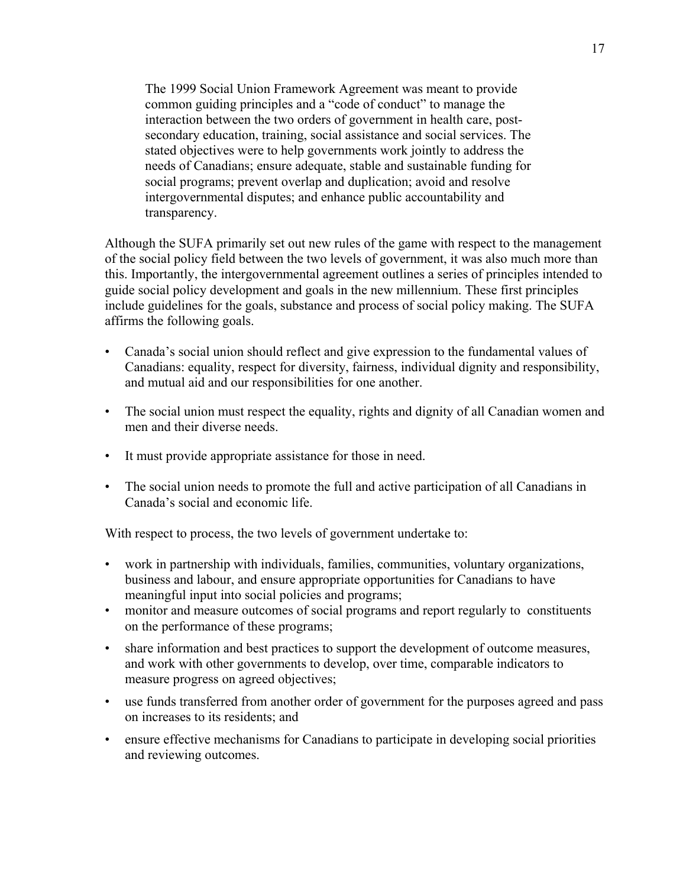The 1999 Social Union Framework Agreement was meant to provide common guiding principles and a "code of conduct" to manage the interaction between the two orders of government in health care, postsecondary education, training, social assistance and social services. The stated objectives were to help governments work jointly to address the needs of Canadians; ensure adequate, stable and sustainable funding for social programs; prevent overlap and duplication; avoid and resolve intergovernmental disputes; and enhance public accountability and transparency.

Although the SUFA primarily set out new rules of the game with respect to the management of the social policy field between the two levels of government, it was also much more than this. Importantly, the intergovernmental agreement outlines a series of principles intended to guide social policy development and goals in the new millennium. These first principles include guidelines for the goals, substance and process of social policy making. The SUFA affirms the following goals.

- Canada's social union should reflect and give expression to the fundamental values of Canadians: equality, respect for diversity, fairness, individual dignity and responsibility, and mutual aid and our responsibilities for one another.
- The social union must respect the equality, rights and dignity of all Canadian women and men and their diverse needs.
- It must provide appropriate assistance for those in need.
- The social union needs to promote the full and active participation of all Canadians in Canada's social and economic life.

With respect to process, the two levels of government undertake to:

- work in partnership with individuals, families, communities, voluntary organizations, business and labour, and ensure appropriate opportunities for Canadians to have meaningful input into social policies and programs;
- monitor and measure outcomes of social programs and report regularly to constituents on the performance of these programs;
- share information and best practices to support the development of outcome measures, and work with other governments to develop, over time, comparable indicators to measure progress on agreed objectives;
- use funds transferred from another order of government for the purposes agreed and pass on increases to its residents; and
- ensure effective mechanisms for Canadians to participate in developing social priorities and reviewing outcomes.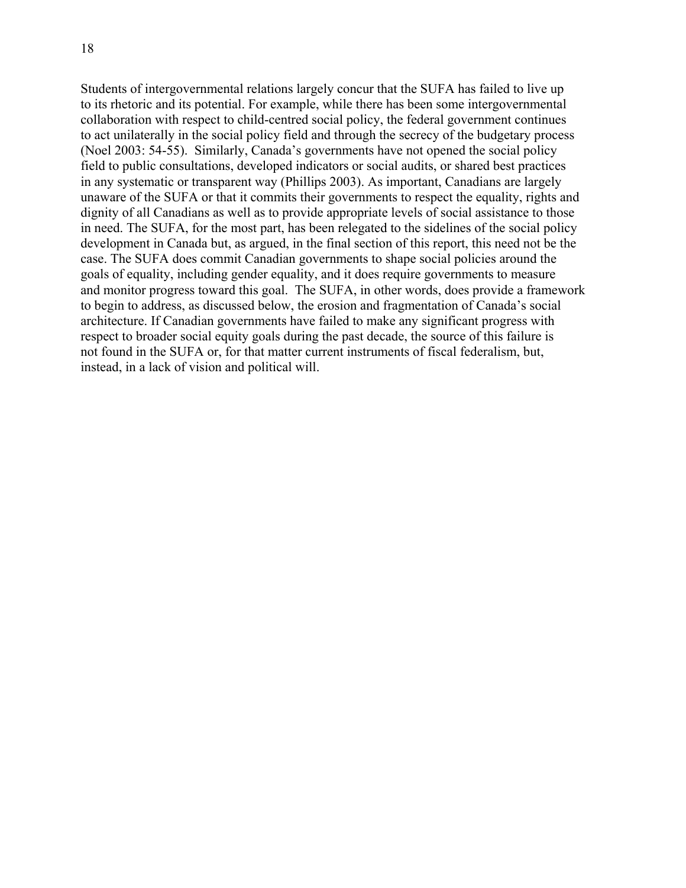Students of intergovernmental relations largely concur that the SUFA has failed to live up to its rhetoric and its potential. For example, while there has been some intergovernmental collaboration with respect to child-centred social policy, the federal government continues to act unilaterally in the social policy field and through the secrecy of the budgetary process (Noel 2003: 54-55). Similarly, Canada's governments have not opened the social policy field to public consultations, developed indicators or social audits, or shared best practices in any systematic or transparent way (Phillips 2003). As important, Canadians are largely unaware of the SUFA or that it commits their governments to respect the equality, rights and dignity of all Canadians as well as to provide appropriate levels of social assistance to those in need. The SUFA, for the most part, has been relegated to the sidelines of the social policy development in Canada but, as argued, in the final section of this report, this need not be the case. The SUFA does commit Canadian governments to shape social policies around the goals of equality, including gender equality, and it does require governments to measure and monitor progress toward this goal. The SUFA, in other words, does provide a framework to begin to address, as discussed below, the erosion and fragmentation of Canada's social architecture. If Canadian governments have failed to make any significant progress with respect to broader social equity goals during the past decade, the source of this failure is not found in the SUFA or, for that matter current instruments of fiscal federalism, but, instead, in a lack of vision and political will.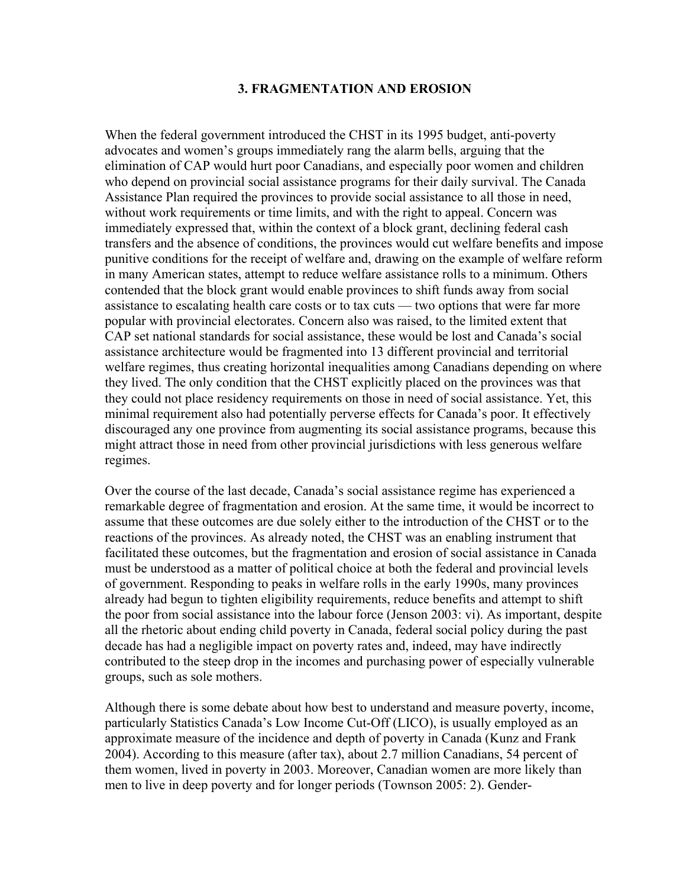#### **3. FRAGMENTATION AND EROSION**

When the federal government introduced the CHST in its 1995 budget, anti-poverty advocates and women's groups immediately rang the alarm bells, arguing that the elimination of CAP would hurt poor Canadians, and especially poor women and children who depend on provincial social assistance programs for their daily survival. The Canada Assistance Plan required the provinces to provide social assistance to all those in need, without work requirements or time limits, and with the right to appeal. Concern was immediately expressed that, within the context of a block grant, declining federal cash transfers and the absence of conditions, the provinces would cut welfare benefits and impose punitive conditions for the receipt of welfare and, drawing on the example of welfare reform in many American states, attempt to reduce welfare assistance rolls to a minimum. Others contended that the block grant would enable provinces to shift funds away from social assistance to escalating health care costs or to tax cuts — two options that were far more popular with provincial electorates. Concern also was raised, to the limited extent that CAP set national standards for social assistance, these would be lost and Canada's social assistance architecture would be fragmented into 13 different provincial and territorial welfare regimes, thus creating horizontal inequalities among Canadians depending on where they lived. The only condition that the CHST explicitly placed on the provinces was that they could not place residency requirements on those in need of social assistance. Yet, this minimal requirement also had potentially perverse effects for Canada's poor. It effectively discouraged any one province from augmenting its social assistance programs, because this might attract those in need from other provincial jurisdictions with less generous welfare regimes.

Over the course of the last decade, Canada's social assistance regime has experienced a remarkable degree of fragmentation and erosion. At the same time, it would be incorrect to assume that these outcomes are due solely either to the introduction of the CHST or to the reactions of the provinces. As already noted, the CHST was an enabling instrument that facilitated these outcomes, but the fragmentation and erosion of social assistance in Canada must be understood as a matter of political choice at both the federal and provincial levels of government. Responding to peaks in welfare rolls in the early 1990s, many provinces already had begun to tighten eligibility requirements, reduce benefits and attempt to shift the poor from social assistance into the labour force (Jenson 2003: vi). As important, despite all the rhetoric about ending child poverty in Canada, federal social policy during the past decade has had a negligible impact on poverty rates and, indeed, may have indirectly contributed to the steep drop in the incomes and purchasing power of especially vulnerable groups, such as sole mothers.

Although there is some debate about how best to understand and measure poverty, income, particularly Statistics Canada's Low Income Cut-Off (LICO), is usually employed as an approximate measure of the incidence and depth of poverty in Canada (Kunz and Frank 2004). According to this measure (after tax), about 2.7 million Canadians, 54 percent of them women, lived in poverty in 2003. Moreover, Canadian women are more likely than men to live in deep poverty and for longer periods (Townson 2005: 2). Gender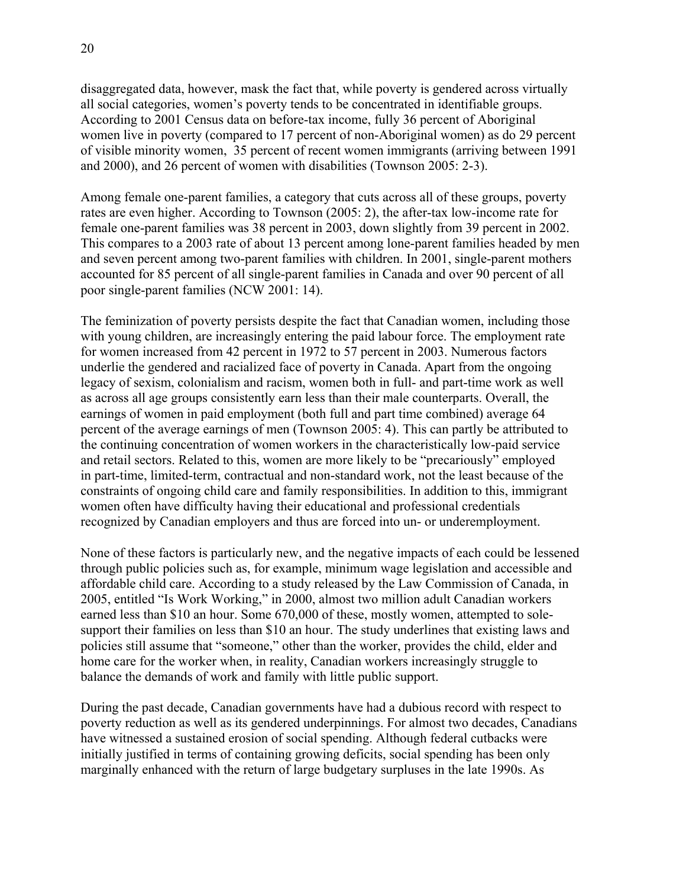disaggregated data, however, mask the fact that, while poverty is gendered across virtually all social categories, women's poverty tends to be concentrated in identifiable groups. According to 2001 Census data on before-tax income, fully 36 percent of Aboriginal women live in poverty (compared to 17 percent of non-Aboriginal women) as do 29 percent of visible minority women, 35 percent of recent women immigrants (arriving between 1991 and 2000), and 26 percent of women with disabilities (Townson 2005: 2-3).

Among female one-parent families, a category that cuts across all of these groups, poverty rates are even higher. According to Townson (2005: 2), the after-tax low-income rate for female one-parent families was 38 percent in 2003, down slightly from 39 percent in 2002. This compares to a 2003 rate of about 13 percent among lone-parent families headed by men and seven percent among two-parent families with children. In 2001, single-parent mothers accounted for 85 percent of all single-parent families in Canada and over 90 percent of all poor single-parent families (NCW 2001: 14).

The feminization of poverty persists despite the fact that Canadian women, including those with young children, are increasingly entering the paid labour force. The employment rate for women increased from 42 percent in 1972 to 57 percent in 2003. Numerous factors underlie the gendered and racialized face of poverty in Canada. Apart from the ongoing legacy of sexism, colonialism and racism, women both in full- and part-time work as well as across all age groups consistently earn less than their male counterparts. Overall, the earnings of women in paid employment (both full and part time combined) average 64 percent of the average earnings of men (Townson 2005: 4). This can partly be attributed to the continuing concentration of women workers in the characteristically low-paid service and retail sectors. Related to this, women are more likely to be "precariously" employed in part-time, limited-term, contractual and non-standard work, not the least because of the constraints of ongoing child care and family responsibilities. In addition to this, immigrant women often have difficulty having their educational and professional credentials recognized by Canadian employers and thus are forced into un- or underemployment.

None of these factors is particularly new, and the negative impacts of each could be lessened through public policies such as, for example, minimum wage legislation and accessible and affordable child care. According to a study released by the Law Commission of Canada, in 2005, entitled "Is Work Working," in 2000, almost two million adult Canadian workers earned less than \$10 an hour. Some 670,000 of these, mostly women, attempted to solesupport their families on less than \$10 an hour. The study underlines that existing laws and policies still assume that "someone," other than the worker, provides the child, elder and home care for the worker when, in reality, Canadian workers increasingly struggle to balance the demands of work and family with little public support.

During the past decade, Canadian governments have had a dubious record with respect to poverty reduction as well as its gendered underpinnings. For almost two decades, Canadians have witnessed a sustained erosion of social spending. Although federal cutbacks were initially justified in terms of containing growing deficits, social spending has been only marginally enhanced with the return of large budgetary surpluses in the late 1990s. As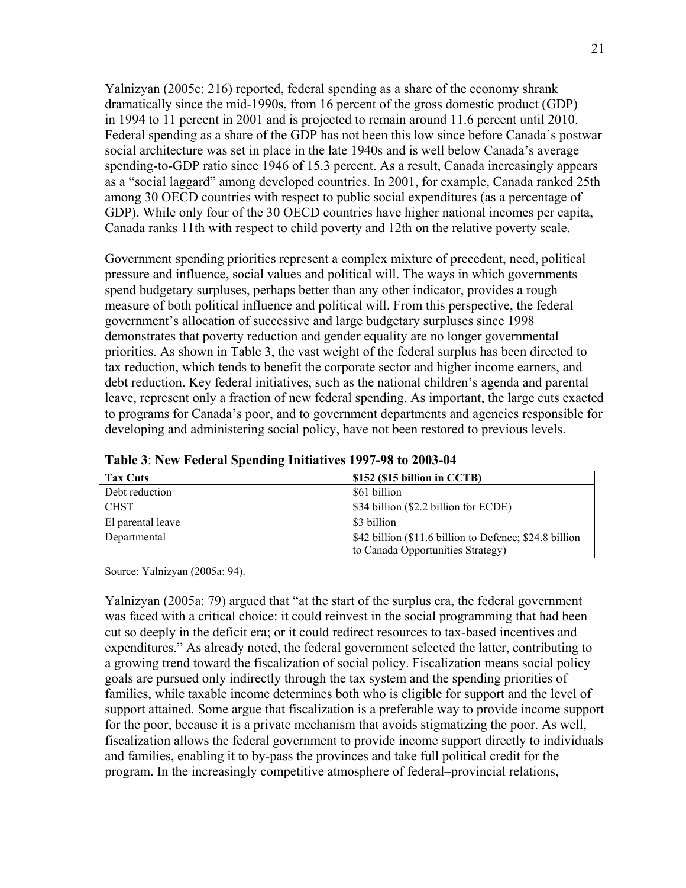Yalnizyan (2005c: 216) reported, federal spending as a share of the economy shrank dramatically since the mid-1990s, from 16 percent of the gross domestic product (GDP) in 1994 to 11 percent in 2001 and is projected to remain around 11.6 percent until 2010. Federal spending as a share of the GDP has not been this low since before Canada's postwar social architecture was set in place in the late 1940s and is well below Canada's average spending-to-GDP ratio since 1946 of 15.3 percent. As a result, Canada increasingly appears as a "social laggard" among developed countries. In 2001, for example, Canada ranked 25th among 30 OECD countries with respect to public social expenditures (as a percentage of GDP). While only four of the 30 OECD countries have higher national incomes per capita, Canada ranks 11th with respect to child poverty and 12th on the relative poverty scale.

Government spending priorities represent a complex mixture of precedent, need, political pressure and influence, social values and political will. The ways in which governments spend budgetary surpluses, perhaps better than any other indicator, provides a rough measure of both political influence and political will. From this perspective, the federal government's allocation of successive and large budgetary surpluses since 1998 demonstrates that poverty reduction and gender equality are no longer governmental priorities. As shown in Table 3, the vast weight of the federal surplus has been directed to tax reduction, which tends to benefit the corporate sector and higher income earners, and debt reduction. Key federal initiatives, such as the national children's agenda and parental leave, represent only a fraction of new federal spending. As important, the large cuts exacted to programs for Canada's poor, and to government departments and agencies responsible for developing and administering social policy, have not been restored to previous levels.

| <b>Tax Cuts</b>   | \$152 (\$15 billion in CCTB)                            |
|-------------------|---------------------------------------------------------|
| Debt reduction    | \$61 billion                                            |
| <b>CHST</b>       | \$34 billion (\$2.2 billion for ECDE)                   |
| El parental leave | \$3 billion                                             |
| Departmental      | \$42 billion (\$11.6 billion to Defence; \$24.8 billion |
|                   | to Canada Opportunities Strategy)                       |

**Table 3**: **New Federal Spending Initiatives 1997-98 to 2003-04** 

Source: Yalnizyan (2005a: 94).

Yalnizyan (2005a: 79) argued that "at the start of the surplus era, the federal government was faced with a critical choice: it could reinvest in the social programming that had been cut so deeply in the deficit era; or it could redirect resources to tax-based incentives and expenditures." As already noted, the federal government selected the latter, contributing to a growing trend toward the fiscalization of social policy. Fiscalization means social policy goals are pursued only indirectly through the tax system and the spending priorities of families, while taxable income determines both who is eligible for support and the level of support attained. Some argue that fiscalization is a preferable way to provide income support for the poor, because it is a private mechanism that avoids stigmatizing the poor. As well, fiscalization allows the federal government to provide income support directly to individuals and families, enabling it to by-pass the provinces and take full political credit for the program. In the increasingly competitive atmosphere of federal–provincial relations,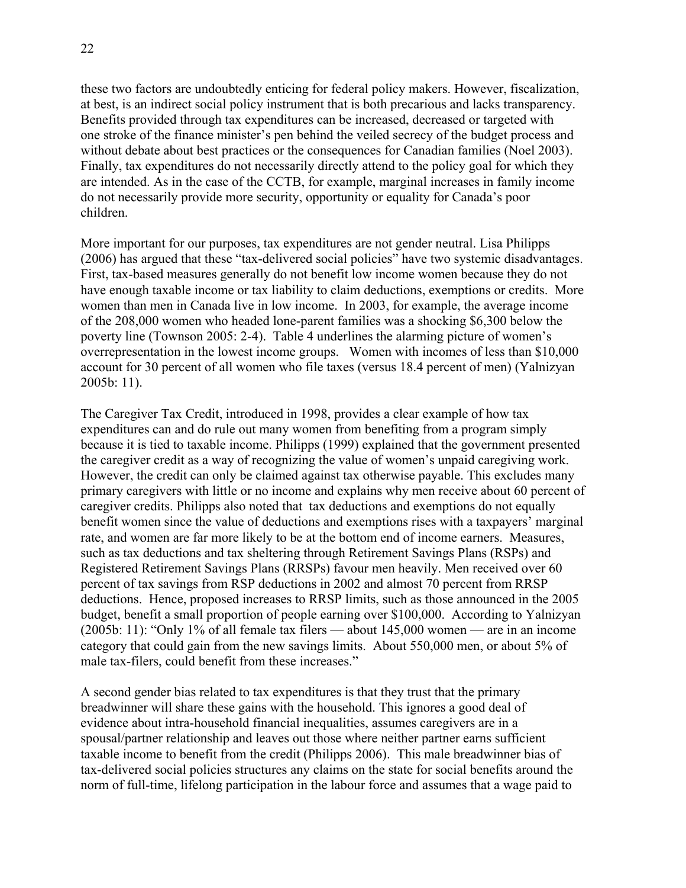these two factors are undoubtedly enticing for federal policy makers. However, fiscalization, at best, is an indirect social policy instrument that is both precarious and lacks transparency. Benefits provided through tax expenditures can be increased, decreased or targeted with one stroke of the finance minister's pen behind the veiled secrecy of the budget process and without debate about best practices or the consequences for Canadian families (Noel 2003). Finally, tax expenditures do not necessarily directly attend to the policy goal for which they are intended. As in the case of the CCTB, for example, marginal increases in family income do not necessarily provide more security, opportunity or equality for Canada's poor children.

More important for our purposes, tax expenditures are not gender neutral. Lisa Philipps (2006) has argued that these "tax-delivered social policies" have two systemic disadvantages. First, tax-based measures generally do not benefit low income women because they do not have enough taxable income or tax liability to claim deductions, exemptions or credits. More women than men in Canada live in low income. In 2003, for example, the average income of the 208,000 women who headed lone-parent families was a shocking \$6,300 below the poverty line (Townson 2005: 2-4). Table 4 underlines the alarming picture of women's overrepresentation in the lowest income groups. Women with incomes of less than \$10,000 account for 30 percent of all women who file taxes (versus 18.4 percent of men) (Yalnizyan 2005b: 11).

The Caregiver Tax Credit, introduced in 1998, provides a clear example of how tax expenditures can and do rule out many women from benefiting from a program simply because it is tied to taxable income. Philipps (1999) explained that the government presented the caregiver credit as a way of recognizing the value of women's unpaid caregiving work. However, the credit can only be claimed against tax otherwise payable. This excludes many primary caregivers with little or no income and explains why men receive about 60 percent of caregiver credits. Philipps also noted that tax deductions and exemptions do not equally benefit women since the value of deductions and exemptions rises with a taxpayers' marginal rate, and women are far more likely to be at the bottom end of income earners. Measures, such as tax deductions and tax sheltering through Retirement Savings Plans (RSPs) and Registered Retirement Savings Plans (RRSPs) favour men heavily. Men received over 60 percent of tax savings from RSP deductions in 2002 and almost 70 percent from RRSP deductions. Hence, proposed increases to RRSP limits, such as those announced in the 2005 budget, benefit a small proportion of people earning over \$100,000. According to Yalnizyan (2005b: 11): "Only 1% of all female tax filers — about 145,000 women — are in an income category that could gain from the new savings limits. About 550,000 men, or about 5% of male tax-filers, could benefit from these increases."

A second gender bias related to tax expenditures is that they trust that the primary breadwinner will share these gains with the household. This ignores a good deal of evidence about intra-household financial inequalities, assumes caregivers are in a spousal/partner relationship and leaves out those where neither partner earns sufficient taxable income to benefit from the credit (Philipps 2006). This male breadwinner bias of tax-delivered social policies structures any claims on the state for social benefits around the norm of full-time, lifelong participation in the labour force and assumes that a wage paid to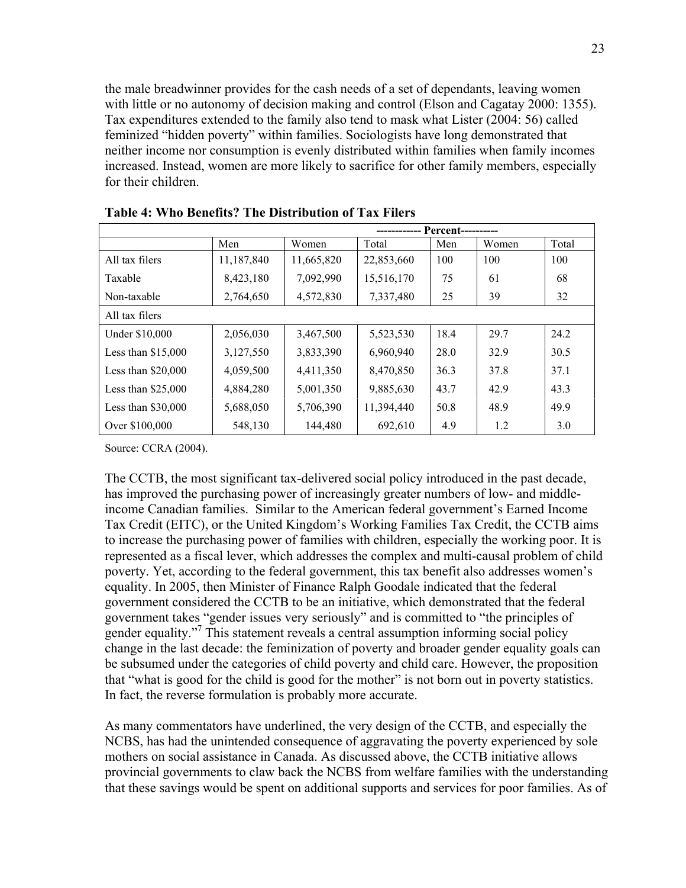the male breadwinner provides for the cash needs of a set of dependants, leaving women with little or no autonomy of decision making and control (Elson and Cagatay 2000: 1355). Tax expenditures extended to the family also tend to mask what Lister (2004: 56) called feminized "hidden poverty" within families. Sociologists have long demonstrated that neither income nor consumption is evenly distributed within families when family incomes increased. Instead, women are more likely to sacrifice for other family members, especially for their children.

|                     | Percent--  |            |            |      |       |       |
|---------------------|------------|------------|------------|------|-------|-------|
|                     | Men        | Women      | Total      | Men  | Women | Total |
| All tax filers      | 11,187,840 | 11,665,820 | 22,853,660 | 100  | 100   | 100   |
| Taxable             | 8,423,180  | 7,092,990  | 15,516,170 | 75   | 61    | 68    |
| Non-taxable         | 2,764,650  | 4,572,830  | 7,337,480  | 25   | 39    | 32    |
| All tax filers      |            |            |            |      |       |       |
| Under \$10,000      | 2,056,030  | 3,467,500  | 5,523,530  | 18.4 | 29.7  | 24.2  |
| Less than $$15,000$ | 3,127,550  | 3,833,390  | 6,960,940  | 28.0 | 32.9  | 30.5  |
| Less than $$20,000$ | 4,059,500  | 4,411,350  | 8,470,850  | 36.3 | 37.8  | 37.1  |
| Less than $$25,000$ | 4,884,280  | 5,001,350  | 9,885,630  | 43.7 | 42.9  | 43.3  |
| Less than $$30,000$ | 5,688,050  | 5,706,390  | 11,394,440 | 50.8 | 48.9  | 49.9  |
| Over \$100,000      | 548,130    | 144,480    | 692,610    | 4.9  | 1.2   | 3.0   |

**Table 4: Who Benefits? The Distribution of Tax Filers** 

Source: CCRA (2004).

The CCTB, the most significant tax-delivered social policy introduced in the past decade, has improved the purchasing power of increasingly greater numbers of low- and middleincome Canadian families. Similar to the American federal government's Earned Income Tax Credit (EITC), or the United Kingdom's Working Families Tax Credit, the CCTB aims to increase the purchasing power of families with children, especially the working poor. It is represented as a fiscal lever, which addresses the complex and multi-causal problem of child poverty. Yet, according to the federal government, this tax benefit also addresses women's equality. In 2005, then Minister of Finance Ralph Goodale indicated that the federal government considered the CCTB to be an initiative, which demonstrated that the federal government takes "gender issues very seriously" and is committed to "the principles of gender equality."<sup>7</sup> This statement reveals a central assumption informing social policy change in the last decade: the feminization of poverty and broader gender equality goals can be subsumed under the categories of child poverty and child care. However, the proposition that "what is good for the child is good for the mother" is not born out in poverty statistics. In fact, the reverse formulation is probably more accurate.

As many commentators have underlined, the very design of the CCTB, and especially the NCBS, has had the unintended consequence of aggravating the poverty experienced by sole mothers on social assistance in Canada. As discussed above, the CCTB initiative allows provincial governments to claw back the NCBS from welfare families with the understanding that these savings would be spent on additional supports and services for poor families. As of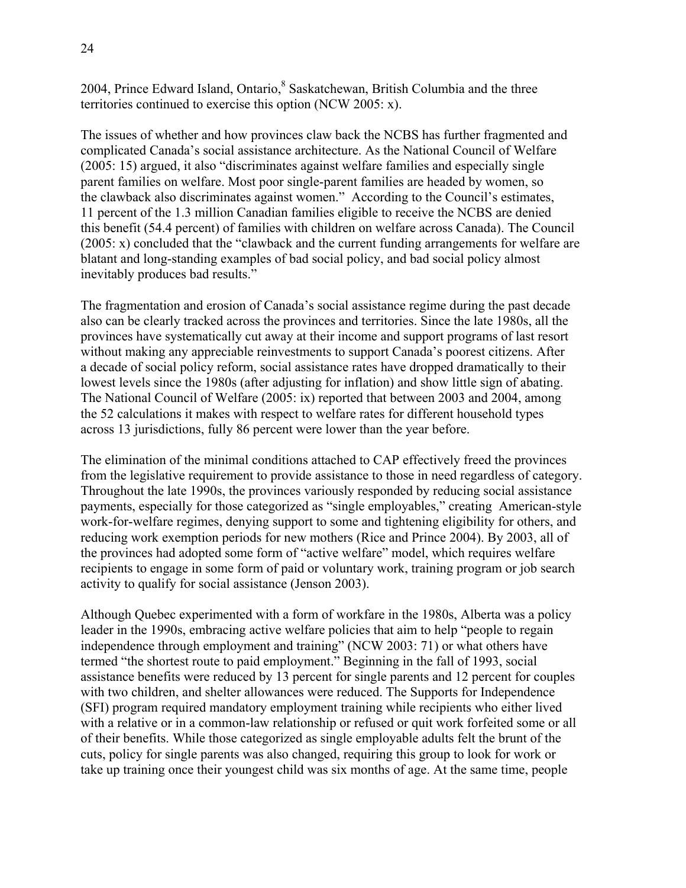2004, Prince Edward Island, Ontario,<sup>8</sup> Saskatchewan, British Columbia and the three territories continued to exercise this option (NCW 2005: x).

The issues of whether and how provinces claw back the NCBS has further fragmented and complicated Canada's social assistance architecture. As the National Council of Welfare (2005: 15) argued, it also "discriminates against welfare families and especially single parent families on welfare. Most poor single-parent families are headed by women, so the clawback also discriminates against women." According to the Council's estimates, 11 percent of the 1.3 million Canadian families eligible to receive the NCBS are denied this benefit (54.4 percent) of families with children on welfare across Canada). The Council (2005: x) concluded that the "clawback and the current funding arrangements for welfare are blatant and long-standing examples of bad social policy, and bad social policy almost inevitably produces bad results."

The fragmentation and erosion of Canada's social assistance regime during the past decade also can be clearly tracked across the provinces and territories. Since the late 1980s, all the provinces have systematically cut away at their income and support programs of last resort without making any appreciable reinvestments to support Canada's poorest citizens. After a decade of social policy reform, social assistance rates have dropped dramatically to their lowest levels since the 1980s (after adjusting for inflation) and show little sign of abating. The National Council of Welfare (2005: ix) reported that between 2003 and 2004, among the 52 calculations it makes with respect to welfare rates for different household types across 13 jurisdictions, fully 86 percent were lower than the year before.

The elimination of the minimal conditions attached to CAP effectively freed the provinces from the legislative requirement to provide assistance to those in need regardless of category. Throughout the late 1990s, the provinces variously responded by reducing social assistance payments, especially for those categorized as "single employables," creating American-style work-for-welfare regimes, denying support to some and tightening eligibility for others, and reducing work exemption periods for new mothers (Rice and Prince 2004). By 2003, all of the provinces had adopted some form of "active welfare" model, which requires welfare recipients to engage in some form of paid or voluntary work, training program or job search activity to qualify for social assistance (Jenson 2003).

Although Quebec experimented with a form of workfare in the 1980s, Alberta was a policy leader in the 1990s, embracing active welfare policies that aim to help "people to regain independence through employment and training" (NCW 2003: 71) or what others have termed "the shortest route to paid employment." Beginning in the fall of 1993, social assistance benefits were reduced by 13 percent for single parents and 12 percent for couples with two children, and shelter allowances were reduced. The Supports for Independence (SFI) program required mandatory employment training while recipients who either lived with a relative or in a common-law relationship or refused or quit work forfeited some or all of their benefits. While those categorized as single employable adults felt the brunt of the cuts, policy for single parents was also changed, requiring this group to look for work or take up training once their youngest child was six months of age. At the same time, people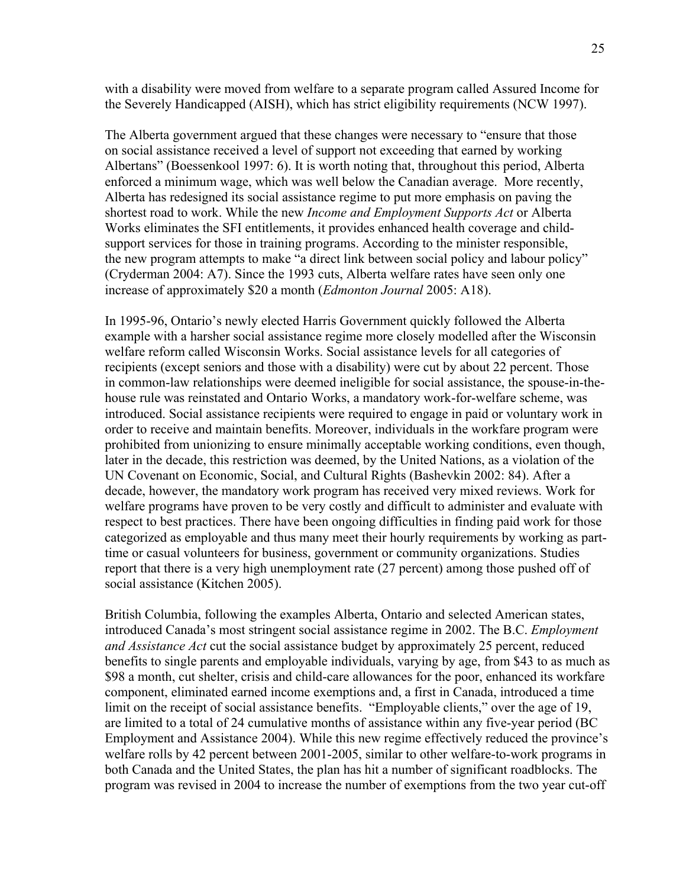with a disability were moved from welfare to a separate program called Assured Income for the Severely Handicapped (AISH), which has strict eligibility requirements (NCW 1997).

The Alberta government argued that these changes were necessary to "ensure that those on social assistance received a level of support not exceeding that earned by working Albertans" (Boessenkool 1997: 6). It is worth noting that, throughout this period, Alberta enforced a minimum wage, which was well below the Canadian average. More recently, Alberta has redesigned its social assistance regime to put more emphasis on paving the shortest road to work. While the new *Income and Employment Supports Act* or Alberta Works eliminates the SFI entitlements, it provides enhanced health coverage and childsupport services for those in training programs. According to the minister responsible, the new program attempts to make "a direct link between social policy and labour policy" (Cryderman 2004: A7). Since the 1993 cuts, Alberta welfare rates have seen only one increase of approximately \$20 a month (*Edmonton Journal* 2005: A18).

In 1995-96, Ontario's newly elected Harris Government quickly followed the Alberta example with a harsher social assistance regime more closely modelled after the Wisconsin welfare reform called Wisconsin Works. Social assistance levels for all categories of recipients (except seniors and those with a disability) were cut by about 22 percent. Those in common-law relationships were deemed ineligible for social assistance, the spouse-in-thehouse rule was reinstated and Ontario Works, a mandatory work-for-welfare scheme, was introduced. Social assistance recipients were required to engage in paid or voluntary work in order to receive and maintain benefits. Moreover, individuals in the workfare program were prohibited from unionizing to ensure minimally acceptable working conditions, even though, later in the decade, this restriction was deemed, by the United Nations, as a violation of the UN Covenant on Economic, Social, and Cultural Rights (Bashevkin 2002: 84). After a decade, however, the mandatory work program has received very mixed reviews. Work for welfare programs have proven to be very costly and difficult to administer and evaluate with respect to best practices. There have been ongoing difficulties in finding paid work for those categorized as employable and thus many meet their hourly requirements by working as parttime or casual volunteers for business, government or community organizations. Studies report that there is a very high unemployment rate (27 percent) among those pushed off of social assistance (Kitchen 2005).

British Columbia, following the examples Alberta, Ontario and selected American states, introduced Canada's most stringent social assistance regime in 2002. The B.C. *Employment and Assistance Act* cut the social assistance budget by approximately 25 percent, reduced benefits to single parents and employable individuals, varying by age, from \$43 to as much as \$98 a month, cut shelter, crisis and child-care allowances for the poor, enhanced its workfare component, eliminated earned income exemptions and, a first in Canada, introduced a time limit on the receipt of social assistance benefits. "Employable clients," over the age of 19, are limited to a total of 24 cumulative months of assistance within any five-year period (BC Employment and Assistance 2004). While this new regime effectively reduced the province's welfare rolls by 42 percent between 2001-2005, similar to other welfare-to-work programs in both Canada and the United States, the plan has hit a number of significant roadblocks. The program was revised in 2004 to increase the number of exemptions from the two year cut-off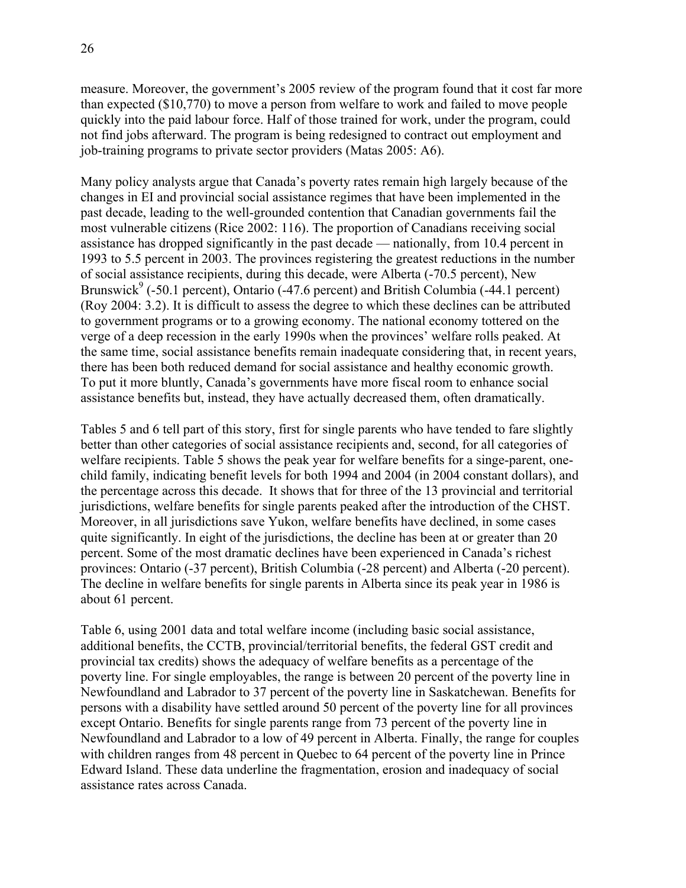measure. Moreover, the government's 2005 review of the program found that it cost far more than expected (\$10,770) to move a person from welfare to work and failed to move people quickly into the paid labour force. Half of those trained for work, under the program, could not find jobs afterward. The program is being redesigned to contract out employment and job-training programs to private sector providers (Matas 2005: A6).

Many policy analysts argue that Canada's poverty rates remain high largely because of the changes in EI and provincial social assistance regimes that have been implemented in the past decade, leading to the well-grounded contention that Canadian governments fail the most vulnerable citizens (Rice 2002: 116). The proportion of Canadians receiving social assistance has dropped significantly in the past decade — nationally, from 10.4 percent in 1993 to 5.5 percent in 2003. The provinces registering the greatest reductions in the number of social assistance recipients, during this decade, were Alberta (-70.5 percent), New Brunswick<sup>9</sup> (-50.1 percent), Ontario (-47.6 percent) and British Columbia (-44.1 percent) (Roy 2004: 3.2). It is difficult to assess the degree to which these declines can be attributed to government programs or to a growing economy. The national economy tottered on the verge of a deep recession in the early 1990s when the provinces' welfare rolls peaked. At the same time, social assistance benefits remain inadequate considering that, in recent years, there has been both reduced demand for social assistance and healthy economic growth. To put it more bluntly, Canada's governments have more fiscal room to enhance social assistance benefits but, instead, they have actually decreased them, often dramatically.

Tables 5 and 6 tell part of this story, first for single parents who have tended to fare slightly better than other categories of social assistance recipients and, second, for all categories of welfare recipients. Table 5 shows the peak year for welfare benefits for a singe-parent, onechild family, indicating benefit levels for both 1994 and 2004 (in 2004 constant dollars), and the percentage across this decade. It shows that for three of the 13 provincial and territorial jurisdictions, welfare benefits for single parents peaked after the introduction of the CHST. Moreover, in all jurisdictions save Yukon, welfare benefits have declined, in some cases quite significantly. In eight of the jurisdictions, the decline has been at or greater than 20 percent. Some of the most dramatic declines have been experienced in Canada's richest provinces: Ontario (-37 percent), British Columbia (-28 percent) and Alberta (-20 percent). The decline in welfare benefits for single parents in Alberta since its peak year in 1986 is about 61 percent.

Table 6, using 2001 data and total welfare income (including basic social assistance, additional benefits, the CCTB, provincial/territorial benefits, the federal GST credit and provincial tax credits) shows the adequacy of welfare benefits as a percentage of the poverty line. For single employables, the range is between 20 percent of the poverty line in Newfoundland and Labrador to 37 percent of the poverty line in Saskatchewan. Benefits for persons with a disability have settled around 50 percent of the poverty line for all provinces except Ontario. Benefits for single parents range from 73 percent of the poverty line in Newfoundland and Labrador to a low of 49 percent in Alberta. Finally, the range for couples with children ranges from 48 percent in Quebec to 64 percent of the poverty line in Prince Edward Island. These data underline the fragmentation, erosion and inadequacy of social assistance rates across Canada.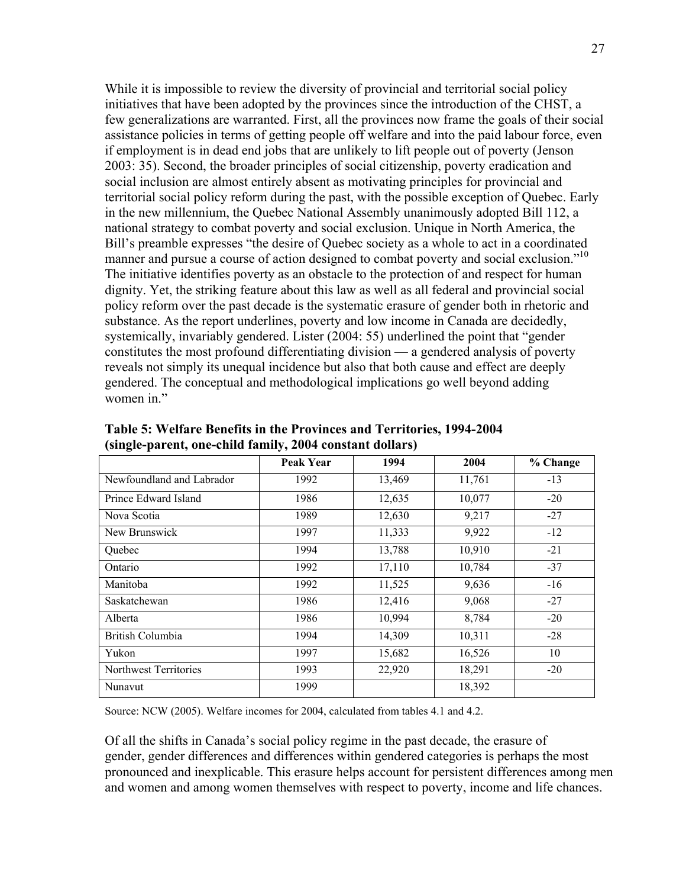While it is impossible to review the diversity of provincial and territorial social policy initiatives that have been adopted by the provinces since the introduction of the CHST, a few generalizations are warranted. First, all the provinces now frame the goals of their social assistance policies in terms of getting people off welfare and into the paid labour force, even if employment is in dead end jobs that are unlikely to lift people out of poverty (Jenson 2003: 35). Second, the broader principles of social citizenship, poverty eradication and social inclusion are almost entirely absent as motivating principles for provincial and territorial social policy reform during the past, with the possible exception of Quebec. Early in the new millennium, the Quebec National Assembly unanimously adopted Bill 112, a national strategy to combat poverty and social exclusion. Unique in North America, the Bill's preamble expresses "the desire of Quebec society as a whole to act in a coordinated manner and pursue a course of action designed to combat poverty and social exclusion."<sup>10</sup> The initiative identifies poverty as an obstacle to the protection of and respect for human dignity. Yet, the striking feature about this law as well as all federal and provincial social policy reform over the past decade is the systematic erasure of gender both in rhetoric and substance. As the report underlines, poverty and low income in Canada are decidedly, systemically, invariably gendered. Lister (2004: 55) underlined the point that "gender constitutes the most profound differentiating division — a gendered analysis of poverty reveals not simply its unequal incidence but also that both cause and effect are deeply gendered. The conceptual and methodological implications go well beyond adding women in."

|                           | Peak Year | 1994   | 2004   | % Change |
|---------------------------|-----------|--------|--------|----------|
| Newfoundland and Labrador | 1992      | 13,469 | 11,761 | $-13$    |
| Prince Edward Island      | 1986      | 12,635 | 10,077 | $-20$    |
| Nova Scotia               | 1989      | 12,630 | 9,217  | $-27$    |
| New Brunswick             | 1997      | 11,333 | 9,922  | $-12$    |
| Ouebec                    | 1994      | 13,788 | 10,910 | $-21$    |
| Ontario                   | 1992      | 17,110 | 10,784 | $-37$    |
| Manitoba                  | 1992      | 11,525 | 9,636  | $-16$    |
| Saskatchewan              | 1986      | 12,416 | 9,068  | $-27$    |
| Alberta                   | 1986      | 10,994 | 8,784  | $-20$    |
| British Columbia          | 1994      | 14,309 | 10,311 | $-28$    |
| Yukon                     | 1997      | 15,682 | 16,526 | 10       |
| Northwest Territories     | 1993      | 22,920 | 18,291 | $-20$    |
| Nunavut                   | 1999      |        | 18,392 |          |

**Table 5: Welfare Benefits in the Provinces and Territories, 1994-2004 (single-parent, one-child family, 2004 constant dollars)**

Source: NCW (2005). Welfare incomes for 2004, calculated from tables 4.1 and 4.2.

Of all the shifts in Canada's social policy regime in the past decade, the erasure of gender, gender differences and differences within gendered categories is perhaps the most pronounced and inexplicable. This erasure helps account for persistent differences among men and women and among women themselves with respect to poverty, income and life chances.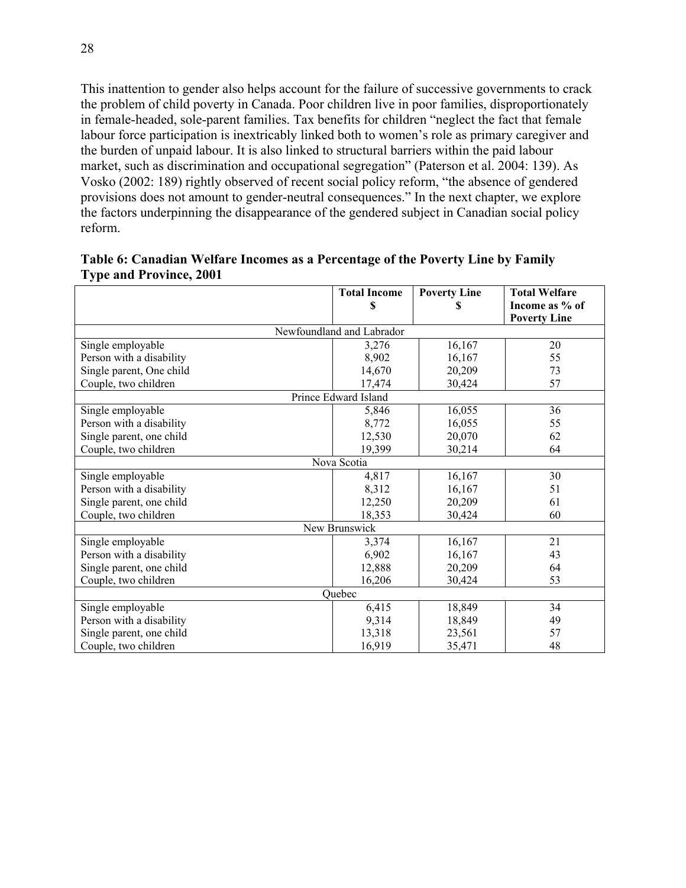This inattention to gender also helps account for the failure of successive governments to crack the problem of child poverty in Canada. Poor children live in poor families, disproportionately in female-headed, sole-parent families. Tax benefits for children "neglect the fact that female labour force participation is inextricably linked both to women's role as primary caregiver and the burden of unpaid labour. It is also linked to structural barriers within the paid labour market, such as discrimination and occupational segregation" (Paterson et al. 2004: 139). As Vosko (2002: 189) rightly observed of recent social policy reform, "the absence of gendered provisions does not amount to gender-neutral consequences." In the next chapter, we explore the factors underpinning the disappearance of the gendered subject in Canadian social policy reform.

|                          | <b>Total Income</b>       | <b>Poverty Line</b> | <b>Total Welfare</b> |
|--------------------------|---------------------------|---------------------|----------------------|
|                          | \$                        | S                   | Income as % of       |
|                          |                           |                     | <b>Poverty Line</b>  |
|                          | Newfoundland and Labrador |                     |                      |
| Single employable        | 3,276                     | 16,167              | 20                   |
| Person with a disability | 8,902                     | 16,167              | 55                   |
| Single parent, One child | 14,670                    | 20,209              | 73                   |
| Couple, two children     | 17,474                    | 30,424              | 57                   |
|                          | Prince Edward Island      |                     |                      |
| Single employable        | 5,846                     | 16,055              | 36                   |
| Person with a disability | 8,772                     | 16,055              | 55                   |
| Single parent, one child | 12,530                    | 20,070              | 62                   |
| Couple, two children     | 19,399                    | 30,214              | 64                   |
|                          | Nova Scotia               |                     |                      |
| Single employable        | 4,817                     | 16,167              | 30                   |
| Person with a disability | 8,312                     | 16,167              | 51                   |
| Single parent, one child | 12,250                    | 20,209              | 61                   |
| Couple, two children     | 18,353                    | 30,424              | 60                   |
| New Brunswick            |                           |                     |                      |
| Single employable        | 3,374                     | 16,167              | 21                   |
| Person with a disability | 6,902                     | 16,167              | 43                   |
| Single parent, one child | 12,888                    | 20,209              | 64                   |
| Couple, two children     | 16,206                    | 30,424              | 53                   |
| Ouebec                   |                           |                     |                      |
| Single employable        | 6,415                     | 18,849              | 34                   |
| Person with a disability | 9,314                     | 18,849              | 49                   |
| Single parent, one child | 13,318                    | 23,561              | 57                   |
| Couple, two children     | 16,919                    | 35,471              | 48                   |

|                                | Table 6: Canadian Welfare Incomes as a Percentage of the Poverty Line by Family |
|--------------------------------|---------------------------------------------------------------------------------|
| <b>Type and Province, 2001</b> |                                                                                 |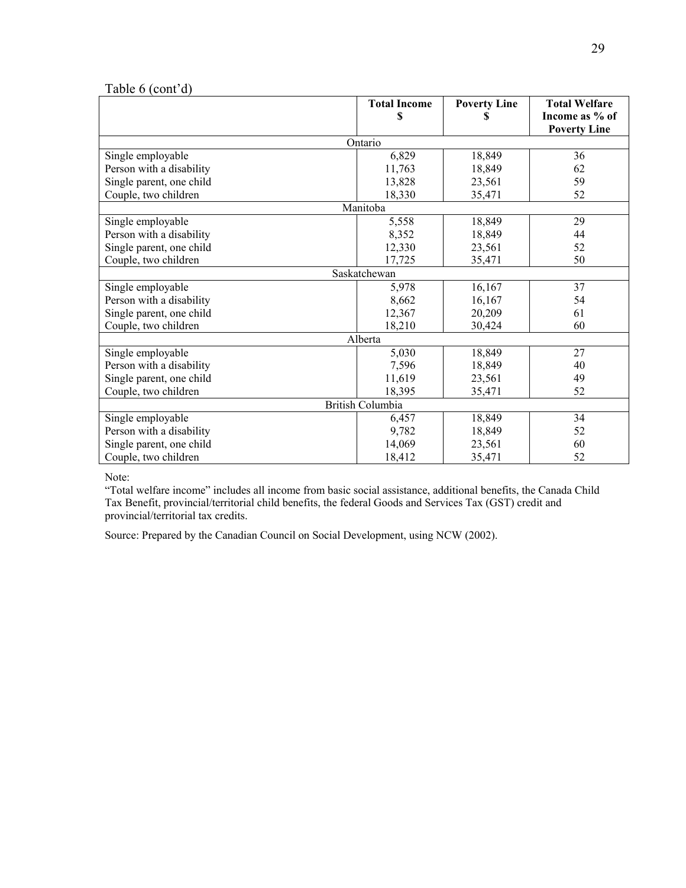Table 6 (cont'd)

|                          | <b>Total Income</b> | <b>Poverty Line</b> | <b>Total Welfare</b> |
|--------------------------|---------------------|---------------------|----------------------|
|                          | \$                  | \$                  | Income as % of       |
|                          |                     |                     | <b>Poverty Line</b>  |
|                          | Ontario             |                     |                      |
| Single employable        | 6,829               | 18,849              | 36                   |
| Person with a disability | 11,763              | 18,849              | 62                   |
| Single parent, one child | 13,828              | 23,561              | 59                   |
| Couple, two children     | 18,330              | 35,471              | 52                   |
|                          | Manitoba            |                     |                      |
| Single employable        | 5,558               | 18,849              | 29                   |
| Person with a disability | 8,352               | 18,849              | 44                   |
| Single parent, one child | 12,330              | 23,561              | 52                   |
| Couple, two children     | 17,725              | 35,471              | 50                   |
|                          | Saskatchewan        |                     |                      |
| Single employable        | 5,978               | 16,167              | 37                   |
| Person with a disability | 8,662               | 16,167              | 54                   |
| Single parent, one child | 12,367              | 20,209              | 61                   |
| Couple, two children     | 18,210              | 30,424              | 60                   |
| Alberta                  |                     |                     |                      |
| Single employable        | 5,030               | 18,849              | 27                   |
| Person with a disability | 7,596               | 18,849              | 40                   |
| Single parent, one child | 11,619              | 23,561              | 49                   |
| Couple, two children     | 18,395              | 35,471              | 52                   |
| <b>British Columbia</b>  |                     |                     |                      |
| Single employable        | 6,457               | 18,849              | 34                   |
| Person with a disability | 9,782               | 18,849              | 52                   |
| Single parent, one child | 14,069              | 23,561              | 60                   |
| Couple, two children     | 18,412              | 35,471              | 52                   |

Note:

"Total welfare income" includes all income from basic social assistance, additional benefits, the Canada Child Tax Benefit, provincial/territorial child benefits, the federal Goods and Services Tax (GST) credit and provincial/territorial tax credits.

Source: Prepared by the Canadian Council on Social Development, using NCW (2002).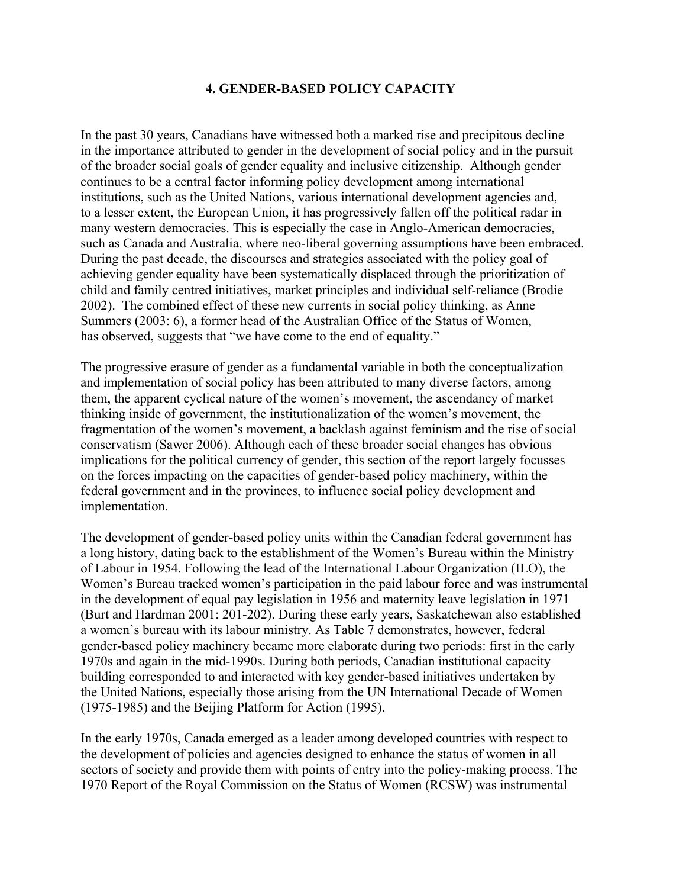## **4. GENDER-BASED POLICY CAPACITY**

In the past 30 years, Canadians have witnessed both a marked rise and precipitous decline in the importance attributed to gender in the development of social policy and in the pursuit of the broader social goals of gender equality and inclusive citizenship. Although gender continues to be a central factor informing policy development among international institutions, such as the United Nations, various international development agencies and, to a lesser extent, the European Union, it has progressively fallen off the political radar in many western democracies. This is especially the case in Anglo-American democracies, such as Canada and Australia, where neo-liberal governing assumptions have been embraced. During the past decade, the discourses and strategies associated with the policy goal of achieving gender equality have been systematically displaced through the prioritization of child and family centred initiatives, market principles and individual self-reliance (Brodie 2002). The combined effect of these new currents in social policy thinking, as Anne Summers (2003: 6), a former head of the Australian Office of the Status of Women, has observed, suggests that "we have come to the end of equality."

The progressive erasure of gender as a fundamental variable in both the conceptualization and implementation of social policy has been attributed to many diverse factors, among them, the apparent cyclical nature of the women's movement, the ascendancy of market thinking inside of government, the institutionalization of the women's movement, the fragmentation of the women's movement, a backlash against feminism and the rise of social conservatism (Sawer 2006). Although each of these broader social changes has obvious implications for the political currency of gender, this section of the report largely focusses on the forces impacting on the capacities of gender-based policy machinery, within the federal government and in the provinces, to influence social policy development and implementation.

The development of gender-based policy units within the Canadian federal government has a long history, dating back to the establishment of the Women's Bureau within the Ministry of Labour in 1954. Following the lead of the International Labour Organization (ILO), the Women's Bureau tracked women's participation in the paid labour force and was instrumental in the development of equal pay legislation in 1956 and maternity leave legislation in 1971 (Burt and Hardman 2001: 201-202). During these early years, Saskatchewan also established a women's bureau with its labour ministry. As Table 7 demonstrates, however, federal gender-based policy machinery became more elaborate during two periods: first in the early 1970s and again in the mid-1990s. During both periods, Canadian institutional capacity building corresponded to and interacted with key gender-based initiatives undertaken by the United Nations, especially those arising from the UN International Decade of Women (1975-1985) and the Beijing Platform for Action (1995).

In the early 1970s, Canada emerged as a leader among developed countries with respect to the development of policies and agencies designed to enhance the status of women in all sectors of society and provide them with points of entry into the policy-making process. The 1970 Report of the Royal Commission on the Status of Women (RCSW) was instrumental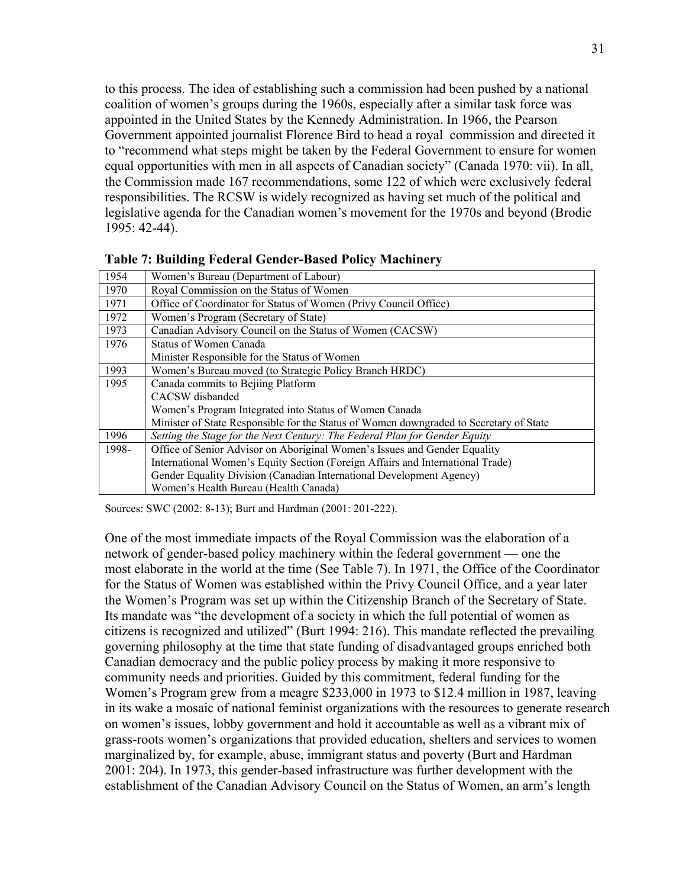to this process. The idea of establishing such a commission had been pushed by a national coalition of women's groups during the 1960s, especially after a similar task force was appointed in the United States by the Kennedy Administration. In 1966, the Pearson Government appointed journalist Florence Bird to head a royal commission and directed it to "recommend what steps might be taken by the Federal Government to ensure for women equal opportunities with men in all aspects of Canadian society" (Canada 1970: vii). In all, the Commission made 167 recommendations, some 122 of which were exclusively federal responsibilities. The RCSW is widely recognized as having set much of the political and legislative agenda for the Canadian women's movement for the 1970s and beyond (Brodie 1995: 42-44).

| 1954  | Women's Bureau (Department of Labour)                                                  |
|-------|----------------------------------------------------------------------------------------|
| 1970  | Royal Commission on the Status of Women                                                |
| 1971  | Office of Coordinator for Status of Women (Privy Council Office)                       |
| 1972  | Women's Program (Secretary of State)                                                   |
| 1973  | Canadian Advisory Council on the Status of Women (CACSW)                               |
| 1976  | Status of Women Canada                                                                 |
|       | Minister Responsible for the Status of Women                                           |
| 1993  | Women's Bureau moved (to Strategic Policy Branch HRDC)                                 |
| 1995  | Canada commits to Bejiing Platform                                                     |
|       | CACSW disbanded                                                                        |
|       | Women's Program Integrated into Status of Women Canada                                 |
|       | Minister of State Responsible for the Status of Women downgraded to Secretary of State |
| 1996  | Setting the Stage for the Next Century: The Federal Plan for Gender Equity             |
| 1998- | Office of Senior Advisor on Aboriginal Women's Issues and Gender Equality              |
|       | International Women's Equity Section (Foreign Affairs and International Trade)         |
|       | Gender Equality Division (Canadian International Development Agency)                   |
|       | Women's Health Bureau (Health Canada)                                                  |

**Table 7: Building Federal Gender-Based Policy Machinery**

Sources: SWC (2002: 8-13); Burt and Hardman (2001: 201-222).

One of the most immediate impacts of the Royal Commission was the elaboration of a network of gender-based policy machinery within the federal government — one the most elaborate in the world at the time (See Table 7). In 1971, the Office of the Coordinator for the Status of Women was established within the Privy Council Office, and a year later the Women's Program was set up within the Citizenship Branch of the Secretary of State. Its mandate was "the development of a society in which the full potential of women as citizens is recognized and utilized" (Burt 1994: 216). This mandate reflected the prevailing governing philosophy at the time that state funding of disadvantaged groups enriched both Canadian democracy and the public policy process by making it more responsive to community needs and priorities. Guided by this commitment, federal funding for the Women's Program grew from a meagre \$233,000 in 1973 to \$12.4 million in 1987, leaving in its wake a mosaic of national feminist organizations with the resources to generate research on women's issues, lobby government and hold it accountable as well as a vibrant mix of grass-roots women's organizations that provided education, shelters and services to women marginalized by, for example, abuse, immigrant status and poverty (Burt and Hardman 2001: 204). In 1973, this gender-based infrastructure was further development with the establishment of the Canadian Advisory Council on the Status of Women, an arm's length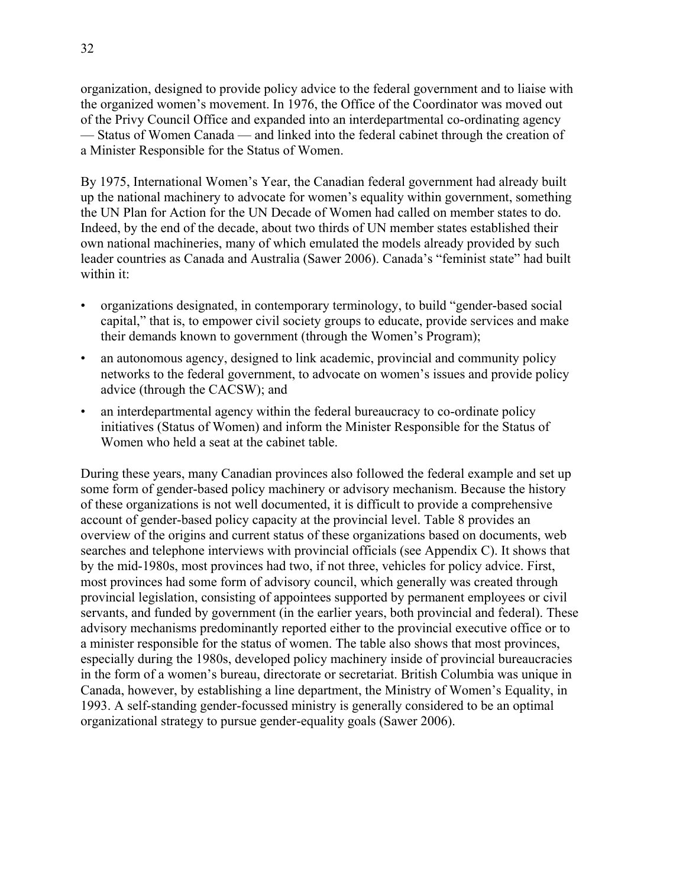organization, designed to provide policy advice to the federal government and to liaise with the organized women's movement. In 1976, the Office of the Coordinator was moved out of the Privy Council Office and expanded into an interdepartmental co-ordinating agency — Status of Women Canada — and linked into the federal cabinet through the creation of a Minister Responsible for the Status of Women.

By 1975, International Women's Year, the Canadian federal government had already built up the national machinery to advocate for women's equality within government, something the UN Plan for Action for the UN Decade of Women had called on member states to do. Indeed, by the end of the decade, about two thirds of UN member states established their own national machineries, many of which emulated the models already provided by such leader countries as Canada and Australia (Sawer 2006). Canada's "feminist state" had built within it:

- organizations designated, in contemporary terminology, to build "gender-based social capital," that is, to empower civil society groups to educate, provide services and make their demands known to government (through the Women's Program);
- an autonomous agency, designed to link academic, provincial and community policy networks to the federal government, to advocate on women's issues and provide policy advice (through the CACSW); and
- an interdepartmental agency within the federal bureaucracy to co-ordinate policy initiatives (Status of Women) and inform the Minister Responsible for the Status of Women who held a seat at the cabinet table.

During these years, many Canadian provinces also followed the federal example and set up some form of gender-based policy machinery or advisory mechanism. Because the history of these organizations is not well documented, it is difficult to provide a comprehensive account of gender-based policy capacity at the provincial level. Table 8 provides an overview of the origins and current status of these organizations based on documents, web searches and telephone interviews with provincial officials (see Appendix C). It shows that by the mid-1980s, most provinces had two, if not three, vehicles for policy advice. First, most provinces had some form of advisory council, which generally was created through provincial legislation, consisting of appointees supported by permanent employees or civil servants, and funded by government (in the earlier years, both provincial and federal). These advisory mechanisms predominantly reported either to the provincial executive office or to a minister responsible for the status of women. The table also shows that most provinces, especially during the 1980s, developed policy machinery inside of provincial bureaucracies in the form of a women's bureau, directorate or secretariat. British Columbia was unique in Canada, however, by establishing a line department, the Ministry of Women's Equality, in 1993. A self-standing gender-focussed ministry is generally considered to be an optimal organizational strategy to pursue gender-equality goals (Sawer 2006).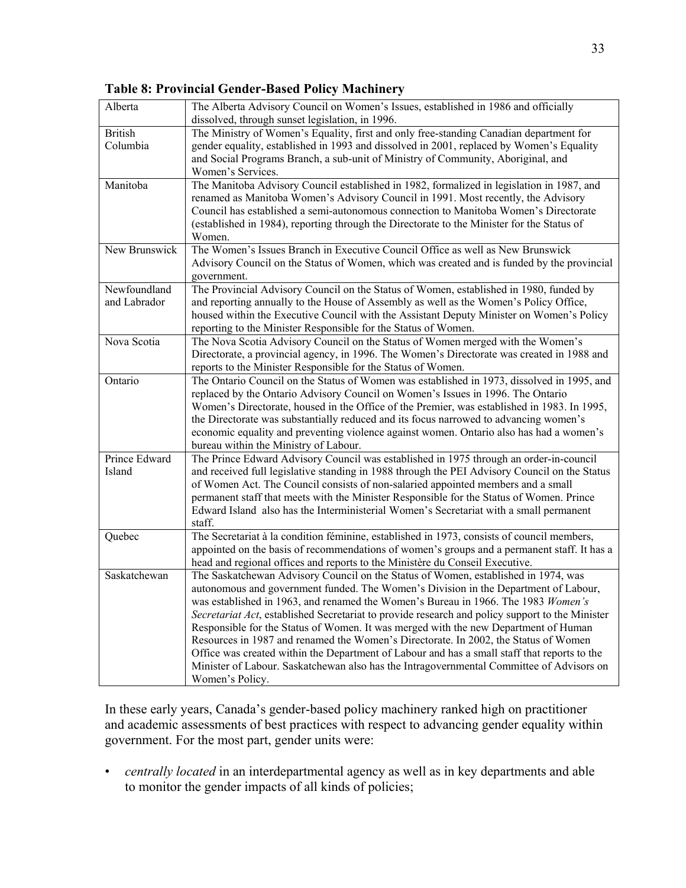**Table 8: Provincial Gender-Based Policy Machinery** 

| Alberta                      | The Alberta Advisory Council on Women's Issues, established in 1986 and officially<br>dissolved, through sunset legislation, in 1996.                                                                                                                                                                                                                                                                                                                                                                                                                                                                                                                                                                                                                          |
|------------------------------|----------------------------------------------------------------------------------------------------------------------------------------------------------------------------------------------------------------------------------------------------------------------------------------------------------------------------------------------------------------------------------------------------------------------------------------------------------------------------------------------------------------------------------------------------------------------------------------------------------------------------------------------------------------------------------------------------------------------------------------------------------------|
| <b>British</b><br>Columbia   | The Ministry of Women's Equality, first and only free-standing Canadian department for<br>gender equality, established in 1993 and dissolved in 2001, replaced by Women's Equality<br>and Social Programs Branch, a sub-unit of Ministry of Community, Aboriginal, and<br>Women's Services.                                                                                                                                                                                                                                                                                                                                                                                                                                                                    |
| Manitoba                     | The Manitoba Advisory Council established in 1982, formalized in legislation in 1987, and<br>renamed as Manitoba Women's Advisory Council in 1991. Most recently, the Advisory<br>Council has established a semi-autonomous connection to Manitoba Women's Directorate<br>(established in 1984), reporting through the Directorate to the Minister for the Status of<br>Women.                                                                                                                                                                                                                                                                                                                                                                                 |
| New Brunswick                | The Women's Issues Branch in Executive Council Office as well as New Brunswick<br>Advisory Council on the Status of Women, which was created and is funded by the provincial<br>government.                                                                                                                                                                                                                                                                                                                                                                                                                                                                                                                                                                    |
| Newfoundland<br>and Labrador | The Provincial Advisory Council on the Status of Women, established in 1980, funded by<br>and reporting annually to the House of Assembly as well as the Women's Policy Office,<br>housed within the Executive Council with the Assistant Deputy Minister on Women's Policy<br>reporting to the Minister Responsible for the Status of Women.                                                                                                                                                                                                                                                                                                                                                                                                                  |
| Nova Scotia                  | The Nova Scotia Advisory Council on the Status of Women merged with the Women's<br>Directorate, a provincial agency, in 1996. The Women's Directorate was created in 1988 and<br>reports to the Minister Responsible for the Status of Women.                                                                                                                                                                                                                                                                                                                                                                                                                                                                                                                  |
| Ontario                      | The Ontario Council on the Status of Women was established in 1973, dissolved in 1995, and<br>replaced by the Ontario Advisory Council on Women's Issues in 1996. The Ontario<br>Women's Directorate, housed in the Office of the Premier, was established in 1983. In 1995,<br>the Directorate was substantially reduced and its focus narrowed to advancing women's<br>economic equality and preventing violence against women. Ontario also has had a women's<br>bureau within the Ministry of Labour.                                                                                                                                                                                                                                                      |
| Prince Edward<br>Island      | The Prince Edward Advisory Council was established in 1975 through an order-in-council<br>and received full legislative standing in 1988 through the PEI Advisory Council on the Status<br>of Women Act. The Council consists of non-salaried appointed members and a small<br>permanent staff that meets with the Minister Responsible for the Status of Women. Prince<br>Edward Island also has the Interministerial Women's Secretariat with a small permanent<br>staff.                                                                                                                                                                                                                                                                                    |
| Quebec                       | The Secretariat à la condition féminine, established in 1973, consists of council members,<br>appointed on the basis of recommendations of women's groups and a permanent staff. It has a<br>head and regional offices and reports to the Ministère du Conseil Executive.                                                                                                                                                                                                                                                                                                                                                                                                                                                                                      |
| Saskatchewan                 | The Saskatchewan Advisory Council on the Status of Women, established in 1974, was<br>autonomous and government funded. The Women's Division in the Department of Labour,<br>was established in 1963, and renamed the Women's Bureau in 1966. The 1983 Women's<br>Secretariat Act, established Secretariat to provide research and policy support to the Minister<br>Responsible for the Status of Women. It was merged with the new Department of Human<br>Resources in 1987 and renamed the Women's Directorate. In 2002, the Status of Women<br>Office was created within the Department of Labour and has a small staff that reports to the<br>Minister of Labour. Saskatchewan also has the Intragovernmental Committee of Advisors on<br>Women's Policy. |

In these early years, Canada's gender-based policy machinery ranked high on practitioner and academic assessments of best practices with respect to advancing gender equality within government. For the most part, gender units were:

• *centrally located* in an interdepartmental agency as well as in key departments and able to monitor the gender impacts of all kinds of policies;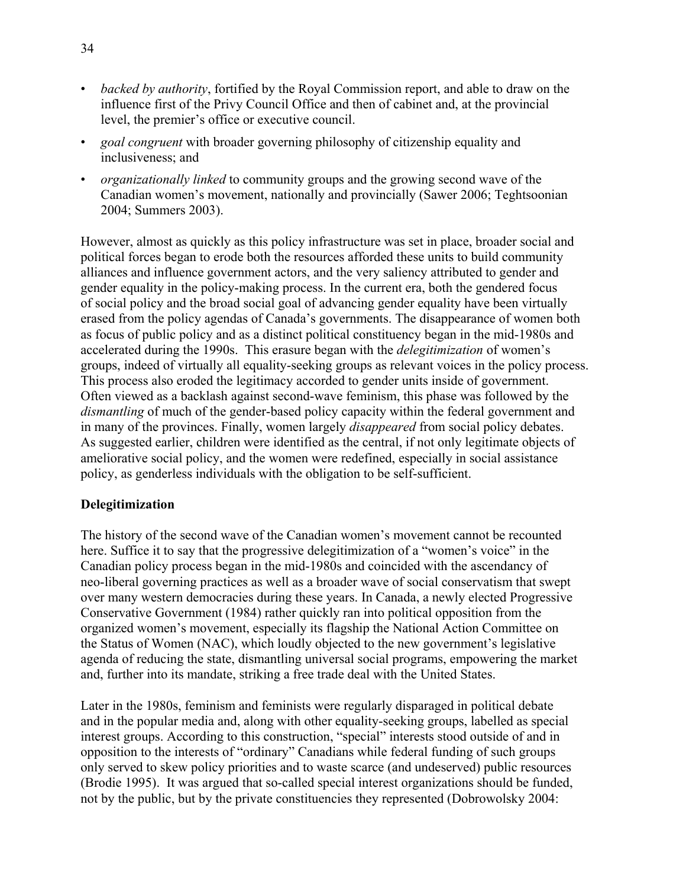- *backed by authority*, fortified by the Royal Commission report, and able to draw on the influence first of the Privy Council Office and then of cabinet and, at the provincial level, the premier's office or executive council.
- *goal congruent* with broader governing philosophy of citizenship equality and inclusiveness; and
- *organizationally linked* to community groups and the growing second wave of the Canadian women's movement, nationally and provincially (Sawer 2006; Teghtsoonian 2004; Summers 2003).

However, almost as quickly as this policy infrastructure was set in place, broader social and political forces began to erode both the resources afforded these units to build community alliances and influence government actors, and the very saliency attributed to gender and gender equality in the policy-making process. In the current era, both the gendered focus of social policy and the broad social goal of advancing gender equality have been virtually erased from the policy agendas of Canada's governments. The disappearance of women both as focus of public policy and as a distinct political constituency began in the mid-1980s and accelerated during the 1990s. This erasure began with the *delegitimization* of women's groups, indeed of virtually all equality-seeking groups as relevant voices in the policy process. This process also eroded the legitimacy accorded to gender units inside of government. Often viewed as a backlash against second-wave feminism, this phase was followed by the *dismantling* of much of the gender-based policy capacity within the federal government and in many of the provinces. Finally, women largely *disappeared* from social policy debates. As suggested earlier, children were identified as the central, if not only legitimate objects of ameliorative social policy, and the women were redefined, especially in social assistance policy, as genderless individuals with the obligation to be self-sufficient.

# **Delegitimization**

The history of the second wave of the Canadian women's movement cannot be recounted here. Suffice it to say that the progressive delegitimization of a "women's voice" in the Canadian policy process began in the mid-1980s and coincided with the ascendancy of neo-liberal governing practices as well as a broader wave of social conservatism that swept over many western democracies during these years. In Canada, a newly elected Progressive Conservative Government (1984) rather quickly ran into political opposition from the organized women's movement, especially its flagship the National Action Committee on the Status of Women (NAC), which loudly objected to the new government's legislative agenda of reducing the state, dismantling universal social programs, empowering the market and, further into its mandate, striking a free trade deal with the United States.

Later in the 1980s, feminism and feminists were regularly disparaged in political debate and in the popular media and, along with other equality-seeking groups, labelled as special interest groups. According to this construction, "special" interests stood outside of and in opposition to the interests of "ordinary" Canadians while federal funding of such groups only served to skew policy priorities and to waste scarce (and undeserved) public resources (Brodie 1995). It was argued that so-called special interest organizations should be funded, not by the public, but by the private constituencies they represented (Dobrowolsky 2004: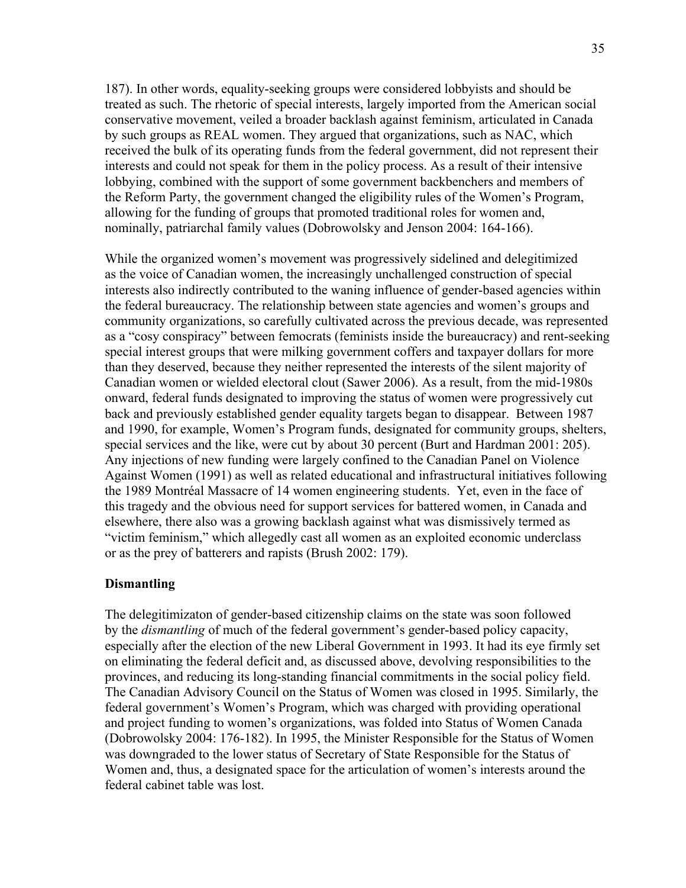187). In other words, equality-seeking groups were considered lobbyists and should be treated as such. The rhetoric of special interests, largely imported from the American social conservative movement, veiled a broader backlash against feminism, articulated in Canada by such groups as REAL women. They argued that organizations, such as NAC, which received the bulk of its operating funds from the federal government, did not represent their interests and could not speak for them in the policy process. As a result of their intensive lobbying, combined with the support of some government backbenchers and members of the Reform Party, the government changed the eligibility rules of the Women's Program, allowing for the funding of groups that promoted traditional roles for women and, nominally, patriarchal family values (Dobrowolsky and Jenson 2004: 164-166).

While the organized women's movement was progressively sidelined and delegitimized as the voice of Canadian women, the increasingly unchallenged construction of special interests also indirectly contributed to the waning influence of gender-based agencies within the federal bureaucracy. The relationship between state agencies and women's groups and community organizations, so carefully cultivated across the previous decade, was represented as a "cosy conspiracy" between femocrats (feminists inside the bureaucracy) and rent-seeking special interest groups that were milking government coffers and taxpayer dollars for more than they deserved, because they neither represented the interests of the silent majority of Canadian women or wielded electoral clout (Sawer 2006). As a result, from the mid-1980s onward, federal funds designated to improving the status of women were progressively cut back and previously established gender equality targets began to disappear. Between 1987 and 1990, for example, Women's Program funds, designated for community groups, shelters, special services and the like, were cut by about 30 percent (Burt and Hardman 2001: 205). Any injections of new funding were largely confined to the Canadian Panel on Violence Against Women (1991) as well as related educational and infrastructural initiatives following the 1989 Montréal Massacre of 14 women engineering students. Yet, even in the face of this tragedy and the obvious need for support services for battered women, in Canada and elsewhere, there also was a growing backlash against what was dismissively termed as "victim feminism," which allegedly cast all women as an exploited economic underclass or as the prey of batterers and rapists (Brush 2002: 179).

#### **Dismantling**

The delegitimizaton of gender-based citizenship claims on the state was soon followed by the *dismantling* of much of the federal government's gender-based policy capacity, especially after the election of the new Liberal Government in 1993. It had its eye firmly set on eliminating the federal deficit and, as discussed above, devolving responsibilities to the provinces, and reducing its long-standing financial commitments in the social policy field. The Canadian Advisory Council on the Status of Women was closed in 1995. Similarly, the federal government's Women's Program, which was charged with providing operational and project funding to women's organizations, was folded into Status of Women Canada (Dobrowolsky 2004: 176-182). In 1995, the Minister Responsible for the Status of Women was downgraded to the lower status of Secretary of State Responsible for the Status of Women and, thus, a designated space for the articulation of women's interests around the federal cabinet table was lost.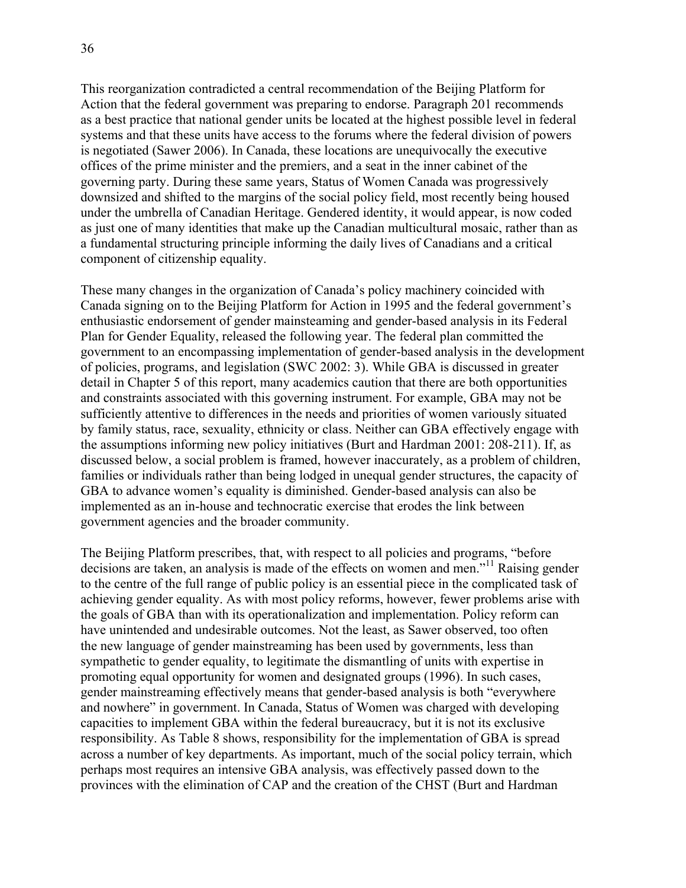This reorganization contradicted a central recommendation of the Beijing Platform for Action that the federal government was preparing to endorse. Paragraph 201 recommends as a best practice that national gender units be located at the highest possible level in federal systems and that these units have access to the forums where the federal division of powers is negotiated (Sawer 2006). In Canada, these locations are unequivocally the executive offices of the prime minister and the premiers, and a seat in the inner cabinet of the governing party. During these same years, Status of Women Canada was progressively downsized and shifted to the margins of the social policy field, most recently being housed under the umbrella of Canadian Heritage. Gendered identity, it would appear, is now coded as just one of many identities that make up the Canadian multicultural mosaic, rather than as a fundamental structuring principle informing the daily lives of Canadians and a critical component of citizenship equality.

These many changes in the organization of Canada's policy machinery coincided with Canada signing on to the Beijing Platform for Action in 1995 and the federal government's enthusiastic endorsement of gender mainsteaming and gender-based analysis in its Federal Plan for Gender Equality, released the following year. The federal plan committed the government to an encompassing implementation of gender-based analysis in the development of policies, programs, and legislation (SWC 2002: 3). While GBA is discussed in greater detail in Chapter 5 of this report, many academics caution that there are both opportunities and constraints associated with this governing instrument. For example, GBA may not be sufficiently attentive to differences in the needs and priorities of women variously situated by family status, race, sexuality, ethnicity or class. Neither can GBA effectively engage with the assumptions informing new policy initiatives (Burt and Hardman 2001: 208-211). If, as discussed below, a social problem is framed, however inaccurately, as a problem of children, families or individuals rather than being lodged in unequal gender structures, the capacity of GBA to advance women's equality is diminished. Gender-based analysis can also be implemented as an in-house and technocratic exercise that erodes the link between government agencies and the broader community.

The Beijing Platform prescribes, that, with respect to all policies and programs, "before decisions are taken, an analysis is made of the effects on women and men.<sup>"11</sup> Raising gender to the centre of the full range of public policy is an essential piece in the complicated task of achieving gender equality. As with most policy reforms, however, fewer problems arise with the goals of GBA than with its operationalization and implementation. Policy reform can have unintended and undesirable outcomes. Not the least, as Sawer observed, too often the new language of gender mainstreaming has been used by governments, less than sympathetic to gender equality, to legitimate the dismantling of units with expertise in promoting equal opportunity for women and designated groups (1996). In such cases, gender mainstreaming effectively means that gender-based analysis is both "everywhere and nowhere" in government. In Canada, Status of Women was charged with developing capacities to implement GBA within the federal bureaucracy, but it is not its exclusive responsibility. As Table 8 shows, responsibility for the implementation of GBA is spread across a number of key departments. As important, much of the social policy terrain, which perhaps most requires an intensive GBA analysis, was effectively passed down to the provinces with the elimination of CAP and the creation of the CHST (Burt and Hardman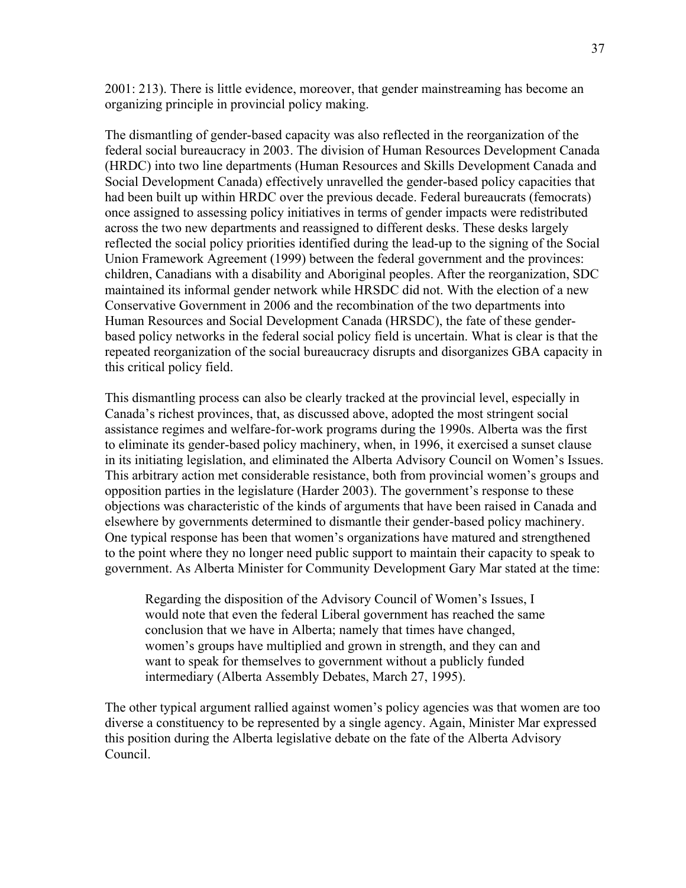2001: 213). There is little evidence, moreover, that gender mainstreaming has become an organizing principle in provincial policy making.

The dismantling of gender-based capacity was also reflected in the reorganization of the federal social bureaucracy in 2003. The division of Human Resources Development Canada (HRDC) into two line departments (Human Resources and Skills Development Canada and Social Development Canada) effectively unravelled the gender-based policy capacities that had been built up within HRDC over the previous decade. Federal bureaucrats (femocrats) once assigned to assessing policy initiatives in terms of gender impacts were redistributed across the two new departments and reassigned to different desks. These desks largely reflected the social policy priorities identified during the lead-up to the signing of the Social Union Framework Agreement (1999) between the federal government and the provinces: children, Canadians with a disability and Aboriginal peoples. After the reorganization, SDC maintained its informal gender network while HRSDC did not. With the election of a new Conservative Government in 2006 and the recombination of the two departments into Human Resources and Social Development Canada (HRSDC), the fate of these genderbased policy networks in the federal social policy field is uncertain. What is clear is that the repeated reorganization of the social bureaucracy disrupts and disorganizes GBA capacity in this critical policy field.

This dismantling process can also be clearly tracked at the provincial level, especially in Canada's richest provinces, that, as discussed above, adopted the most stringent social assistance regimes and welfare-for-work programs during the 1990s. Alberta was the first to eliminate its gender-based policy machinery, when, in 1996, it exercised a sunset clause in its initiating legislation, and eliminated the Alberta Advisory Council on Women's Issues. This arbitrary action met considerable resistance, both from provincial women's groups and opposition parties in the legislature (Harder 2003). The government's response to these objections was characteristic of the kinds of arguments that have been raised in Canada and elsewhere by governments determined to dismantle their gender-based policy machinery. One typical response has been that women's organizations have matured and strengthened to the point where they no longer need public support to maintain their capacity to speak to government. As Alberta Minister for Community Development Gary Mar stated at the time:

Regarding the disposition of the Advisory Council of Women's Issues, I would note that even the federal Liberal government has reached the same conclusion that we have in Alberta; namely that times have changed, women's groups have multiplied and grown in strength, and they can and want to speak for themselves to government without a publicly funded intermediary (Alberta Assembly Debates, March 27, 1995).

The other typical argument rallied against women's policy agencies was that women are too diverse a constituency to be represented by a single agency. Again, Minister Mar expressed this position during the Alberta legislative debate on the fate of the Alberta Advisory Council.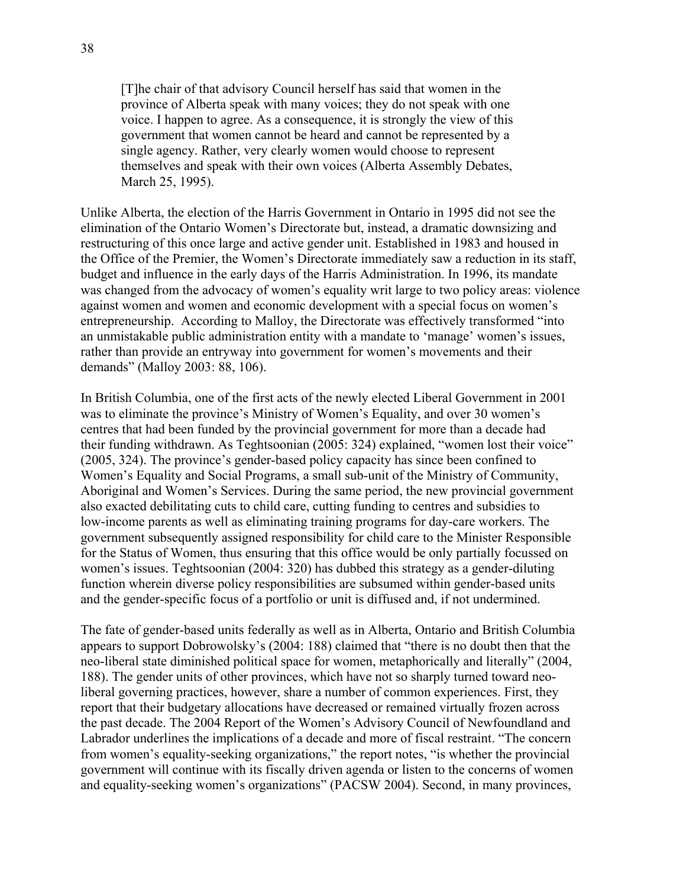[T]he chair of that advisory Council herself has said that women in the province of Alberta speak with many voices; they do not speak with one voice. I happen to agree. As a consequence, it is strongly the view of this government that women cannot be heard and cannot be represented by a single agency. Rather, very clearly women would choose to represent themselves and speak with their own voices (Alberta Assembly Debates, March 25, 1995).

Unlike Alberta, the election of the Harris Government in Ontario in 1995 did not see the elimination of the Ontario Women's Directorate but, instead, a dramatic downsizing and restructuring of this once large and active gender unit. Established in 1983 and housed in the Office of the Premier, the Women's Directorate immediately saw a reduction in its staff, budget and influence in the early days of the Harris Administration. In 1996, its mandate was changed from the advocacy of women's equality writ large to two policy areas: violence against women and women and economic development with a special focus on women's entrepreneurship. According to Malloy, the Directorate was effectively transformed "into an unmistakable public administration entity with a mandate to 'manage' women's issues, rather than provide an entryway into government for women's movements and their demands" (Malloy 2003: 88, 106).

In British Columbia, one of the first acts of the newly elected Liberal Government in 2001 was to eliminate the province's Ministry of Women's Equality, and over 30 women's centres that had been funded by the provincial government for more than a decade had their funding withdrawn. As Teghtsoonian (2005: 324) explained, "women lost their voice" (2005, 324). The province's gender-based policy capacity has since been confined to Women's Equality and Social Programs, a small sub-unit of the Ministry of Community, Aboriginal and Women's Services. During the same period, the new provincial government also exacted debilitating cuts to child care, cutting funding to centres and subsidies to low-income parents as well as eliminating training programs for day-care workers. The government subsequently assigned responsibility for child care to the Minister Responsible for the Status of Women, thus ensuring that this office would be only partially focussed on women's issues. Teghtsoonian (2004: 320) has dubbed this strategy as a gender-diluting function wherein diverse policy responsibilities are subsumed within gender-based units and the gender-specific focus of a portfolio or unit is diffused and, if not undermined.

The fate of gender-based units federally as well as in Alberta, Ontario and British Columbia appears to support Dobrowolsky's (2004: 188) claimed that "there is no doubt then that the neo-liberal state diminished political space for women, metaphorically and literally" (2004, 188). The gender units of other provinces, which have not so sharply turned toward neoliberal governing practices, however, share a number of common experiences. First, they report that their budgetary allocations have decreased or remained virtually frozen across the past decade. The 2004 Report of the Women's Advisory Council of Newfoundland and Labrador underlines the implications of a decade and more of fiscal restraint. "The concern from women's equality-seeking organizations," the report notes, "is whether the provincial government will continue with its fiscally driven agenda or listen to the concerns of women and equality-seeking women's organizations" (PACSW 2004). Second, in many provinces,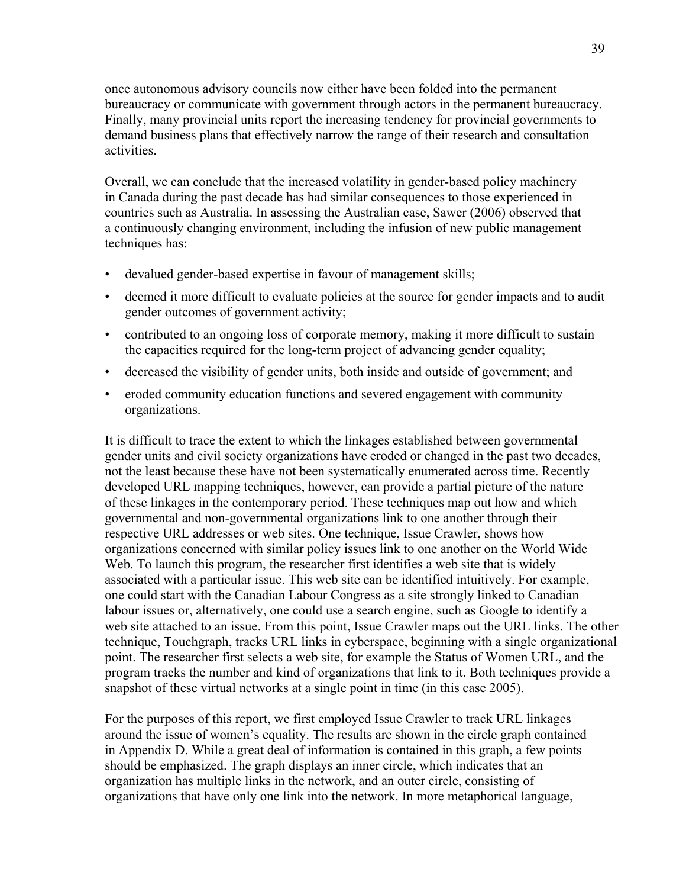once autonomous advisory councils now either have been folded into the permanent bureaucracy or communicate with government through actors in the permanent bureaucracy. Finally, many provincial units report the increasing tendency for provincial governments to demand business plans that effectively narrow the range of their research and consultation activities.

Overall, we can conclude that the increased volatility in gender-based policy machinery in Canada during the past decade has had similar consequences to those experienced in countries such as Australia. In assessing the Australian case, Sawer (2006) observed that a continuously changing environment, including the infusion of new public management techniques has:

- devalued gender-based expertise in favour of management skills;
- deemed it more difficult to evaluate policies at the source for gender impacts and to audit gender outcomes of government activity;
- contributed to an ongoing loss of corporate memory, making it more difficult to sustain the capacities required for the long-term project of advancing gender equality;
- decreased the visibility of gender units, both inside and outside of government; and
- eroded community education functions and severed engagement with community organizations.

It is difficult to trace the extent to which the linkages established between governmental gender units and civil society organizations have eroded or changed in the past two decades, not the least because these have not been systematically enumerated across time. Recently developed URL mapping techniques, however, can provide a partial picture of the nature of these linkages in the contemporary period. These techniques map out how and which governmental and non-governmental organizations link to one another through their respective URL addresses or web sites. One technique, Issue Crawler, shows how organizations concerned with similar policy issues link to one another on the World Wide Web. To launch this program, the researcher first identifies a web site that is widely associated with a particular issue. This web site can be identified intuitively. For example, one could start with the Canadian Labour Congress as a site strongly linked to Canadian labour issues or, alternatively, one could use a search engine, such as Google to identify a web site attached to an issue. From this point, Issue Crawler maps out the URL links. The other technique, Touchgraph, tracks URL links in cyberspace, beginning with a single organizational point. The researcher first selects a web site, for example the Status of Women URL, and the program tracks the number and kind of organizations that link to it. Both techniques provide a snapshot of these virtual networks at a single point in time (in this case 2005).

For the purposes of this report, we first employed Issue Crawler to track URL linkages around the issue of women's equality. The results are shown in the circle graph contained in Appendix D. While a great deal of information is contained in this graph, a few points should be emphasized. The graph displays an inner circle, which indicates that an organization has multiple links in the network, and an outer circle, consisting of organizations that have only one link into the network. In more metaphorical language,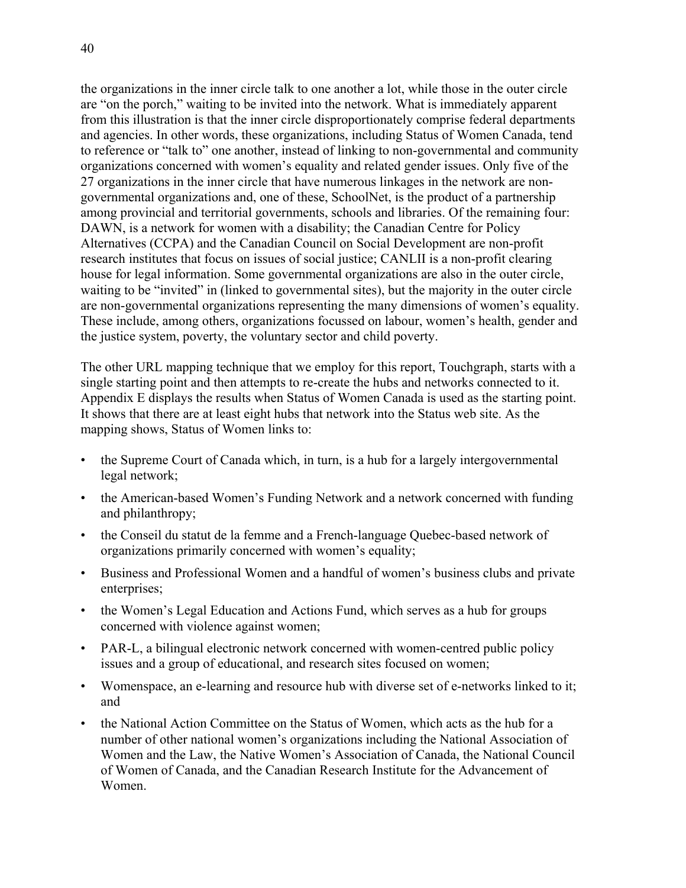the organizations in the inner circle talk to one another a lot, while those in the outer circle are "on the porch," waiting to be invited into the network. What is immediately apparent from this illustration is that the inner circle disproportionately comprise federal departments and agencies. In other words, these organizations, including Status of Women Canada, tend to reference or "talk to" one another, instead of linking to non-governmental and community organizations concerned with women's equality and related gender issues. Only five of the 27 organizations in the inner circle that have numerous linkages in the network are nongovernmental organizations and, one of these, SchoolNet, is the product of a partnership among provincial and territorial governments, schools and libraries. Of the remaining four: DAWN, is a network for women with a disability; the Canadian Centre for Policy Alternatives (CCPA) and the Canadian Council on Social Development are non-profit research institutes that focus on issues of social justice; CANLII is a non-profit clearing house for legal information. Some governmental organizations are also in the outer circle, waiting to be "invited" in (linked to governmental sites), but the majority in the outer circle are non-governmental organizations representing the many dimensions of women's equality. These include, among others, organizations focussed on labour, women's health, gender and the justice system, poverty, the voluntary sector and child poverty.

The other URL mapping technique that we employ for this report, Touchgraph, starts with a single starting point and then attempts to re-create the hubs and networks connected to it. Appendix E displays the results when Status of Women Canada is used as the starting point. It shows that there are at least eight hubs that network into the Status web site. As the mapping shows, Status of Women links to:

- the Supreme Court of Canada which, in turn, is a hub for a largely intergovernmental legal network;
- the American-based Women's Funding Network and a network concerned with funding and philanthropy;
- the Conseil du statut de la femme and a French-language Quebec-based network of organizations primarily concerned with women's equality;
- Business and Professional Women and a handful of women's business clubs and private enterprises;
- the Women's Legal Education and Actions Fund, which serves as a hub for groups concerned with violence against women;
- PAR-L, a bilingual electronic network concerned with women-centred public policy issues and a group of educational, and research sites focused on women;
- Womenspace, an e-learning and resource hub with diverse set of e-networks linked to it; and
- the National Action Committee on the Status of Women, which acts as the hub for a number of other national women's organizations including the National Association of Women and the Law, the Native Women's Association of Canada, the National Council of Women of Canada, and the Canadian Research Institute for the Advancement of Women.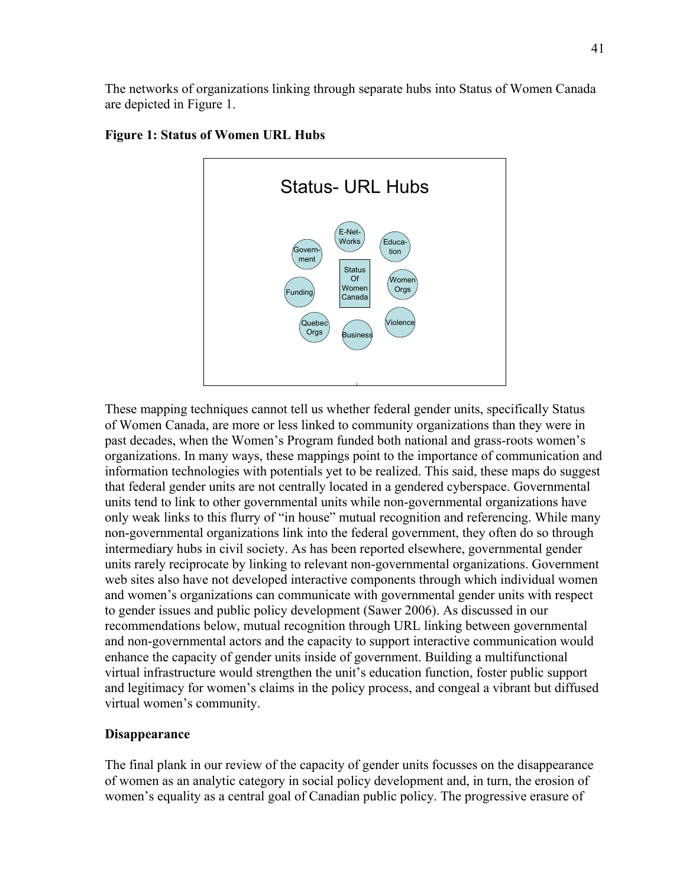The networks of organizations linking through separate hubs into Status of Women Canada are depicted in Figure 1.



**Figure 1: Status of Women URL Hubs** 

These mapping techniques cannot tell us whether federal gender units, specifically Status of Women Canada, are more or less linked to community organizations than they were in past decades, when the Women's Program funded both national and grass-roots women's organizations. In many ways, these mappings point to the importance of communication and information technologies with potentials yet to be realized. This said, these maps do suggest that federal gender units are not centrally located in a gendered cyberspace. Governmental units tend to link to other governmental units while non-governmental organizations have only weak links to this flurry of "in house" mutual recognition and referencing. While many non-governmental organizations link into the federal government, they often do so through intermediary hubs in civil society. As has been reported elsewhere, governmental gender units rarely reciprocate by linking to relevant non-governmental organizations. Government web sites also have not developed interactive components through which individual women and women's organizations can communicate with governmental gender units with respect to gender issues and public policy development (Sawer 2006). As discussed in our recommendations below, mutual recognition through URL linking between governmental and non-governmental actors and the capacity to support interactive communication would enhance the capacity of gender units inside of government. Building a multifunctional virtual infrastructure would strengthen the unit's education function, foster public support and legitimacy for women's claims in the policy process, and congeal a vibrant but diffused virtual women's community.

## **Disappearance**

The final plank in our review of the capacity of gender units focusses on the disappearance of women as an analytic category in social policy development and, in turn, the erosion of women's equality as a central goal of Canadian public policy. The progressive erasure of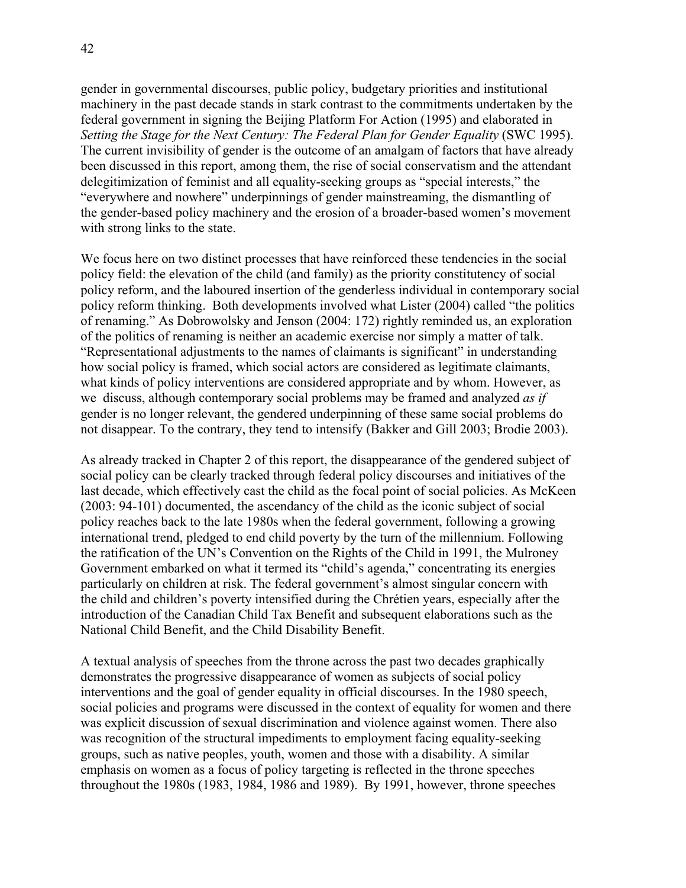gender in governmental discourses, public policy, budgetary priorities and institutional machinery in the past decade stands in stark contrast to the commitments undertaken by the federal government in signing the Beijing Platform For Action (1995) and elaborated in *Setting the Stage for the Next Century: The Federal Plan for Gender Equality (SWC 1995).* The current invisibility of gender is the outcome of an amalgam of factors that have already been discussed in this report, among them, the rise of social conservatism and the attendant delegitimization of feminist and all equality-seeking groups as "special interests," the "everywhere and nowhere" underpinnings of gender mainstreaming, the dismantling of the gender-based policy machinery and the erosion of a broader-based women's movement with strong links to the state.

We focus here on two distinct processes that have reinforced these tendencies in the social policy field: the elevation of the child (and family) as the priority constitutency of social policy reform, and the laboured insertion of the genderless individual in contemporary social policy reform thinking. Both developments involved what Lister (2004) called "the politics of renaming." As Dobrowolsky and Jenson (2004: 172) rightly reminded us, an exploration of the politics of renaming is neither an academic exercise nor simply a matter of talk. "Representational adjustments to the names of claimants is significant" in understanding how social policy is framed, which social actors are considered as legitimate claimants, what kinds of policy interventions are considered appropriate and by whom. However, as we discuss, although contemporary social problems may be framed and analyzed *as if* gender is no longer relevant, the gendered underpinning of these same social problems do not disappear. To the contrary, they tend to intensify (Bakker and Gill 2003; Brodie 2003).

As already tracked in Chapter 2 of this report, the disappearance of the gendered subject of social policy can be clearly tracked through federal policy discourses and initiatives of the last decade, which effectively cast the child as the focal point of social policies. As McKeen (2003: 94-101) documented, the ascendancy of the child as the iconic subject of social policy reaches back to the late 1980s when the federal government, following a growing international trend, pledged to end child poverty by the turn of the millennium. Following the ratification of the UN's Convention on the Rights of the Child in 1991, the Mulroney Government embarked on what it termed its "child's agenda," concentrating its energies particularly on children at risk. The federal government's almost singular concern with the child and children's poverty intensified during the Chrétien years, especially after the introduction of the Canadian Child Tax Benefit and subsequent elaborations such as the National Child Benefit, and the Child Disability Benefit.

A textual analysis of speeches from the throne across the past two decades graphically demonstrates the progressive disappearance of women as subjects of social policy interventions and the goal of gender equality in official discourses. In the 1980 speech, social policies and programs were discussed in the context of equality for women and there was explicit discussion of sexual discrimination and violence against women. There also was recognition of the structural impediments to employment facing equality-seeking groups, such as native peoples, youth, women and those with a disability. A similar emphasis on women as a focus of policy targeting is reflected in the throne speeches throughout the 1980s (1983, 1984, 1986 and 1989). By 1991, however, throne speeches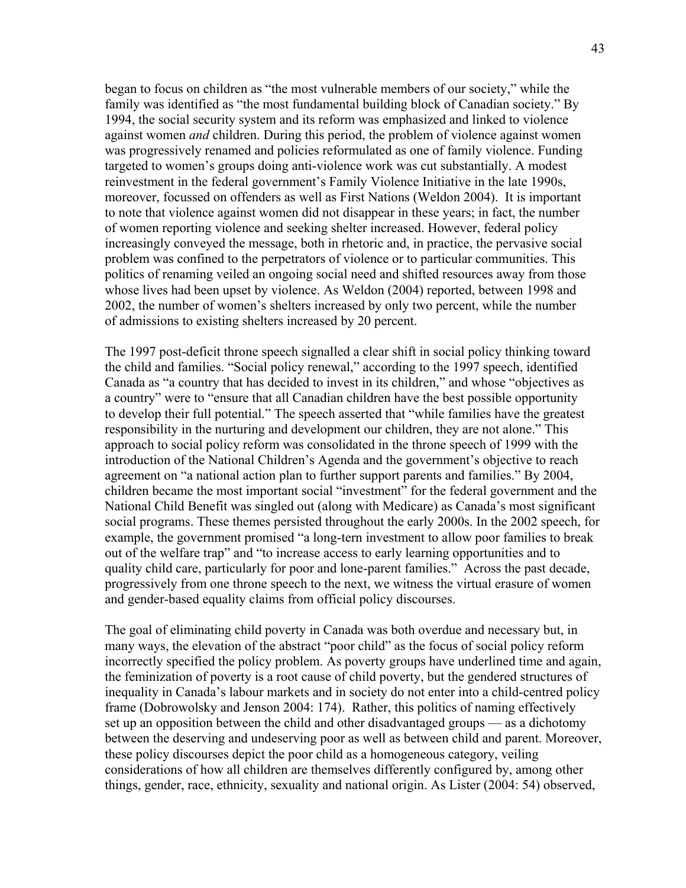began to focus on children as "the most vulnerable members of our society," while the family was identified as "the most fundamental building block of Canadian society." By 1994, the social security system and its reform was emphasized and linked to violence against women *and* children. During this period, the problem of violence against women was progressively renamed and policies reformulated as one of family violence. Funding targeted to women's groups doing anti-violence work was cut substantially. A modest reinvestment in the federal government's Family Violence Initiative in the late 1990s, moreover, focussed on offenders as well as First Nations (Weldon 2004). It is important to note that violence against women did not disappear in these years; in fact, the number of women reporting violence and seeking shelter increased. However, federal policy increasingly conveyed the message, both in rhetoric and, in practice, the pervasive social problem was confined to the perpetrators of violence or to particular communities. This politics of renaming veiled an ongoing social need and shifted resources away from those whose lives had been upset by violence. As Weldon (2004) reported, between 1998 and 2002, the number of women's shelters increased by only two percent, while the number of admissions to existing shelters increased by 20 percent.

The 1997 post-deficit throne speech signalled a clear shift in social policy thinking toward the child and families. "Social policy renewal," according to the 1997 speech, identified Canada as "a country that has decided to invest in its children," and whose "objectives as a country" were to "ensure that all Canadian children have the best possible opportunity to develop their full potential." The speech asserted that "while families have the greatest responsibility in the nurturing and development our children, they are not alone." This approach to social policy reform was consolidated in the throne speech of 1999 with the introduction of the National Children's Agenda and the government's objective to reach agreement on "a national action plan to further support parents and families." By 2004, children became the most important social "investment" for the federal government and the National Child Benefit was singled out (along with Medicare) as Canada's most significant social programs. These themes persisted throughout the early 2000s. In the 2002 speech, for example, the government promised "a long-tern investment to allow poor families to break out of the welfare trap" and "to increase access to early learning opportunities and to quality child care, particularly for poor and lone-parent families." Across the past decade, progressively from one throne speech to the next, we witness the virtual erasure of women and gender-based equality claims from official policy discourses.

The goal of eliminating child poverty in Canada was both overdue and necessary but, in many ways, the elevation of the abstract "poor child" as the focus of social policy reform incorrectly specified the policy problem. As poverty groups have underlined time and again, the feminization of poverty is a root cause of child poverty, but the gendered structures of inequality in Canada's labour markets and in society do not enter into a child-centred policy frame (Dobrowolsky and Jenson 2004: 174). Rather, this politics of naming effectively set up an opposition between the child and other disadvantaged groups — as a dichotomy between the deserving and undeserving poor as well as between child and parent. Moreover, these policy discourses depict the poor child as a homogeneous category, veiling considerations of how all children are themselves differently configured by, among other things, gender, race, ethnicity, sexuality and national origin. As Lister (2004: 54) observed,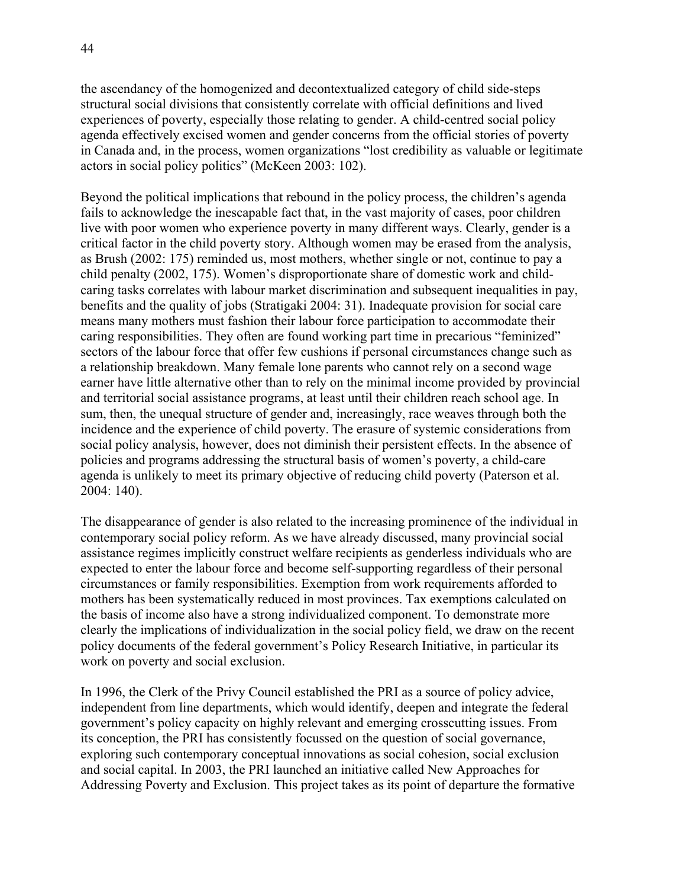the ascendancy of the homogenized and decontextualized category of child side-steps structural social divisions that consistently correlate with official definitions and lived experiences of poverty, especially those relating to gender. A child-centred social policy agenda effectively excised women and gender concerns from the official stories of poverty in Canada and, in the process, women organizations "lost credibility as valuable or legitimate actors in social policy politics" (McKeen 2003: 102).

Beyond the political implications that rebound in the policy process, the children's agenda fails to acknowledge the inescapable fact that, in the vast majority of cases, poor children live with poor women who experience poverty in many different ways. Clearly, gender is a critical factor in the child poverty story. Although women may be erased from the analysis, as Brush (2002: 175) reminded us, most mothers, whether single or not, continue to pay a child penalty (2002, 175). Women's disproportionate share of domestic work and childcaring tasks correlates with labour market discrimination and subsequent inequalities in pay, benefits and the quality of jobs (Stratigaki 2004: 31). Inadequate provision for social care means many mothers must fashion their labour force participation to accommodate their caring responsibilities. They often are found working part time in precarious "feminized" sectors of the labour force that offer few cushions if personal circumstances change such as a relationship breakdown. Many female lone parents who cannot rely on a second wage earner have little alternative other than to rely on the minimal income provided by provincial and territorial social assistance programs, at least until their children reach school age. In sum, then, the unequal structure of gender and, increasingly, race weaves through both the incidence and the experience of child poverty. The erasure of systemic considerations from social policy analysis, however, does not diminish their persistent effects. In the absence of policies and programs addressing the structural basis of women's poverty, a child-care agenda is unlikely to meet its primary objective of reducing child poverty (Paterson et al. 2004: 140).

The disappearance of gender is also related to the increasing prominence of the individual in contemporary social policy reform. As we have already discussed, many provincial social assistance regimes implicitly construct welfare recipients as genderless individuals who are expected to enter the labour force and become self-supporting regardless of their personal circumstances or family responsibilities. Exemption from work requirements afforded to mothers has been systematically reduced in most provinces. Tax exemptions calculated on the basis of income also have a strong individualized component. To demonstrate more clearly the implications of individualization in the social policy field, we draw on the recent policy documents of the federal government's Policy Research Initiative, in particular its work on poverty and social exclusion.

In 1996, the Clerk of the Privy Council established the PRI as a source of policy advice, independent from line departments, which would identify, deepen and integrate the federal government's policy capacity on highly relevant and emerging crosscutting issues. From its conception, the PRI has consistently focussed on the question of social governance, exploring such contemporary conceptual innovations as social cohesion, social exclusion and social capital. In 2003, the PRI launched an initiative called New Approaches for Addressing Poverty and Exclusion. This project takes as its point of departure the formative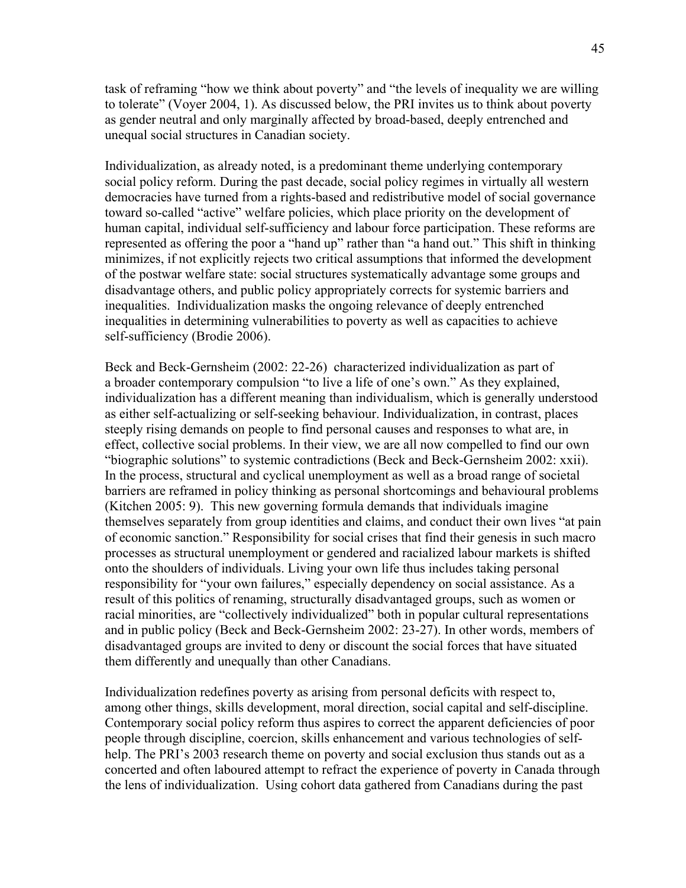task of reframing "how we think about poverty" and "the levels of inequality we are willing to tolerate" (Voyer 2004, 1). As discussed below, the PRI invites us to think about poverty as gender neutral and only marginally affected by broad-based, deeply entrenched and unequal social structures in Canadian society.

Individualization, as already noted, is a predominant theme underlying contemporary social policy reform. During the past decade, social policy regimes in virtually all western democracies have turned from a rights-based and redistributive model of social governance toward so-called "active" welfare policies, which place priority on the development of human capital, individual self-sufficiency and labour force participation. These reforms are represented as offering the poor a "hand up" rather than "a hand out." This shift in thinking minimizes, if not explicitly rejects two critical assumptions that informed the development of the postwar welfare state: social structures systematically advantage some groups and disadvantage others, and public policy appropriately corrects for systemic barriers and inequalities. Individualization masks the ongoing relevance of deeply entrenched inequalities in determining vulnerabilities to poverty as well as capacities to achieve self-sufficiency (Brodie 2006).

Beck and Beck-Gernsheim (2002: 22-26) characterized individualization as part of a broader contemporary compulsion "to live a life of one's own." As they explained, individualization has a different meaning than individualism, which is generally understood as either self-actualizing or self-seeking behaviour. Individualization, in contrast, places steeply rising demands on people to find personal causes and responses to what are, in effect, collective social problems. In their view, we are all now compelled to find our own "biographic solutions" to systemic contradictions (Beck and Beck-Gernsheim 2002: xxii). In the process, structural and cyclical unemployment as well as a broad range of societal barriers are reframed in policy thinking as personal shortcomings and behavioural problems (Kitchen 2005: 9). This new governing formula demands that individuals imagine themselves separately from group identities and claims, and conduct their own lives "at pain of economic sanction." Responsibility for social crises that find their genesis in such macro processes as structural unemployment or gendered and racialized labour markets is shifted onto the shoulders of individuals. Living your own life thus includes taking personal responsibility for "your own failures," especially dependency on social assistance. As a result of this politics of renaming, structurally disadvantaged groups, such as women or racial minorities, are "collectively individualized" both in popular cultural representations and in public policy (Beck and Beck-Gernsheim 2002: 23-27). In other words, members of disadvantaged groups are invited to deny or discount the social forces that have situated them differently and unequally than other Canadians.

Individualization redefines poverty as arising from personal deficits with respect to, among other things, skills development, moral direction, social capital and self-discipline. Contemporary social policy reform thus aspires to correct the apparent deficiencies of poor people through discipline, coercion, skills enhancement and various technologies of selfhelp. The PRI's 2003 research theme on poverty and social exclusion thus stands out as a concerted and often laboured attempt to refract the experience of poverty in Canada through the lens of individualization. Using cohort data gathered from Canadians during the past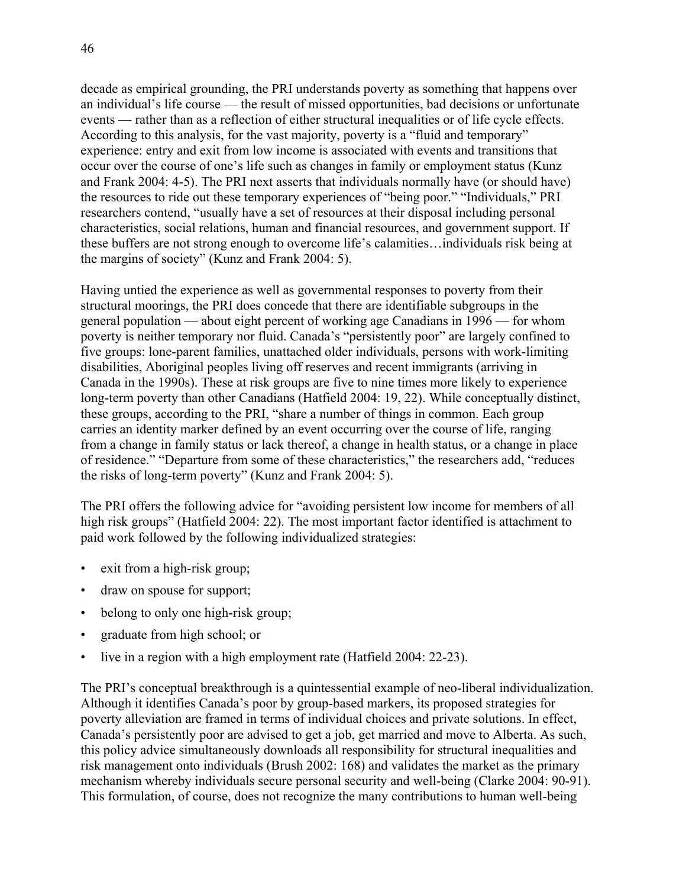decade as empirical grounding, the PRI understands poverty as something that happens over an individual's life course — the result of missed opportunities, bad decisions or unfortunate events — rather than as a reflection of either structural inequalities or of life cycle effects. According to this analysis, for the vast majority, poverty is a "fluid and temporary" experience: entry and exit from low income is associated with events and transitions that occur over the course of one's life such as changes in family or employment status (Kunz and Frank 2004: 4-5). The PRI next asserts that individuals normally have (or should have) the resources to ride out these temporary experiences of "being poor." "Individuals," PRI researchers contend, "usually have a set of resources at their disposal including personal characteristics, social relations, human and financial resources, and government support. If these buffers are not strong enough to overcome life's calamities…individuals risk being at the margins of society" (Kunz and Frank 2004: 5).

Having untied the experience as well as governmental responses to poverty from their structural moorings, the PRI does concede that there are identifiable subgroups in the general population — about eight percent of working age Canadians in 1996 — for whom poverty is neither temporary nor fluid. Canada's "persistently poor" are largely confined to five groups: lone-parent families, unattached older individuals, persons with work-limiting disabilities, Aboriginal peoples living off reserves and recent immigrants (arriving in Canada in the 1990s). These at risk groups are five to nine times more likely to experience long-term poverty than other Canadians (Hatfield 2004: 19, 22). While conceptually distinct, these groups, according to the PRI, "share a number of things in common. Each group carries an identity marker defined by an event occurring over the course of life, ranging from a change in family status or lack thereof, a change in health status, or a change in place of residence." "Departure from some of these characteristics," the researchers add, "reduces the risks of long-term poverty" (Kunz and Frank 2004: 5).

The PRI offers the following advice for "avoiding persistent low income for members of all high risk groups" (Hatfield 2004: 22). The most important factor identified is attachment to paid work followed by the following individualized strategies:

- exit from a high-risk group;
- draw on spouse for support;
- belong to only one high-risk group;
- graduate from high school; or
- live in a region with a high employment rate (Hatfield 2004: 22-23).

The PRI's conceptual breakthrough is a quintessential example of neo-liberal individualization. Although it identifies Canada's poor by group-based markers, its proposed strategies for poverty alleviation are framed in terms of individual choices and private solutions. In effect, Canada's persistently poor are advised to get a job, get married and move to Alberta. As such, this policy advice simultaneously downloads all responsibility for structural inequalities and risk management onto individuals (Brush 2002: 168) and validates the market as the primary mechanism whereby individuals secure personal security and well-being (Clarke 2004: 90-91). This formulation, of course, does not recognize the many contributions to human well-being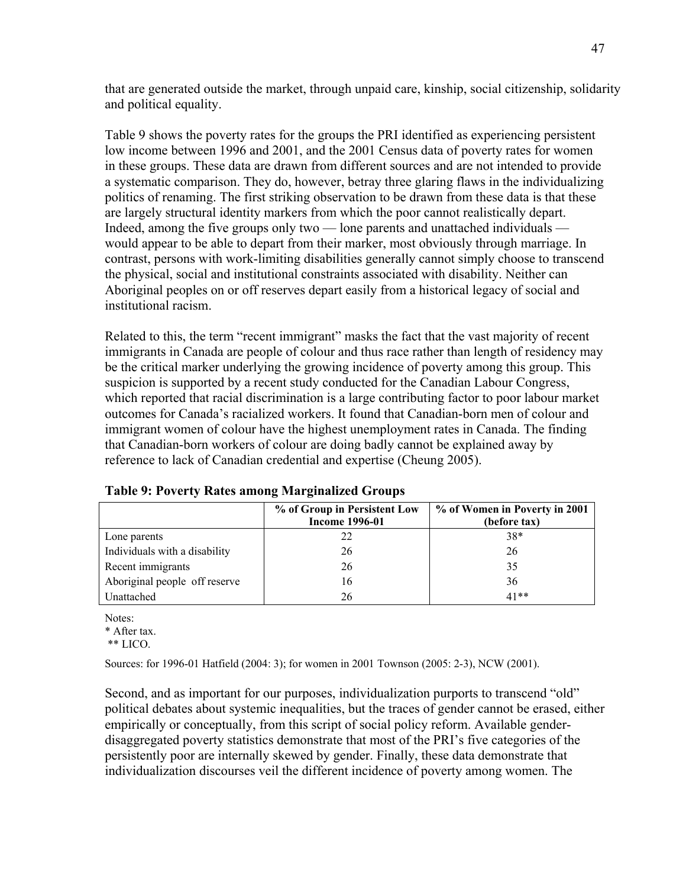that are generated outside the market, through unpaid care, kinship, social citizenship, solidarity and political equality.

Table 9 shows the poverty rates for the groups the PRI identified as experiencing persistent low income between 1996 and 2001, and the 2001 Census data of poverty rates for women in these groups. These data are drawn from different sources and are not intended to provide a systematic comparison. They do, however, betray three glaring flaws in the individualizing politics of renaming. The first striking observation to be drawn from these data is that these are largely structural identity markers from which the poor cannot realistically depart. Indeed, among the five groups only two — lone parents and unattached individuals would appear to be able to depart from their marker, most obviously through marriage. In contrast, persons with work-limiting disabilities generally cannot simply choose to transcend the physical, social and institutional constraints associated with disability. Neither can Aboriginal peoples on or off reserves depart easily from a historical legacy of social and institutional racism.

Related to this, the term "recent immigrant" masks the fact that the vast majority of recent immigrants in Canada are people of colour and thus race rather than length of residency may be the critical marker underlying the growing incidence of poverty among this group. This suspicion is supported by a recent study conducted for the Canadian Labour Congress, which reported that racial discrimination is a large contributing factor to poor labour market outcomes for Canada's racialized workers. It found that Canadian-born men of colour and immigrant women of colour have the highest unemployment rates in Canada. The finding that Canadian-born workers of colour are doing badly cannot be explained away by reference to lack of Canadian credential and expertise (Cheung 2005).

|                               | % of Group in Persistent Low<br><b>Income 1996-01</b> | % of Women in Poverty in 2001<br>(before tax) |
|-------------------------------|-------------------------------------------------------|-----------------------------------------------|
| Lone parents                  | 22                                                    | 38*                                           |
| Individuals with a disability | 26                                                    | 26                                            |
| Recent immigrants             | 26                                                    | 35                                            |
| Aboriginal people off reserve | 16                                                    | 36                                            |
| Unattached                    |                                                       | $41**$                                        |

**Table 9: Poverty Rates among Marginalized Groups** 

Notes:

\* After tax.

\*\* LICO.

Sources: for 1996-01 Hatfield (2004: 3); for women in 2001 Townson (2005: 2-3), NCW (2001).

Second, and as important for our purposes, individualization purports to transcend "old" political debates about systemic inequalities, but the traces of gender cannot be erased, either empirically or conceptually, from this script of social policy reform. Available genderdisaggregated poverty statistics demonstrate that most of the PRI's five categories of the persistently poor are internally skewed by gender. Finally, these data demonstrate that individualization discourses veil the different incidence of poverty among women. The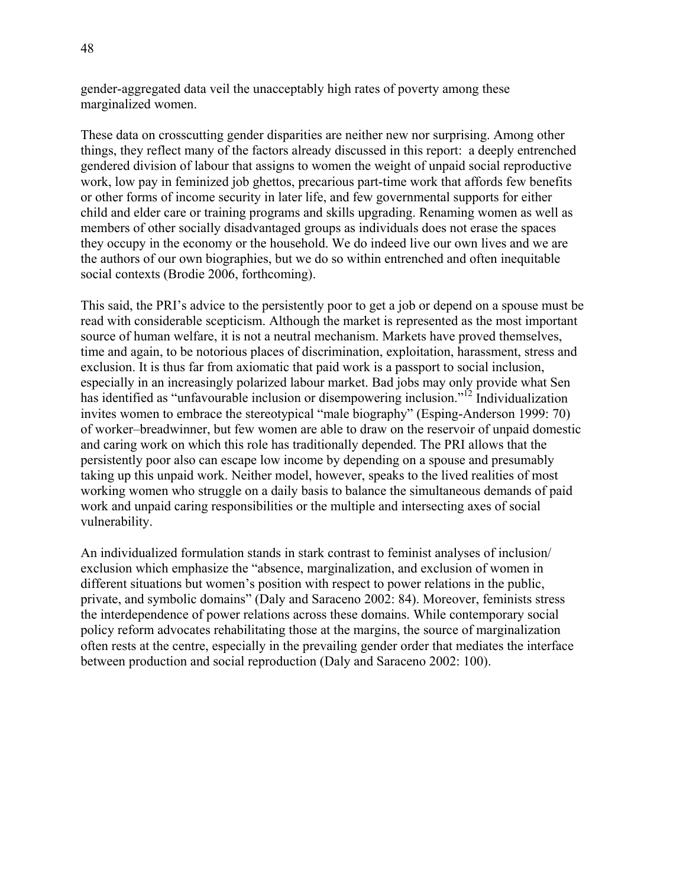gender-aggregated data veil the unacceptably high rates of poverty among these marginalized women.

These data on crosscutting gender disparities are neither new nor surprising. Among other things, they reflect many of the factors already discussed in this report: a deeply entrenched gendered division of labour that assigns to women the weight of unpaid social reproductive work, low pay in feminized job ghettos, precarious part-time work that affords few benefits or other forms of income security in later life, and few governmental supports for either child and elder care or training programs and skills upgrading. Renaming women as well as members of other socially disadvantaged groups as individuals does not erase the spaces they occupy in the economy or the household. We do indeed live our own lives and we are the authors of our own biographies, but we do so within entrenched and often inequitable social contexts (Brodie 2006, forthcoming).

This said, the PRI's advice to the persistently poor to get a job or depend on a spouse must be read with considerable scepticism. Although the market is represented as the most important source of human welfare, it is not a neutral mechanism. Markets have proved themselves, time and again, to be notorious places of discrimination, exploitation, harassment, stress and exclusion. It is thus far from axiomatic that paid work is a passport to social inclusion, especially in an increasingly polarized labour market. Bad jobs may only provide what Sen has identified as "unfavourable inclusion or disempowering inclusion."12 Individualization invites women to embrace the stereotypical "male biography" (Esping-Anderson 1999: 70) of worker–breadwinner, but few women are able to draw on the reservoir of unpaid domestic and caring work on which this role has traditionally depended. The PRI allows that the persistently poor also can escape low income by depending on a spouse and presumably taking up this unpaid work. Neither model, however, speaks to the lived realities of most working women who struggle on a daily basis to balance the simultaneous demands of paid work and unpaid caring responsibilities or the multiple and intersecting axes of social vulnerability.

An individualized formulation stands in stark contrast to feminist analyses of inclusion/ exclusion which emphasize the "absence, marginalization, and exclusion of women in different situations but women's position with respect to power relations in the public, private, and symbolic domains" (Daly and Saraceno 2002: 84). Moreover, feminists stress the interdependence of power relations across these domains. While contemporary social policy reform advocates rehabilitating those at the margins, the source of marginalization often rests at the centre, especially in the prevailing gender order that mediates the interface between production and social reproduction (Daly and Saraceno 2002: 100).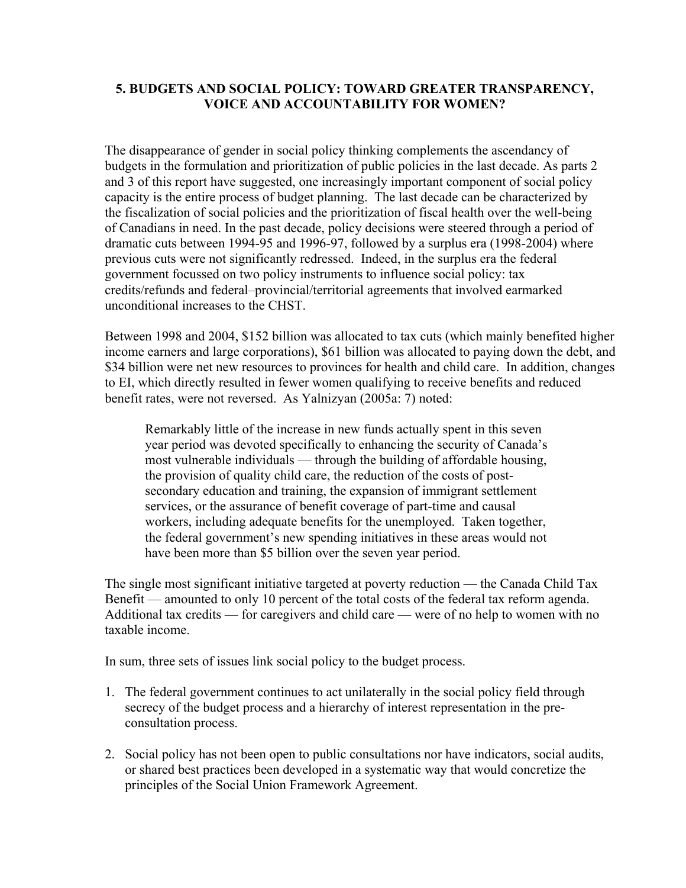# **5. BUDGETS AND SOCIAL POLICY: TOWARD GREATER TRANSPARENCY, VOICE AND ACCOUNTABILITY FOR WOMEN?**

The disappearance of gender in social policy thinking complements the ascendancy of budgets in the formulation and prioritization of public policies in the last decade. As parts 2 and 3 of this report have suggested, one increasingly important component of social policy capacity is the entire process of budget planning. The last decade can be characterized by the fiscalization of social policies and the prioritization of fiscal health over the well-being of Canadians in need. In the past decade, policy decisions were steered through a period of dramatic cuts between 1994-95 and 1996-97, followed by a surplus era (1998-2004) where previous cuts were not significantly redressed. Indeed, in the surplus era the federal government focussed on two policy instruments to influence social policy: tax credits/refunds and federal–provincial/territorial agreements that involved earmarked unconditional increases to the CHST.

Between 1998 and 2004, \$152 billion was allocated to tax cuts (which mainly benefited higher income earners and large corporations), \$61 billion was allocated to paying down the debt, and \$34 billion were net new resources to provinces for health and child care. In addition, changes to EI, which directly resulted in fewer women qualifying to receive benefits and reduced benefit rates, were not reversed. As Yalnizyan (2005a: 7) noted:

Remarkably little of the increase in new funds actually spent in this seven year period was devoted specifically to enhancing the security of Canada's most vulnerable individuals — through the building of affordable housing, the provision of quality child care, the reduction of the costs of postsecondary education and training, the expansion of immigrant settlement services, or the assurance of benefit coverage of part-time and causal workers, including adequate benefits for the unemployed. Taken together, the federal government's new spending initiatives in these areas would not have been more than \$5 billion over the seven year period.

The single most significant initiative targeted at poverty reduction — the Canada Child Tax Benefit — amounted to only 10 percent of the total costs of the federal tax reform agenda. Additional tax credits — for caregivers and child care — were of no help to women with no taxable income.

In sum, three sets of issues link social policy to the budget process.

- 1. The federal government continues to act unilaterally in the social policy field through secrecy of the budget process and a hierarchy of interest representation in the preconsultation process.
- 2. Social policy has not been open to public consultations nor have indicators, social audits, or shared best practices been developed in a systematic way that would concretize the principles of the Social Union Framework Agreement.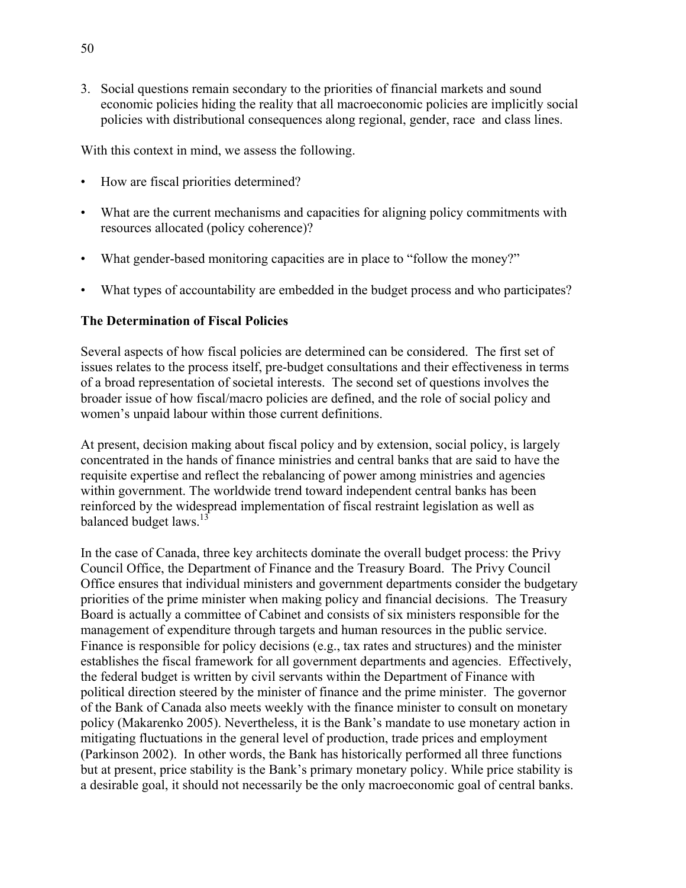3. Social questions remain secondary to the priorities of financial markets and sound economic policies hiding the reality that all macroeconomic policies are implicitly social policies with distributional consequences along regional, gender, race and class lines.

With this context in mind, we assess the following.

- How are fiscal priorities determined?
- What are the current mechanisms and capacities for aligning policy commitments with resources allocated (policy coherence)?
- What gender-based monitoring capacities are in place to "follow the money?"
- What types of accountability are embedded in the budget process and who participates?

# **The Determination of Fiscal Policies**

Several aspects of how fiscal policies are determined can be considered. The first set of issues relates to the process itself, pre-budget consultations and their effectiveness in terms of a broad representation of societal interests. The second set of questions involves the broader issue of how fiscal/macro policies are defined, and the role of social policy and women's unpaid labour within those current definitions.

At present, decision making about fiscal policy and by extension, social policy, is largely concentrated in the hands of finance ministries and central banks that are said to have the requisite expertise and reflect the rebalancing of power among ministries and agencies within government. The worldwide trend toward independent central banks has been reinforced by the widespread implementation of fiscal restraint legislation as well as balanced budget laws.<sup>13</sup>

In the case of Canada, three key architects dominate the overall budget process: the Privy Council Office, the Department of Finance and the Treasury Board. The Privy Council Office ensures that individual ministers and government departments consider the budgetary priorities of the prime minister when making policy and financial decisions. The Treasury Board is actually a committee of Cabinet and consists of six ministers responsible for the management of expenditure through targets and human resources in the public service. Finance is responsible for policy decisions (e.g., tax rates and structures) and the minister establishes the fiscal framework for all government departments and agencies. Effectively, the federal budget is written by civil servants within the Department of Finance with political direction steered by the minister of finance and the prime minister. The governor of the Bank of Canada also meets weekly with the finance minister to consult on monetary policy (Makarenko 2005). Nevertheless, it is the Bank's mandate to use monetary action in mitigating fluctuations in the general level of production, trade prices and employment (Parkinson 2002). In other words, the Bank has historically performed all three functions but at present, price stability is the Bank's primary monetary policy. While price stability is a desirable goal, it should not necessarily be the only macroeconomic goal of central banks.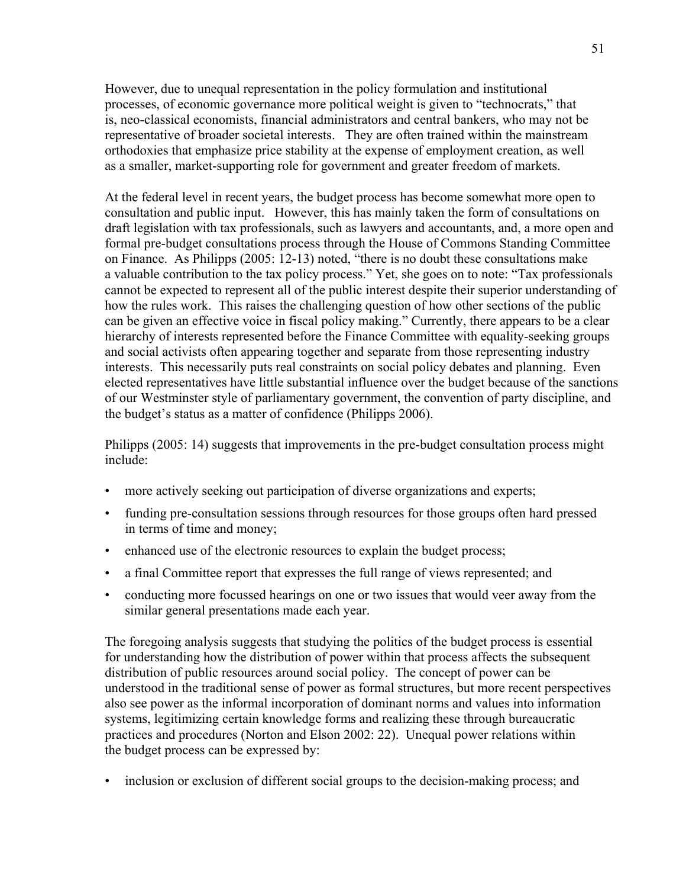However, due to unequal representation in the policy formulation and institutional processes, of economic governance more political weight is given to "technocrats," that is, neo-classical economists, financial administrators and central bankers, who may not be representative of broader societal interests. They are often trained within the mainstream orthodoxies that emphasize price stability at the expense of employment creation, as well as a smaller, market-supporting role for government and greater freedom of markets.

At the federal level in recent years, the budget process has become somewhat more open to consultation and public input. However, this has mainly taken the form of consultations on draft legislation with tax professionals, such as lawyers and accountants, and, a more open and formal pre-budget consultations process through the House of Commons Standing Committee on Finance. As Philipps (2005: 12-13) noted, "there is no doubt these consultations make a valuable contribution to the tax policy process." Yet, she goes on to note: "Tax professionals cannot be expected to represent all of the public interest despite their superior understanding of how the rules work. This raises the challenging question of how other sections of the public can be given an effective voice in fiscal policy making." Currently, there appears to be a clear hierarchy of interests represented before the Finance Committee with equality-seeking groups and social activists often appearing together and separate from those representing industry interests. This necessarily puts real constraints on social policy debates and planning. Even elected representatives have little substantial influence over the budget because of the sanctions of our Westminster style of parliamentary government, the convention of party discipline, and the budget's status as a matter of confidence (Philipps 2006).

Philipps (2005: 14) suggests that improvements in the pre-budget consultation process might include:

- more actively seeking out participation of diverse organizations and experts;
- funding pre-consultation sessions through resources for those groups often hard pressed in terms of time and money;
- enhanced use of the electronic resources to explain the budget process;
- a final Committee report that expresses the full range of views represented; and
- conducting more focussed hearings on one or two issues that would veer away from the similar general presentations made each year.

The foregoing analysis suggests that studying the politics of the budget process is essential for understanding how the distribution of power within that process affects the subsequent distribution of public resources around social policy. The concept of power can be understood in the traditional sense of power as formal structures, but more recent perspectives also see power as the informal incorporation of dominant norms and values into information systems, legitimizing certain knowledge forms and realizing these through bureaucratic practices and procedures (Norton and Elson 2002: 22). Unequal power relations within the budget process can be expressed by:

• inclusion or exclusion of different social groups to the decision-making process; and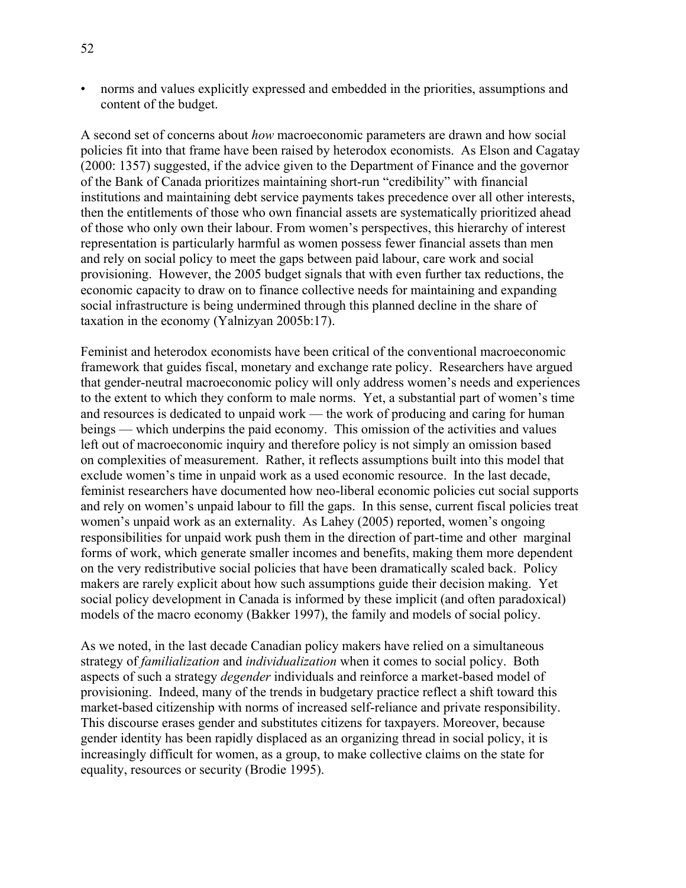• norms and values explicitly expressed and embedded in the priorities, assumptions and content of the budget.

A second set of concerns about *how* macroeconomic parameters are drawn and how social policies fit into that frame have been raised by heterodox economists. As Elson and Cagatay (2000: 1357) suggested, if the advice given to the Department of Finance and the governor of the Bank of Canada prioritizes maintaining short-run "credibility" with financial institutions and maintaining debt service payments takes precedence over all other interests, then the entitlements of those who own financial assets are systematically prioritized ahead of those who only own their labour. From women's perspectives, this hierarchy of interest representation is particularly harmful as women possess fewer financial assets than men and rely on social policy to meet the gaps between paid labour, care work and social provisioning. However, the 2005 budget signals that with even further tax reductions, the economic capacity to draw on to finance collective needs for maintaining and expanding social infrastructure is being undermined through this planned decline in the share of taxation in the economy (Yalnizyan 2005b:17).

Feminist and heterodox economists have been critical of the conventional macroeconomic framework that guides fiscal, monetary and exchange rate policy. Researchers have argued that gender-neutral macroeconomic policy will only address women's needs and experiences to the extent to which they conform to male norms. Yet, a substantial part of women's time and resources is dedicated to unpaid work — the work of producing and caring for human beings — which underpins the paid economy. This omission of the activities and values left out of macroeconomic inquiry and therefore policy is not simply an omission based on complexities of measurement. Rather, it reflects assumptions built into this model that exclude women's time in unpaid work as a used economic resource. In the last decade, feminist researchers have documented how neo-liberal economic policies cut social supports and rely on women's unpaid labour to fill the gaps. In this sense, current fiscal policies treat women's unpaid work as an externality. As Lahey (2005) reported, women's ongoing responsibilities for unpaid work push them in the direction of part-time and other marginal forms of work, which generate smaller incomes and benefits, making them more dependent on the very redistributive social policies that have been dramatically scaled back. Policy makers are rarely explicit about how such assumptions guide their decision making. Yet social policy development in Canada is informed by these implicit (and often paradoxical) models of the macro economy (Bakker 1997), the family and models of social policy.

As we noted, in the last decade Canadian policy makers have relied on a simultaneous strategy of *familialization* and *individualization* when it comes to social policy. Both aspects of such a strategy *degender* individuals and reinforce a market-based model of provisioning. Indeed, many of the trends in budgetary practice reflect a shift toward this market-based citizenship with norms of increased self-reliance and private responsibility. This discourse erases gender and substitutes citizens for taxpayers. Moreover, because gender identity has been rapidly displaced as an organizing thread in social policy, it is increasingly difficult for women, as a group, to make collective claims on the state for equality, resources or security (Brodie 1995).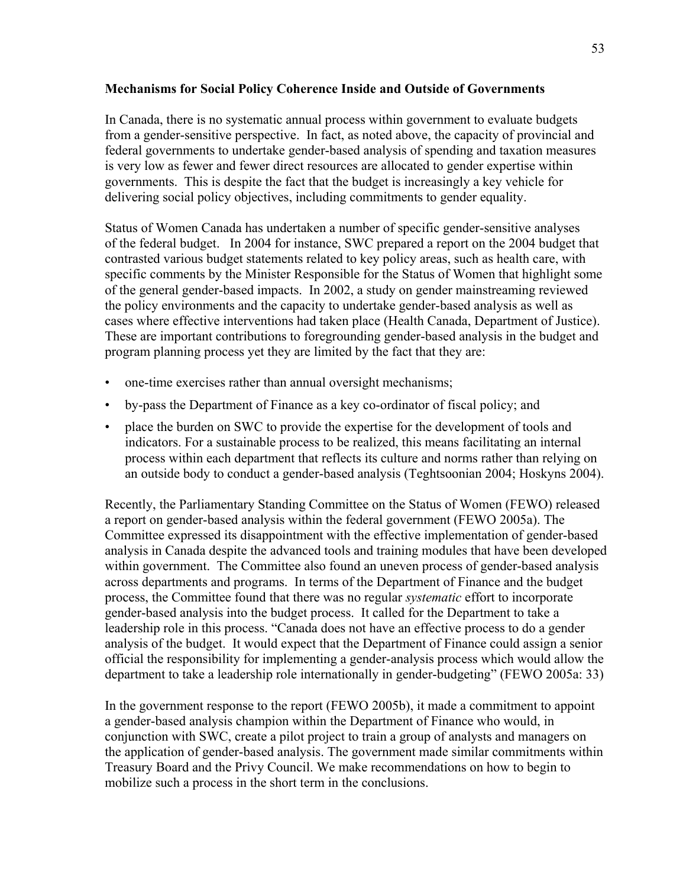### **Mechanisms for Social Policy Coherence Inside and Outside of Governments**

In Canada, there is no systematic annual process within government to evaluate budgets from a gender-sensitive perspective. In fact, as noted above, the capacity of provincial and federal governments to undertake gender-based analysis of spending and taxation measures is very low as fewer and fewer direct resources are allocated to gender expertise within governments. This is despite the fact that the budget is increasingly a key vehicle for delivering social policy objectives, including commitments to gender equality.

Status of Women Canada has undertaken a number of specific gender-sensitive analyses of the federal budget. In 2004 for instance, SWC prepared a report on the 2004 budget that contrasted various budget statements related to key policy areas, such as health care, with specific comments by the Minister Responsible for the Status of Women that highlight some of the general gender-based impacts. In 2002, a study on gender mainstreaming reviewed the policy environments and the capacity to undertake gender-based analysis as well as cases where effective interventions had taken place (Health Canada, Department of Justice). These are important contributions to foregrounding gender-based analysis in the budget and program planning process yet they are limited by the fact that they are:

- one-time exercises rather than annual oversight mechanisms;
- by-pass the Department of Finance as a key co-ordinator of fiscal policy; and
- place the burden on SWC to provide the expertise for the development of tools and indicators. For a sustainable process to be realized, this means facilitating an internal process within each department that reflects its culture and norms rather than relying on an outside body to conduct a gender-based analysis (Teghtsoonian 2004; Hoskyns 2004).

Recently, the Parliamentary Standing Committee on the Status of Women (FEWO) released a report on gender-based analysis within the federal government (FEWO 2005a). The Committee expressed its disappointment with the effective implementation of gender-based analysis in Canada despite the advanced tools and training modules that have been developed within government. The Committee also found an uneven process of gender-based analysis across departments and programs. In terms of the Department of Finance and the budget process, the Committee found that there was no regular *systematic* effort to incorporate gender-based analysis into the budget process. It called for the Department to take a leadership role in this process. "Canada does not have an effective process to do a gender analysis of the budget. It would expect that the Department of Finance could assign a senior official the responsibility for implementing a gender-analysis process which would allow the department to take a leadership role internationally in gender-budgeting" (FEWO 2005a: 33)

In the government response to the report (FEWO 2005b), it made a commitment to appoint a gender-based analysis champion within the Department of Finance who would, in conjunction with SWC, create a pilot project to train a group of analysts and managers on the application of gender-based analysis. The government made similar commitments within Treasury Board and the Privy Council. We make recommendations on how to begin to mobilize such a process in the short term in the conclusions.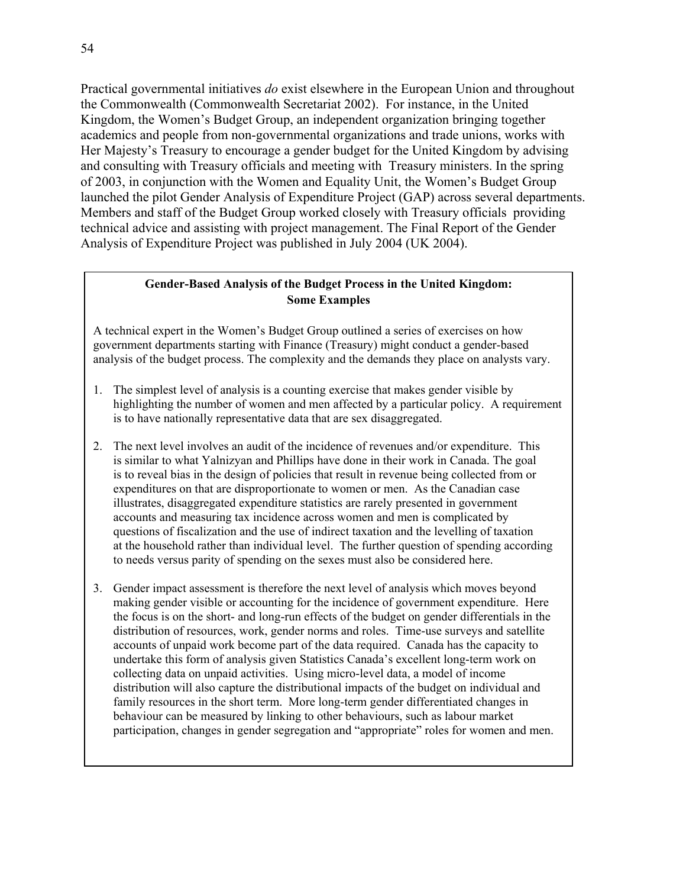Practical governmental initiatives *do* exist elsewhere in the European Union and throughout the Commonwealth (Commonwealth Secretariat 2002). For instance, in the United Kingdom, the Women's Budget Group, an independent organization bringing together academics and people from non-governmental organizations and trade unions, works with Her Majesty's Treasury to encourage a gender budget for the United Kingdom by advising and consulting with Treasury officials and meeting with Treasury ministers. In the spring of 2003, in conjunction with the Women and Equality Unit, the Women's Budget Group launched the pilot Gender Analysis of Expenditure Project (GAP) across several departments. Members and staff of the Budget Group worked closely with Treasury officials providing technical advice and assisting with project management. The Final Report of the Gender Analysis of Expenditure Project was published in July 2004 (UK 2004).

# **Gender-Based Analysis of the Budget Process in the United Kingdom: Some Examples**

A technical expert in the Women's Budget Group outlined a series of exercises on how government departments starting with Finance (Treasury) might conduct a gender-based analysis of the budget process. The complexity and the demands they place on analysts vary.

- 1. The simplest level of analysis is a counting exercise that makes gender visible by highlighting the number of women and men affected by a particular policy. A requirement is to have nationally representative data that are sex disaggregated.
- 2. The next level involves an audit of the incidence of revenues and/or expenditure. This is similar to what Yalnizyan and Phillips have done in their work in Canada. The goal is to reveal bias in the design of policies that result in revenue being collected from or expenditures on that are disproportionate to women or men. As the Canadian case illustrates, disaggregated expenditure statistics are rarely presented in government accounts and measuring tax incidence across women and men is complicated by questions of fiscalization and the use of indirect taxation and the levelling of taxation at the household rather than individual level. The further question of spending according to needs versus parity of spending on the sexes must also be considered here.
- 3. Gender impact assessment is therefore the next level of analysis which moves beyond making gender visible or accounting for the incidence of government expenditure. Here the focus is on the short- and long-run effects of the budget on gender differentials in the distribution of resources, work, gender norms and roles. Time-use surveys and satellite accounts of unpaid work become part of the data required. Canada has the capacity to undertake this form of analysis given Statistics Canada's excellent long-term work on collecting data on unpaid activities. Using micro-level data, a model of income distribution will also capture the distributional impacts of the budget on individual and family resources in the short term. More long-term gender differentiated changes in behaviour can be measured by linking to other behaviours, such as labour market participation, changes in gender segregation and "appropriate" roles for women and men.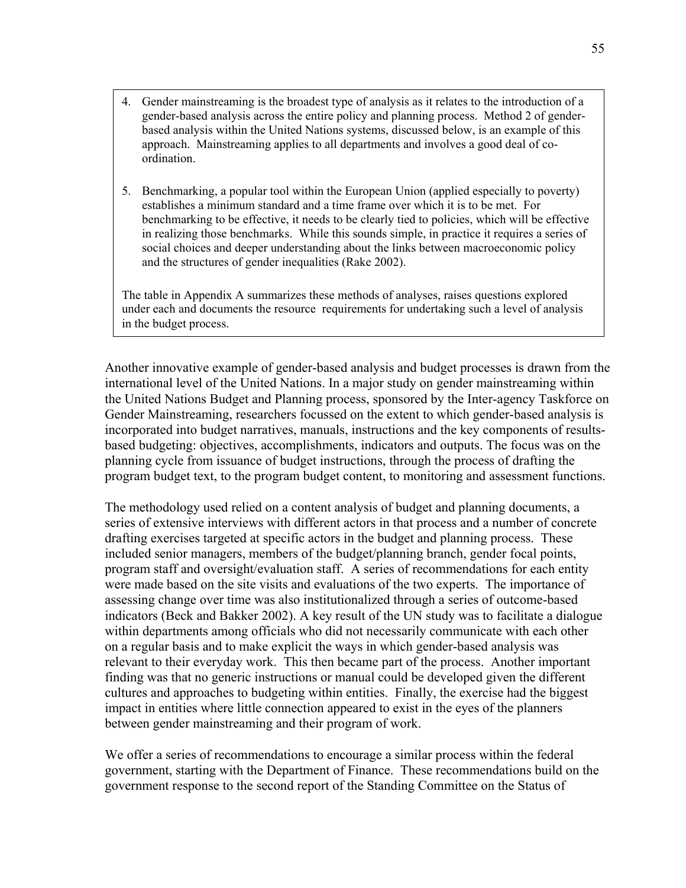- 4. Gender mainstreaming is the broadest type of analysis as it relates to the introduction of a gender-based analysis across the entire policy and planning process. Method 2 of genderbased analysis within the United Nations systems, discussed below, is an example of this approach. Mainstreaming applies to all departments and involves a good deal of coordination.
- 5. Benchmarking, a popular tool within the European Union (applied especially to poverty) establishes a minimum standard and a time frame over which it is to be met. For benchmarking to be effective, it needs to be clearly tied to policies, which will be effective in realizing those benchmarks. While this sounds simple, in practice it requires a series of social choices and deeper understanding about the links between macroeconomic policy and the structures of gender inequalities (Rake 2002).

The table in Appendix A summarizes these methods of analyses, raises questions explored under each and documents the resource requirements for undertaking such a level of analysis in the budget process.

Another innovative example of gender-based analysis and budget processes is drawn from the international level of the United Nations. In a major study on gender mainstreaming within the United Nations Budget and Planning process, sponsored by the Inter-agency Taskforce on Gender Mainstreaming, researchers focussed on the extent to which gender-based analysis is incorporated into budget narratives, manuals, instructions and the key components of resultsbased budgeting: objectives, accomplishments, indicators and outputs. The focus was on the planning cycle from issuance of budget instructions, through the process of drafting the program budget text, to the program budget content, to monitoring and assessment functions.

The methodology used relied on a content analysis of budget and planning documents, a series of extensive interviews with different actors in that process and a number of concrete drafting exercises targeted at specific actors in the budget and planning process. These included senior managers, members of the budget/planning branch, gender focal points, program staff and oversight/evaluation staff. A series of recommendations for each entity were made based on the site visits and evaluations of the two experts. The importance of assessing change over time was also institutionalized through a series of outcome-based indicators (Beck and Bakker 2002). A key result of the UN study was to facilitate a dialogue within departments among officials who did not necessarily communicate with each other on a regular basis and to make explicit the ways in which gender-based analysis was relevant to their everyday work. This then became part of the process. Another important finding was that no generic instructions or manual could be developed given the different cultures and approaches to budgeting within entities. Finally, the exercise had the biggest impact in entities where little connection appeared to exist in the eyes of the planners between gender mainstreaming and their program of work.

We offer a series of recommendations to encourage a similar process within the federal government, starting with the Department of Finance. These recommendations build on the government response to the second report of the Standing Committee on the Status of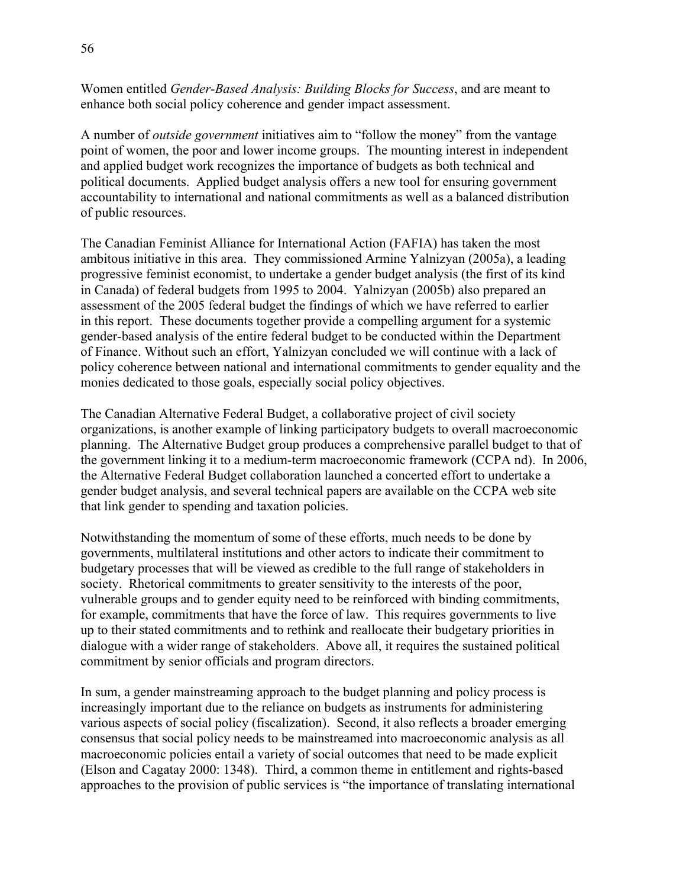Women entitled *Gender-Based Analysis: Building Blocks for Success*, and are meant to enhance both social policy coherence and gender impact assessment.

A number of *outside government* initiatives aim to "follow the money" from the vantage point of women, the poor and lower income groups. The mounting interest in independent and applied budget work recognizes the importance of budgets as both technical and political documents. Applied budget analysis offers a new tool for ensuring government accountability to international and national commitments as well as a balanced distribution of public resources.

The Canadian Feminist Alliance for International Action (FAFIA) has taken the most ambitous initiative in this area. They commissioned Armine Yalnizyan (2005a), a leading progressive feminist economist, to undertake a gender budget analysis (the first of its kind in Canada) of federal budgets from 1995 to 2004. Yalnizyan (2005b) also prepared an assessment of the 2005 federal budget the findings of which we have referred to earlier in this report. These documents together provide a compelling argument for a systemic gender-based analysis of the entire federal budget to be conducted within the Department of Finance. Without such an effort, Yalnizyan concluded we will continue with a lack of policy coherence between national and international commitments to gender equality and the monies dedicated to those goals, especially social policy objectives.

The Canadian Alternative Federal Budget, a collaborative project of civil society organizations, is another example of linking participatory budgets to overall macroeconomic planning. The Alternative Budget group produces a comprehensive parallel budget to that of the government linking it to a medium-term macroeconomic framework (CCPA nd). In 2006, the Alternative Federal Budget collaboration launched a concerted effort to undertake a gender budget analysis, and several technical papers are available on the CCPA web site that link gender to spending and taxation policies.

Notwithstanding the momentum of some of these efforts, much needs to be done by governments, multilateral institutions and other actors to indicate their commitment to budgetary processes that will be viewed as credible to the full range of stakeholders in society. Rhetorical commitments to greater sensitivity to the interests of the poor, vulnerable groups and to gender equity need to be reinforced with binding commitments, for example, commitments that have the force of law. This requires governments to live up to their stated commitments and to rethink and reallocate their budgetary priorities in dialogue with a wider range of stakeholders. Above all, it requires the sustained political commitment by senior officials and program directors.

In sum, a gender mainstreaming approach to the budget planning and policy process is increasingly important due to the reliance on budgets as instruments for administering various aspects of social policy (fiscalization). Second, it also reflects a broader emerging consensus that social policy needs to be mainstreamed into macroeconomic analysis as all macroeconomic policies entail a variety of social outcomes that need to be made explicit (Elson and Cagatay 2000: 1348). Third, a common theme in entitlement and rights-based approaches to the provision of public services is "the importance of translating international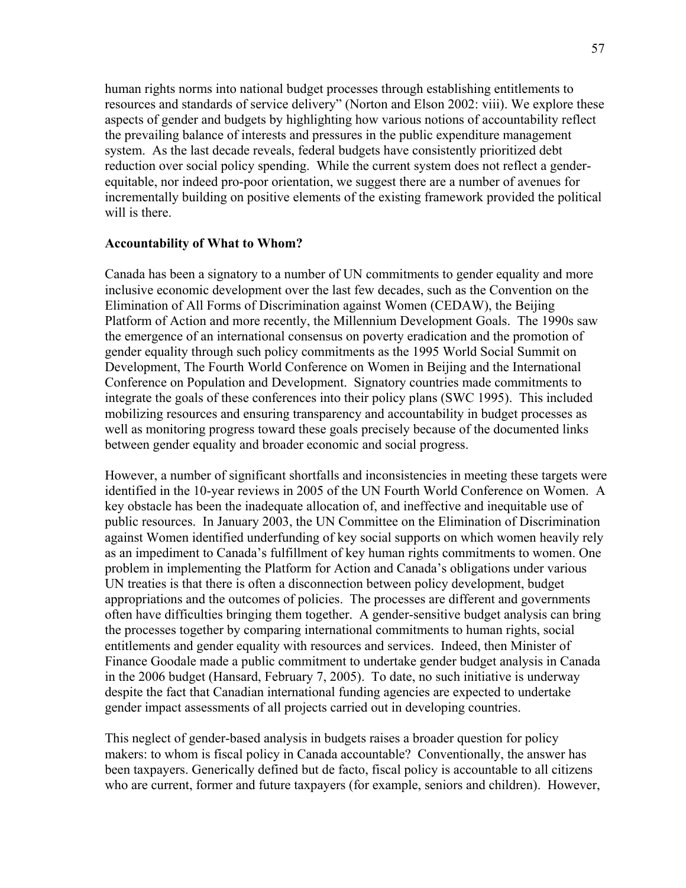human rights norms into national budget processes through establishing entitlements to resources and standards of service delivery" (Norton and Elson 2002: viii). We explore these aspects of gender and budgets by highlighting how various notions of accountability reflect the prevailing balance of interests and pressures in the public expenditure management system. As the last decade reveals, federal budgets have consistently prioritized debt reduction over social policy spending. While the current system does not reflect a genderequitable, nor indeed pro-poor orientation, we suggest there are a number of avenues for incrementally building on positive elements of the existing framework provided the political will is there.

#### **Accountability of What to Whom?**

Canada has been a signatory to a number of UN commitments to gender equality and more inclusive economic development over the last few decades, such as the Convention on the Elimination of All Forms of Discrimination against Women (CEDAW), the Beijing Platform of Action and more recently, the Millennium Development Goals. The 1990s saw the emergence of an international consensus on poverty eradication and the promotion of gender equality through such policy commitments as the 1995 World Social Summit on Development, The Fourth World Conference on Women in Beijing and the International Conference on Population and Development. Signatory countries made commitments to integrate the goals of these conferences into their policy plans (SWC 1995). This included mobilizing resources and ensuring transparency and accountability in budget processes as well as monitoring progress toward these goals precisely because of the documented links between gender equality and broader economic and social progress.

However, a number of significant shortfalls and inconsistencies in meeting these targets were identified in the 10-year reviews in 2005 of the UN Fourth World Conference on Women. A key obstacle has been the inadequate allocation of, and ineffective and inequitable use of public resources. In January 2003, the UN Committee on the Elimination of Discrimination against Women identified underfunding of key social supports on which women heavily rely as an impediment to Canada's fulfillment of key human rights commitments to women. One problem in implementing the Platform for Action and Canada's obligations under various UN treaties is that there is often a disconnection between policy development, budget appropriations and the outcomes of policies. The processes are different and governments often have difficulties bringing them together. A gender-sensitive budget analysis can bring the processes together by comparing international commitments to human rights, social entitlements and gender equality with resources and services. Indeed, then Minister of Finance Goodale made a public commitment to undertake gender budget analysis in Canada in the 2006 budget (Hansard, February 7, 2005). To date, no such initiative is underway despite the fact that Canadian international funding agencies are expected to undertake gender impact assessments of all projects carried out in developing countries.

This neglect of gender-based analysis in budgets raises a broader question for policy makers: to whom is fiscal policy in Canada accountable? Conventionally, the answer has been taxpayers. Generically defined but de facto, fiscal policy is accountable to all citizens who are current, former and future taxpayers (for example, seniors and children). However,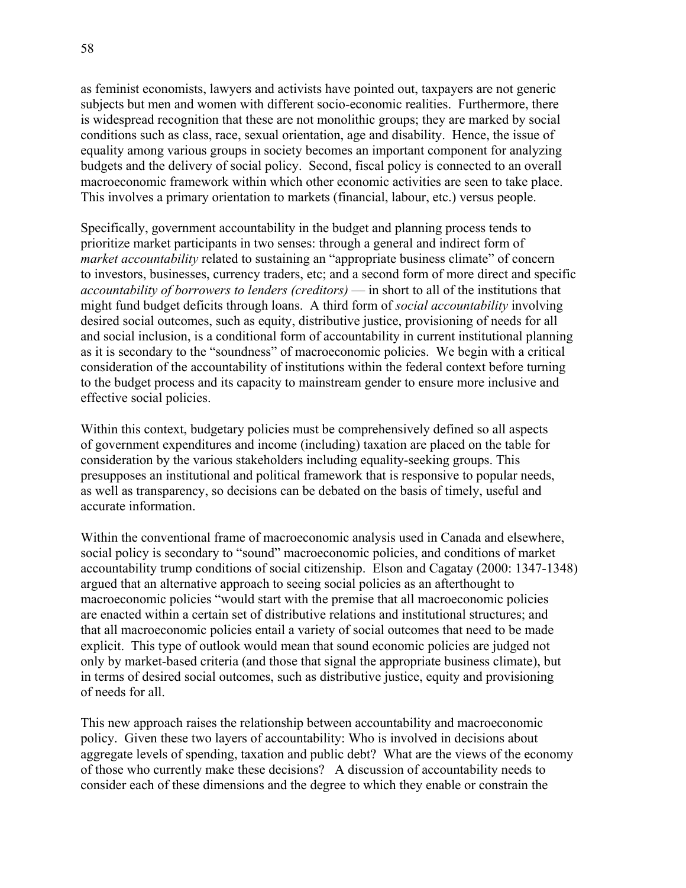as feminist economists, lawyers and activists have pointed out, taxpayers are not generic subjects but men and women with different socio-economic realities. Furthermore, there is widespread recognition that these are not monolithic groups; they are marked by social conditions such as class, race, sexual orientation, age and disability. Hence, the issue of equality among various groups in society becomes an important component for analyzing budgets and the delivery of social policy. Second, fiscal policy is connected to an overall macroeconomic framework within which other economic activities are seen to take place. This involves a primary orientation to markets (financial, labour, etc.) versus people.

Specifically, government accountability in the budget and planning process tends to prioritize market participants in two senses: through a general and indirect form of *market accountability* related to sustaining an "appropriate business climate" of concern to investors, businesses, currency traders, etc; and a second form of more direct and specific *accountability of borrowers to lenders (creditors)* — in short to all of the institutions that might fund budget deficits through loans. A third form of *social accountability* involving desired social outcomes, such as equity, distributive justice, provisioning of needs for all and social inclusion, is a conditional form of accountability in current institutional planning as it is secondary to the "soundness" of macroeconomic policies. We begin with a critical consideration of the accountability of institutions within the federal context before turning to the budget process and its capacity to mainstream gender to ensure more inclusive and effective social policies.

Within this context, budgetary policies must be comprehensively defined so all aspects of government expenditures and income (including) taxation are placed on the table for consideration by the various stakeholders including equality-seeking groups. This presupposes an institutional and political framework that is responsive to popular needs, as well as transparency, so decisions can be debated on the basis of timely, useful and accurate information.

Within the conventional frame of macroeconomic analysis used in Canada and elsewhere, social policy is secondary to "sound" macroeconomic policies, and conditions of market accountability trump conditions of social citizenship. Elson and Cagatay (2000: 1347-1348) argued that an alternative approach to seeing social policies as an afterthought to macroeconomic policies "would start with the premise that all macroeconomic policies are enacted within a certain set of distributive relations and institutional structures; and that all macroeconomic policies entail a variety of social outcomes that need to be made explicit. This type of outlook would mean that sound economic policies are judged not only by market-based criteria (and those that signal the appropriate business climate), but in terms of desired social outcomes, such as distributive justice, equity and provisioning of needs for all.

This new approach raises the relationship between accountability and macroeconomic policy. Given these two layers of accountability: Who is involved in decisions about aggregate levels of spending, taxation and public debt? What are the views of the economy of those who currently make these decisions? A discussion of accountability needs to consider each of these dimensions and the degree to which they enable or constrain the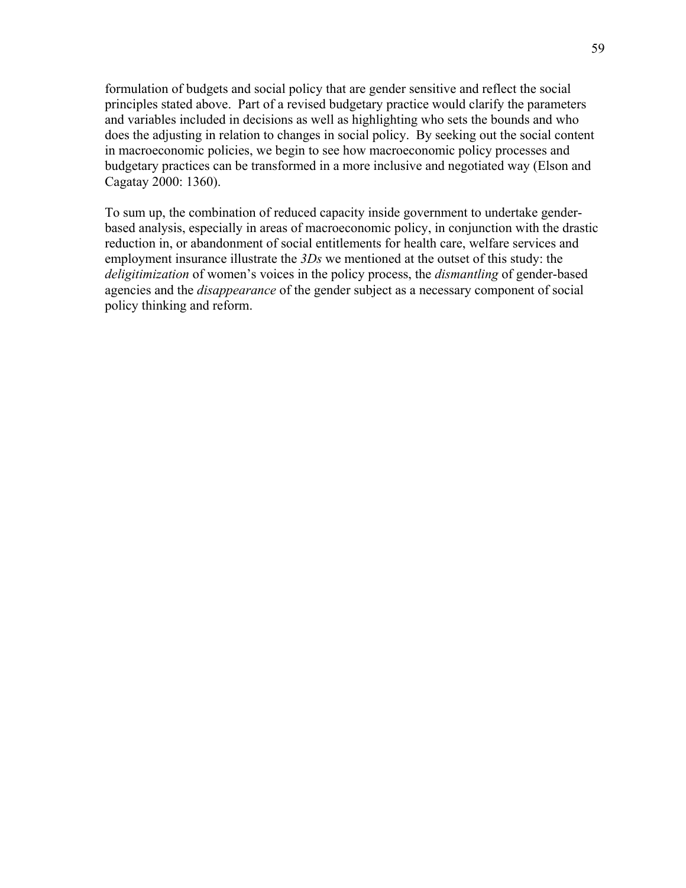formulation of budgets and social policy that are gender sensitive and reflect the social principles stated above. Part of a revised budgetary practice would clarify the parameters and variables included in decisions as well as highlighting who sets the bounds and who does the adjusting in relation to changes in social policy. By seeking out the social content in macroeconomic policies, we begin to see how macroeconomic policy processes and budgetary practices can be transformed in a more inclusive and negotiated way (Elson and Cagatay 2000: 1360).

To sum up, the combination of reduced capacity inside government to undertake genderbased analysis, especially in areas of macroeconomic policy, in conjunction with the drastic reduction in, or abandonment of social entitlements for health care, welfare services and employment insurance illustrate the *3Ds* we mentioned at the outset of this study: the *deligitimization* of women's voices in the policy process, the *dismantling* of gender-based agencies and the *disappearance* of the gender subject as a necessary component of social policy thinking and reform.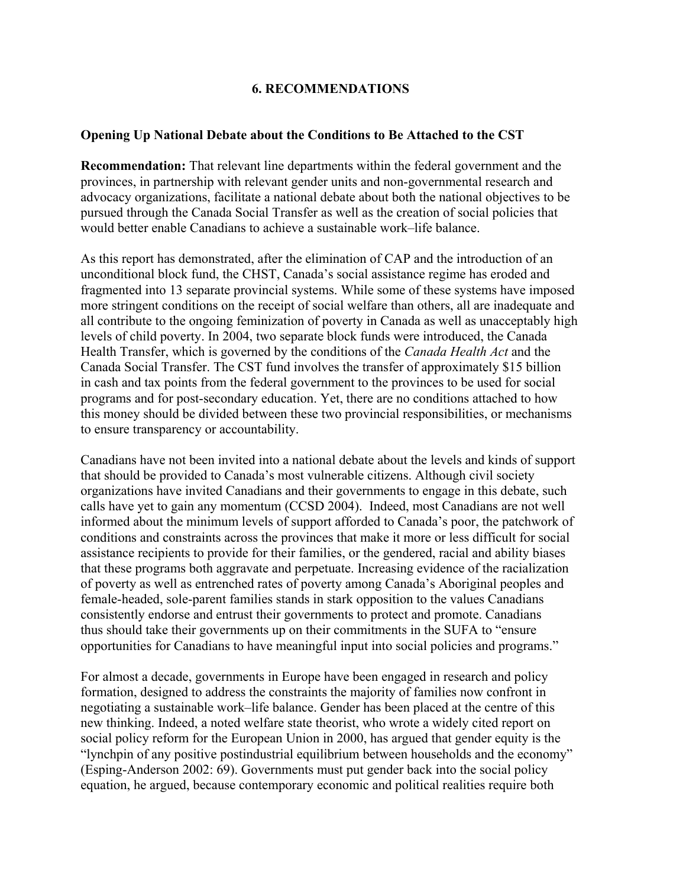## **6. RECOMMENDATIONS**

## **Opening Up National Debate about the Conditions to Be Attached to the CST**

**Recommendation:** That relevant line departments within the federal government and the provinces, in partnership with relevant gender units and non-governmental research and advocacy organizations, facilitate a national debate about both the national objectives to be pursued through the Canada Social Transfer as well as the creation of social policies that would better enable Canadians to achieve a sustainable work–life balance.

As this report has demonstrated, after the elimination of CAP and the introduction of an unconditional block fund, the CHST, Canada's social assistance regime has eroded and fragmented into 13 separate provincial systems. While some of these systems have imposed more stringent conditions on the receipt of social welfare than others, all are inadequate and all contribute to the ongoing feminization of poverty in Canada as well as unacceptably high levels of child poverty. In 2004, two separate block funds were introduced, the Canada Health Transfer, which is governed by the conditions of the *Canada Health Act* and the Canada Social Transfer. The CST fund involves the transfer of approximately \$15 billion in cash and tax points from the federal government to the provinces to be used for social programs and for post-secondary education. Yet, there are no conditions attached to how this money should be divided between these two provincial responsibilities, or mechanisms to ensure transparency or accountability.

Canadians have not been invited into a national debate about the levels and kinds of support that should be provided to Canada's most vulnerable citizens. Although civil society organizations have invited Canadians and their governments to engage in this debate, such calls have yet to gain any momentum (CCSD 2004). Indeed, most Canadians are not well informed about the minimum levels of support afforded to Canada's poor, the patchwork of conditions and constraints across the provinces that make it more or less difficult for social assistance recipients to provide for their families, or the gendered, racial and ability biases that these programs both aggravate and perpetuate. Increasing evidence of the racialization of poverty as well as entrenched rates of poverty among Canada's Aboriginal peoples and female-headed, sole-parent families stands in stark opposition to the values Canadians consistently endorse and entrust their governments to protect and promote. Canadians thus should take their governments up on their commitments in the SUFA to "ensure opportunities for Canadians to have meaningful input into social policies and programs."

For almost a decade, governments in Europe have been engaged in research and policy formation, designed to address the constraints the majority of families now confront in negotiating a sustainable work–life balance. Gender has been placed at the centre of this new thinking. Indeed, a noted welfare state theorist, who wrote a widely cited report on social policy reform for the European Union in 2000, has argued that gender equity is the "lynchpin of any positive postindustrial equilibrium between households and the economy" (Esping-Anderson 2002: 69). Governments must put gender back into the social policy equation, he argued, because contemporary economic and political realities require both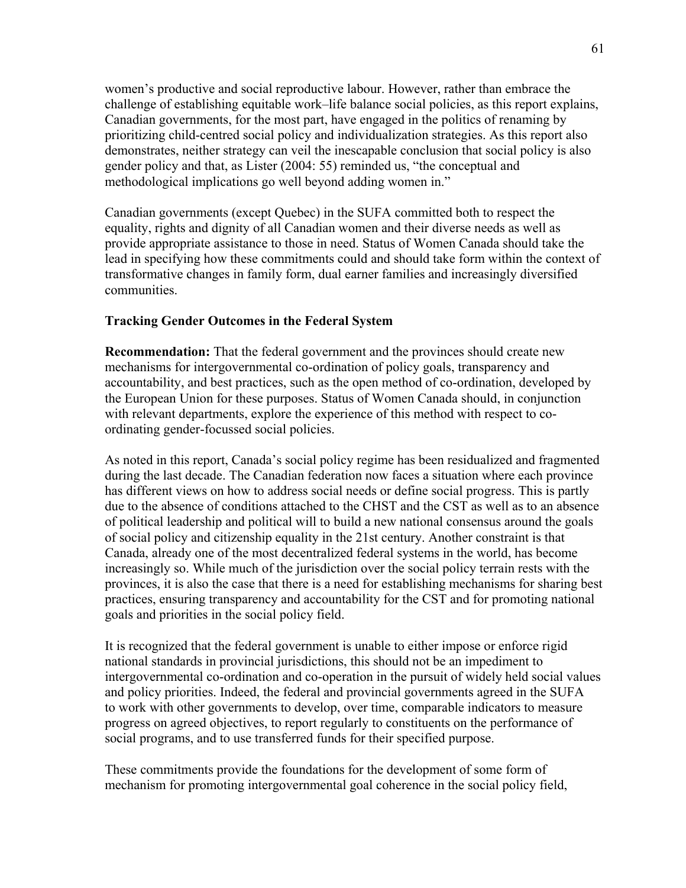women's productive and social reproductive labour. However, rather than embrace the challenge of establishing equitable work–life balance social policies, as this report explains, Canadian governments, for the most part, have engaged in the politics of renaming by prioritizing child-centred social policy and individualization strategies. As this report also demonstrates, neither strategy can veil the inescapable conclusion that social policy is also gender policy and that, as Lister (2004: 55) reminded us, "the conceptual and methodological implications go well beyond adding women in."

Canadian governments (except Quebec) in the SUFA committed both to respect the equality, rights and dignity of all Canadian women and their diverse needs as well as provide appropriate assistance to those in need. Status of Women Canada should take the lead in specifying how these commitments could and should take form within the context of transformative changes in family form, dual earner families and increasingly diversified communities.

#### **Tracking Gender Outcomes in the Federal System**

**Recommendation:** That the federal government and the provinces should create new mechanisms for intergovernmental co-ordination of policy goals, transparency and accountability, and best practices, such as the open method of co-ordination, developed by the European Union for these purposes. Status of Women Canada should, in conjunction with relevant departments, explore the experience of this method with respect to coordinating gender-focussed social policies.

As noted in this report, Canada's social policy regime has been residualized and fragmented during the last decade. The Canadian federation now faces a situation where each province has different views on how to address social needs or define social progress. This is partly due to the absence of conditions attached to the CHST and the CST as well as to an absence of political leadership and political will to build a new national consensus around the goals of social policy and citizenship equality in the 21st century. Another constraint is that Canada, already one of the most decentralized federal systems in the world, has become increasingly so. While much of the jurisdiction over the social policy terrain rests with the provinces, it is also the case that there is a need for establishing mechanisms for sharing best practices, ensuring transparency and accountability for the CST and for promoting national goals and priorities in the social policy field.

It is recognized that the federal government is unable to either impose or enforce rigid national standards in provincial jurisdictions, this should not be an impediment to intergovernmental co-ordination and co-operation in the pursuit of widely held social values and policy priorities. Indeed, the federal and provincial governments agreed in the SUFA to work with other governments to develop, over time, comparable indicators to measure progress on agreed objectives, to report regularly to constituents on the performance of social programs, and to use transferred funds for their specified purpose.

These commitments provide the foundations for the development of some form of mechanism for promoting intergovernmental goal coherence in the social policy field,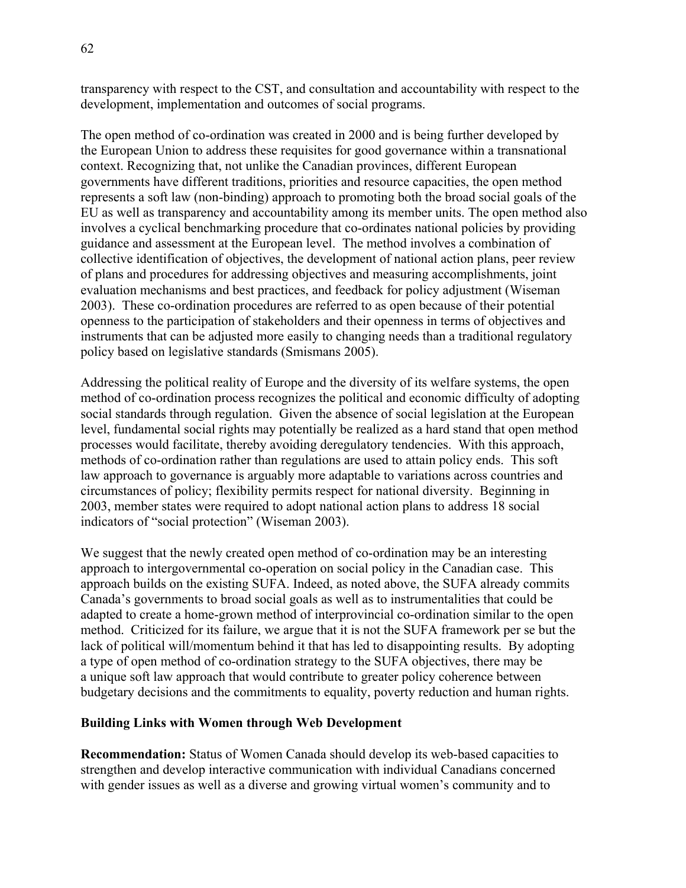transparency with respect to the CST, and consultation and accountability with respect to the development, implementation and outcomes of social programs.

The open method of co-ordination was created in 2000 and is being further developed by the European Union to address these requisites for good governance within a transnational context. Recognizing that, not unlike the Canadian provinces, different European governments have different traditions, priorities and resource capacities, the open method represents a soft law (non-binding) approach to promoting both the broad social goals of the EU as well as transparency and accountability among its member units. The open method also involves a cyclical benchmarking procedure that co-ordinates national policies by providing guidance and assessment at the European level. The method involves a combination of collective identification of objectives, the development of national action plans, peer review of plans and procedures for addressing objectives and measuring accomplishments, joint evaluation mechanisms and best practices, and feedback for policy adjustment (Wiseman 2003). These co-ordination procedures are referred to as open because of their potential openness to the participation of stakeholders and their openness in terms of objectives and instruments that can be adjusted more easily to changing needs than a traditional regulatory policy based on legislative standards (Smismans 2005).

Addressing the political reality of Europe and the diversity of its welfare systems, the open method of co-ordination process recognizes the political and economic difficulty of adopting social standards through regulation. Given the absence of social legislation at the European level, fundamental social rights may potentially be realized as a hard stand that open method processes would facilitate, thereby avoiding deregulatory tendencies. With this approach, methods of co-ordination rather than regulations are used to attain policy ends. This soft law approach to governance is arguably more adaptable to variations across countries and circumstances of policy; flexibility permits respect for national diversity. Beginning in 2003, member states were required to adopt national action plans to address 18 social indicators of "social protection" (Wiseman 2003).

We suggest that the newly created open method of co-ordination may be an interesting approach to intergovernmental co-operation on social policy in the Canadian case. This approach builds on the existing SUFA. Indeed, as noted above, the SUFA already commits Canada's governments to broad social goals as well as to instrumentalities that could be adapted to create a home-grown method of interprovincial co-ordination similar to the open method. Criticized for its failure, we argue that it is not the SUFA framework per se but the lack of political will/momentum behind it that has led to disappointing results. By adopting a type of open method of co-ordination strategy to the SUFA objectives, there may be a unique soft law approach that would contribute to greater policy coherence between budgetary decisions and the commitments to equality, poverty reduction and human rights.

#### **Building Links with Women through Web Development**

**Recommendation:** Status of Women Canada should develop its web-based capacities to strengthen and develop interactive communication with individual Canadians concerned with gender issues as well as a diverse and growing virtual women's community and to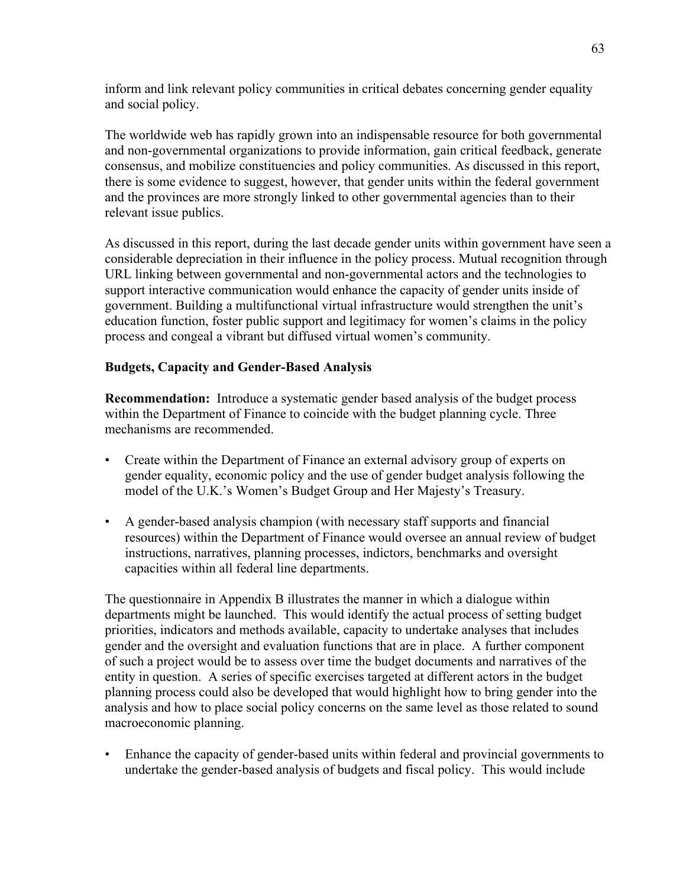inform and link relevant policy communities in critical debates concerning gender equality and social policy.

The worldwide web has rapidly grown into an indispensable resource for both governmental and non-governmental organizations to provide information, gain critical feedback, generate consensus, and mobilize constituencies and policy communities. As discussed in this report, there is some evidence to suggest, however, that gender units within the federal government and the provinces are more strongly linked to other governmental agencies than to their relevant issue publics.

As discussed in this report, during the last decade gender units within government have seen a considerable depreciation in their influence in the policy process. Mutual recognition through URL linking between governmental and non-governmental actors and the technologies to support interactive communication would enhance the capacity of gender units inside of government. Building a multifunctional virtual infrastructure would strengthen the unit's education function, foster public support and legitimacy for women's claims in the policy process and congeal a vibrant but diffused virtual women's community.

## **Budgets, Capacity and Gender-Based Analysis**

**Recommendation:** Introduce a systematic gender based analysis of the budget process within the Department of Finance to coincide with the budget planning cycle. Three mechanisms are recommended.

- Create within the Department of Finance an external advisory group of experts on gender equality, economic policy and the use of gender budget analysis following the model of the U.K.'s Women's Budget Group and Her Majesty's Treasury.
- A gender-based analysis champion (with necessary staff supports and financial resources) within the Department of Finance would oversee an annual review of budget instructions, narratives, planning processes, indictors, benchmarks and oversight capacities within all federal line departments.

The questionnaire in Appendix B illustrates the manner in which a dialogue within departments might be launched. This would identify the actual process of setting budget priorities, indicators and methods available, capacity to undertake analyses that includes gender and the oversight and evaluation functions that are in place. A further component of such a project would be to assess over time the budget documents and narratives of the entity in question. A series of specific exercises targeted at different actors in the budget planning process could also be developed that would highlight how to bring gender into the analysis and how to place social policy concerns on the same level as those related to sound macroeconomic planning.

• Enhance the capacity of gender-based units within federal and provincial governments to undertake the gender-based analysis of budgets and fiscal policy. This would include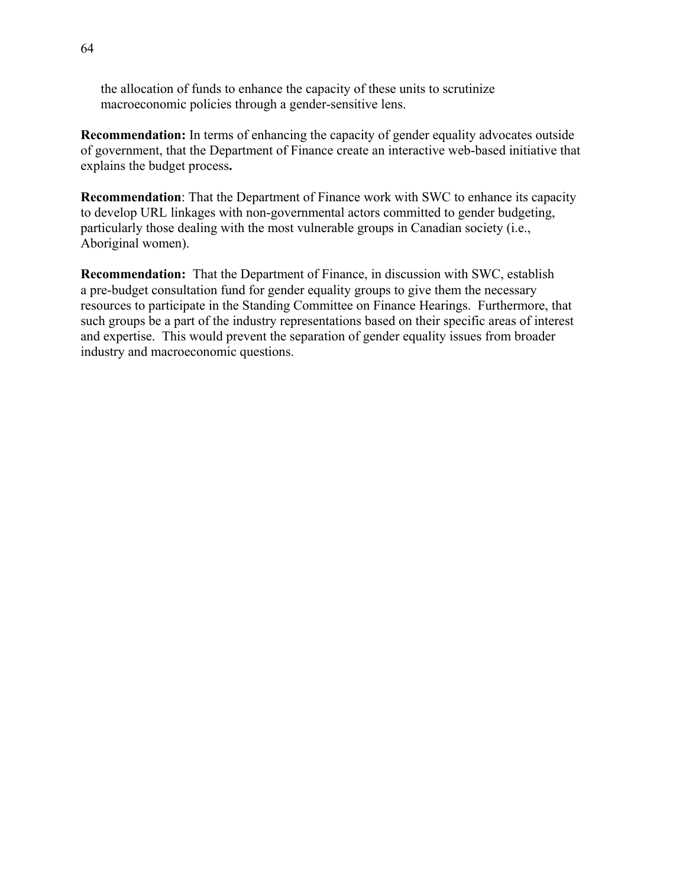the allocation of funds to enhance the capacity of these units to scrutinize macroeconomic policies through a gender-sensitive lens.

**Recommendation:** In terms of enhancing the capacity of gender equality advocates outside of government, that the Department of Finance create an interactive web-based initiative that explains the budget process**.** 

**Recommendation**: That the Department of Finance work with SWC to enhance its capacity to develop URL linkages with non-governmental actors committed to gender budgeting, particularly those dealing with the most vulnerable groups in Canadian society (i.e., Aboriginal women).

**Recommendation:** That the Department of Finance, in discussion with SWC, establish a pre-budget consultation fund for gender equality groups to give them the necessary resources to participate in the Standing Committee on Finance Hearings. Furthermore, that such groups be a part of the industry representations based on their specific areas of interest and expertise. This would prevent the separation of gender equality issues from broader industry and macroeconomic questions.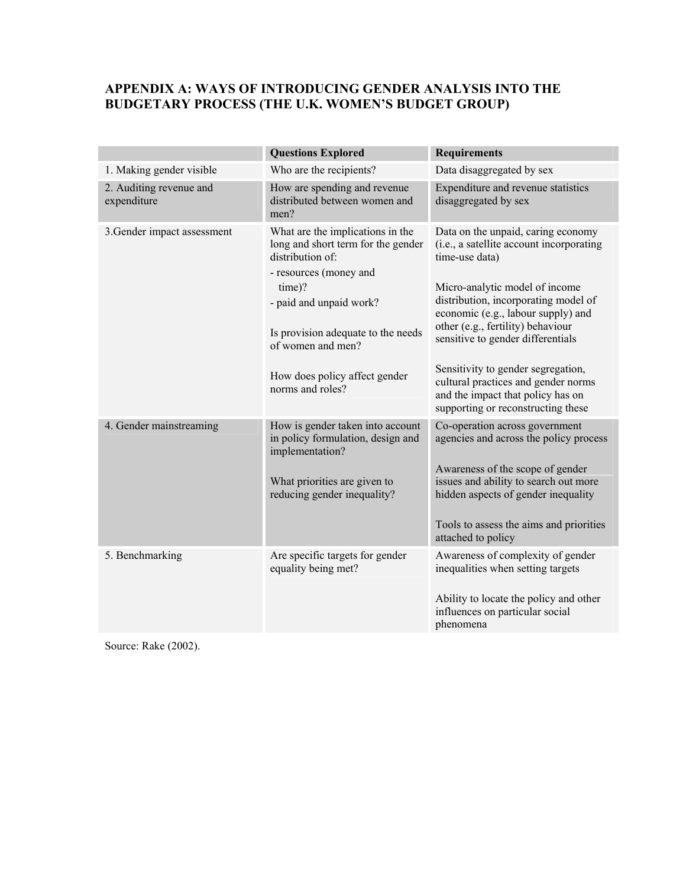## **APPENDIX A: WAYS OF INTRODUCING GENDER ANALYSIS INTO THE BUDGETARY PROCESS (THE U.K. WOMEN'S BUDGET GROUP)**

|                                        | <b>Questions Explored</b>                                                                                                                                                                                                                                                 | <b>Requirements</b>                                                                                                                                                                                                                                                                                                                                                                                                                                |
|----------------------------------------|---------------------------------------------------------------------------------------------------------------------------------------------------------------------------------------------------------------------------------------------------------------------------|----------------------------------------------------------------------------------------------------------------------------------------------------------------------------------------------------------------------------------------------------------------------------------------------------------------------------------------------------------------------------------------------------------------------------------------------------|
| 1. Making gender visible               | Who are the recipients?                                                                                                                                                                                                                                                   | Data disaggregated by sex                                                                                                                                                                                                                                                                                                                                                                                                                          |
| 2. Auditing revenue and<br>expenditure | How are spending and revenue<br>distributed between women and<br>men?                                                                                                                                                                                                     | Expenditure and revenue statistics<br>disaggregated by sex                                                                                                                                                                                                                                                                                                                                                                                         |
| 3. Gender impact assessment            | What are the implications in the<br>long and short term for the gender<br>distribution of:<br>- resources (money and<br>time)?<br>- paid and unpaid work?<br>Is provision adequate to the needs<br>of women and men?<br>How does policy affect gender<br>norms and roles? | Data on the unpaid, caring economy<br>(i.e., a satellite account incorporating<br>time-use data)<br>Micro-analytic model of income<br>distribution, incorporating model of<br>economic (e.g., labour supply) and<br>other (e.g., fertility) behaviour<br>sensitive to gender differentials<br>Sensitivity to gender segregation,<br>cultural practices and gender norms<br>and the impact that policy has on<br>supporting or reconstructing these |
| 4. Gender mainstreaming                | How is gender taken into account<br>in policy formulation, design and<br>implementation?<br>What priorities are given to<br>reducing gender inequality?                                                                                                                   | Co-operation across government<br>agencies and across the policy process<br>Awareness of the scope of gender<br>issues and ability to search out more<br>hidden aspects of gender inequality<br>Tools to assess the aims and priorities<br>attached to policy                                                                                                                                                                                      |
| 5. Benchmarking                        | Are specific targets for gender<br>equality being met?                                                                                                                                                                                                                    | Awareness of complexity of gender<br>inequalities when setting targets<br>Ability to locate the policy and other<br>influences on particular social<br>phenomena                                                                                                                                                                                                                                                                                   |

Source: Rake (2002).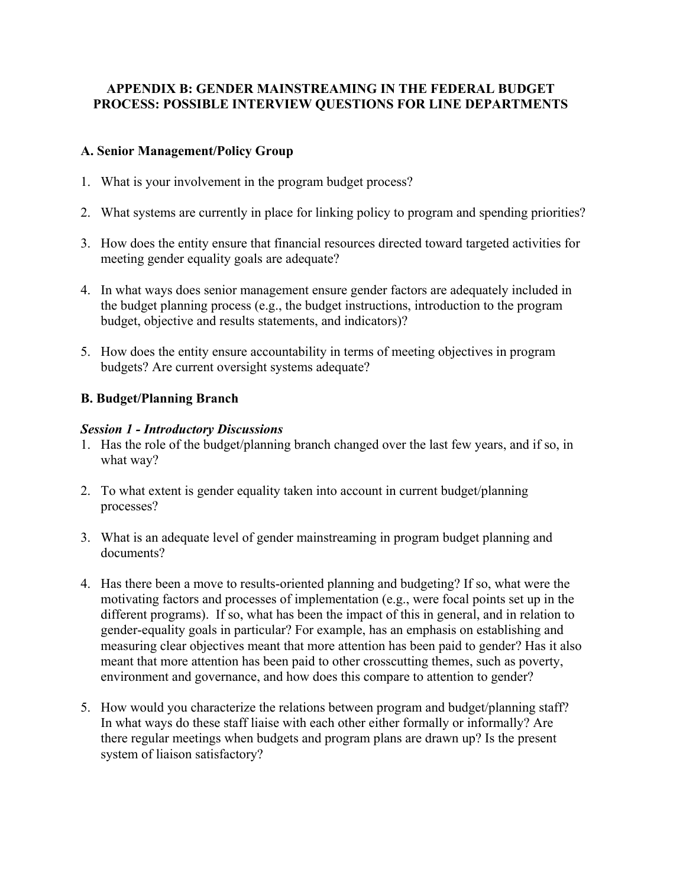## **APPENDIX B: GENDER MAINSTREAMING IN THE FEDERAL BUDGET PROCESS: POSSIBLE INTERVIEW QUESTIONS FOR LINE DEPARTMENTS**

## **A. Senior Management/Policy Group**

- 1. What is your involvement in the program budget process?
- 2. What systems are currently in place for linking policy to program and spending priorities?
- 3. How does the entity ensure that financial resources directed toward targeted activities for meeting gender equality goals are adequate?
- 4. In what ways does senior management ensure gender factors are adequately included in the budget planning process (e.g., the budget instructions, introduction to the program budget, objective and results statements, and indicators)?
- 5. How does the entity ensure accountability in terms of meeting objectives in program budgets? Are current oversight systems adequate?

## **B. Budget/Planning Branch**

## *Session 1 - Introductory Discussions*

- 1. Has the role of the budget/planning branch changed over the last few years, and if so, in what way?
- 2. To what extent is gender equality taken into account in current budget/planning processes?
- 3. What is an adequate level of gender mainstreaming in program budget planning and documents?
- 4. Has there been a move to results-oriented planning and budgeting? If so, what were the motivating factors and processes of implementation (e.g., were focal points set up in the different programs). If so, what has been the impact of this in general, and in relation to gender-equality goals in particular? For example, has an emphasis on establishing and measuring clear objectives meant that more attention has been paid to gender? Has it also meant that more attention has been paid to other crosscutting themes, such as poverty, environment and governance, and how does this compare to attention to gender?
- 5. How would you characterize the relations between program and budget/planning staff? In what ways do these staff liaise with each other either formally or informally? Are there regular meetings when budgets and program plans are drawn up? Is the present system of liaison satisfactory?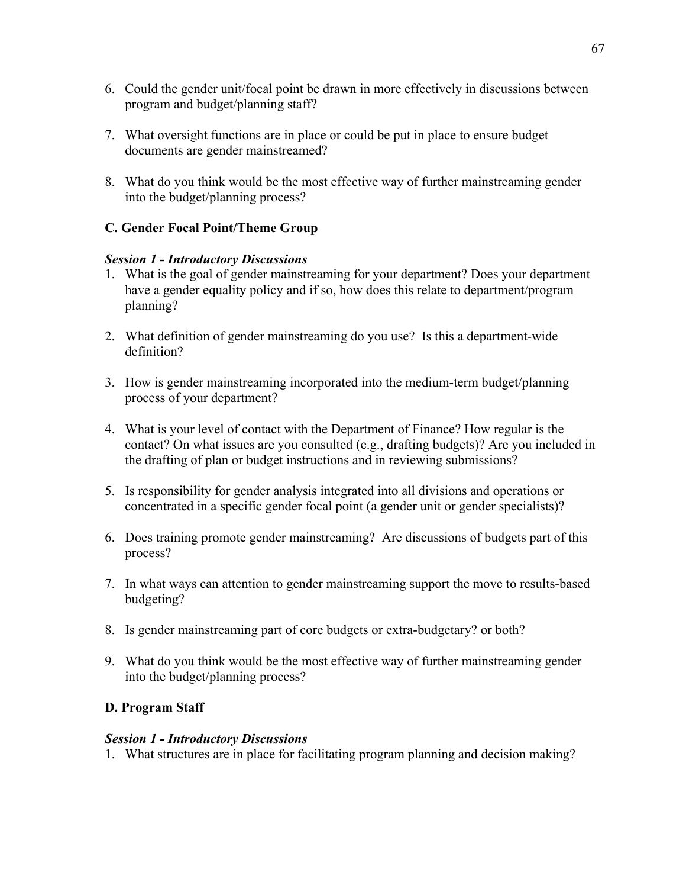- 6. Could the gender unit/focal point be drawn in more effectively in discussions between program and budget/planning staff?
- 7. What oversight functions are in place or could be put in place to ensure budget documents are gender mainstreamed?
- 8. What do you think would be the most effective way of further mainstreaming gender into the budget/planning process?

## **C. Gender Focal Point/Theme Group**

#### *Session 1 - Introductory Discussions*

- 1. What is the goal of gender mainstreaming for your department? Does your department have a gender equality policy and if so, how does this relate to department/program planning?
- 2. What definition of gender mainstreaming do you use? Is this a department-wide definition?
- 3. How is gender mainstreaming incorporated into the medium-term budget/planning process of your department?
- 4. What is your level of contact with the Department of Finance? How regular is the contact? On what issues are you consulted (e.g., drafting budgets)? Are you included in the drafting of plan or budget instructions and in reviewing submissions?
- 5. Is responsibility for gender analysis integrated into all divisions and operations or concentrated in a specific gender focal point (a gender unit or gender specialists)?
- 6. Does training promote gender mainstreaming? Are discussions of budgets part of this process?
- 7. In what ways can attention to gender mainstreaming support the move to results-based budgeting?
- 8. Is gender mainstreaming part of core budgets or extra-budgetary? or both?
- 9. What do you think would be the most effective way of further mainstreaming gender into the budget/planning process?

## **D. Program Staff**

#### *Session 1 - Introductory Discussions*

1. What structures are in place for facilitating program planning and decision making?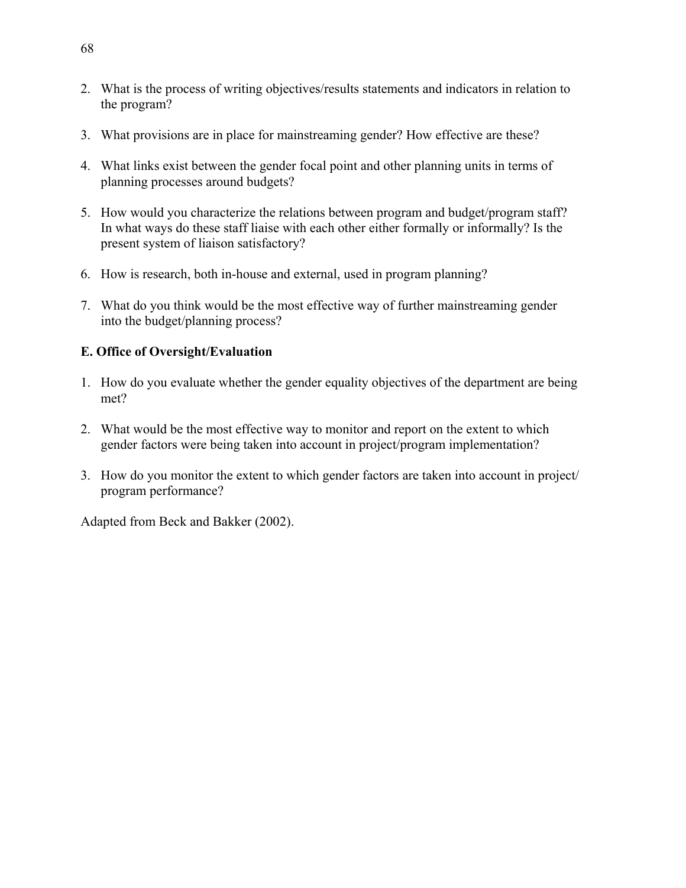- 2. What is the process of writing objectives/results statements and indicators in relation to the program?
- 3. What provisions are in place for mainstreaming gender? How effective are these?
- 4. What links exist between the gender focal point and other planning units in terms of planning processes around budgets?
- 5. How would you characterize the relations between program and budget/program staff? In what ways do these staff liaise with each other either formally or informally? Is the present system of liaison satisfactory?
- 6. How is research, both in-house and external, used in program planning?
- 7. What do you think would be the most effective way of further mainstreaming gender into the budget/planning process?

## **E. Office of Oversight/Evaluation**

- 1. How do you evaluate whether the gender equality objectives of the department are being met?
- 2. What would be the most effective way to monitor and report on the extent to which gender factors were being taken into account in project/program implementation?
- 3. How do you monitor the extent to which gender factors are taken into account in project/ program performance?

Adapted from Beck and Bakker (2002).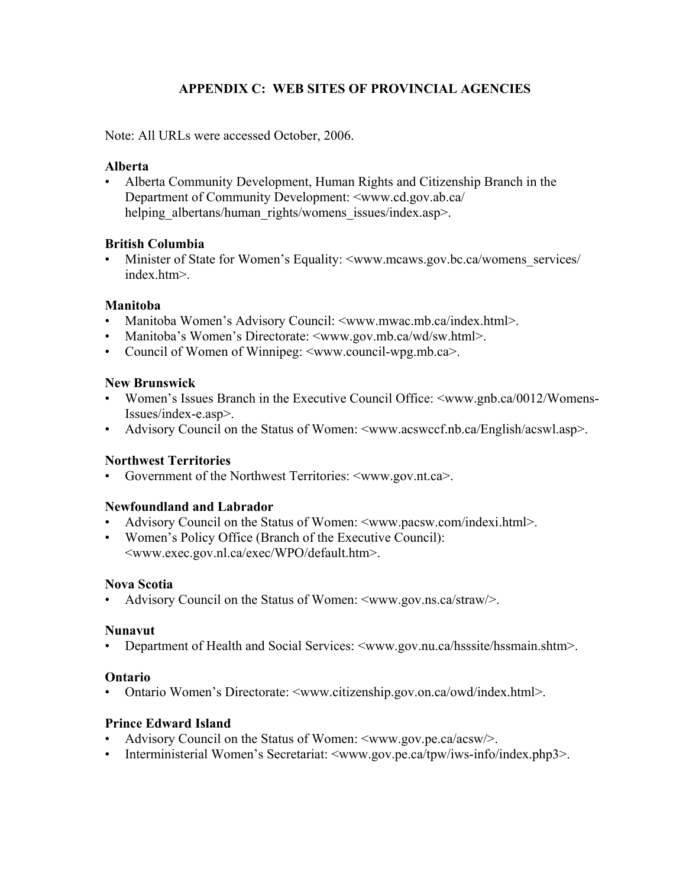## **APPENDIX C: WEB SITES OF PROVINCIAL AGENCIES**

Note: All URLs were accessed October, 2006.

## **Alberta**

• Alberta Community Development, Human Rights and Citizenship Branch in the Department of Community Development: <www.cd.gov.ab.ca/ helping albertans/human rights/womens issues/index.asp>.

## **British Columbia**

Minister of State for Women's Equality: <www.mcaws.gov.bc.ca/womens\_services/ index.htm>.

## **Manitoba**

- Manitoba Women's Advisory Council: <www.mwac.mb.ca/index.html>.
- Manitoba's Women's Directorate: <www.gov.mb.ca/wd/sw.html>.
- Council of Women of Winnipeg:  $\langle$ www.council-wpg.mb.ca>.

## **New Brunswick**

- Women's Issues Branch in the Executive Council Office: <www.gnb.ca/0012/Womens-Issues/index-e.asp>.
- Advisory Council on the Status of Women: <www.acswccf.nb.ca/English/acswl.asp>.

## **Northwest Territories**

Government of the Northwest Territories:  $\langle$ www.gov.nt.ca>.

## **Newfoundland and Labrador**

- Advisory Council on the Status of Women: <www.pacsw.com/indexi.html>.
- Women's Policy Office (Branch of the Executive Council): <www.exec.gov.nl.ca/exec/WPO/default.htm>.

## **Nova Scotia**

• Advisory Council on the Status of Women: <www.gov.ns.ca/straw/>.

## **Nunavut**

• Department of Health and Social Services: <www.gov.nu.ca/hsssite/hssmain.shtm>.

## **Ontario**

• Ontario Women's Directorate: <www.citizenship.gov.on.ca/owd/index.html>.

## **Prince Edward Island**

- Advisory Council on the Status of Women: <www.gov.pe.ca/acsw/>.
- Interministerial Women's Secretariat: <www.gov.pe.ca/tpw/iws-info/index.php3>.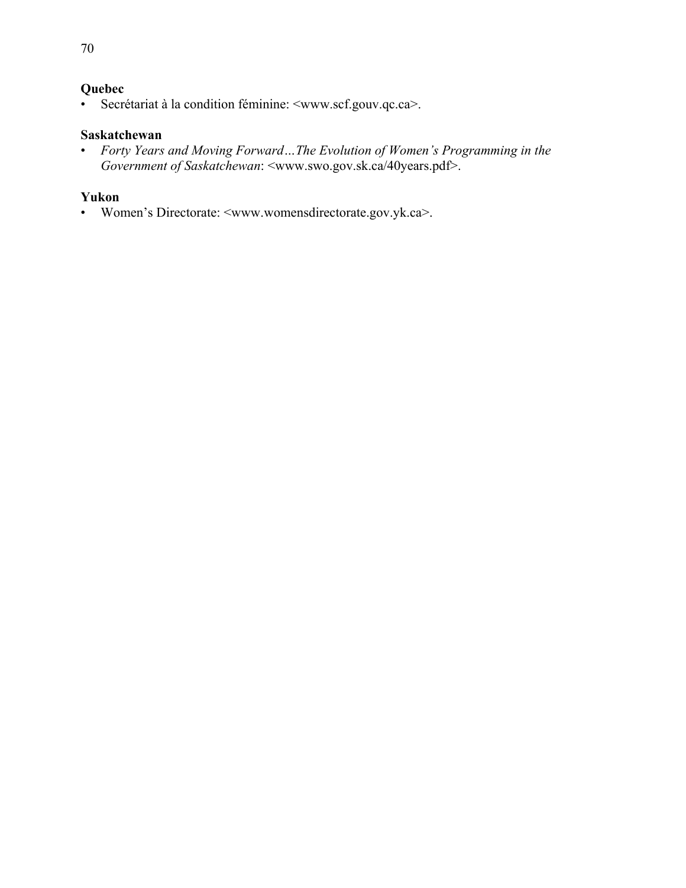## **Quebec**

• Secrétariat à la condition féminine: <www.scf.gouv.qc.ca>.

#### **Saskatchewan**

• *Forty Years and Moving Forward…The Evolution of Women's Programming in the Government of Saskatchewan*: <www.swo.gov.sk.ca/40years.pdf>.

#### **Yukon**

• Women's Directorate: <www.womensdirectorate.gov.yk.ca>.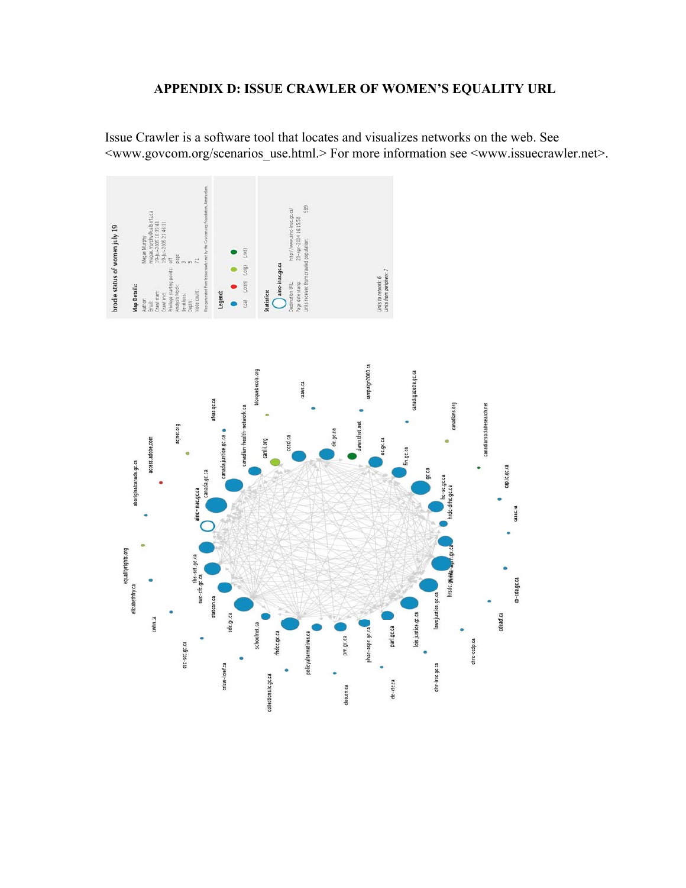# **APPENDIX D: ISSUE CRAWLER OF WOMEN'S EQUALITY URL**

Issue Crawler is a software tool that locates and visualizes networks on the web. See <www.govcom.org/scenarios\_use.html.> For more information see <www.issuecrawler.net>.

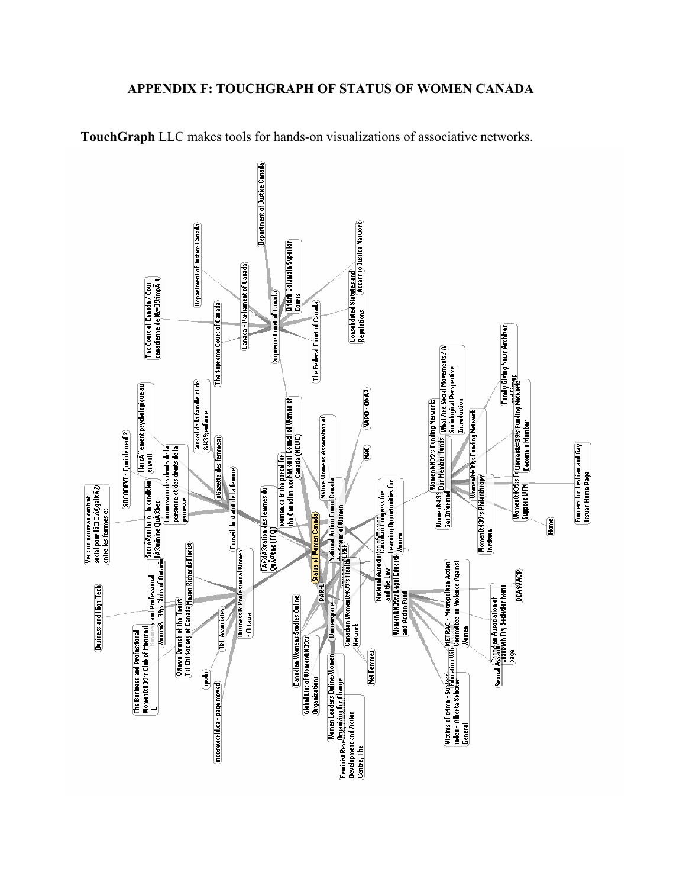

**TouchGraph** LLC makes tools for hands-on visualizations of associative networks.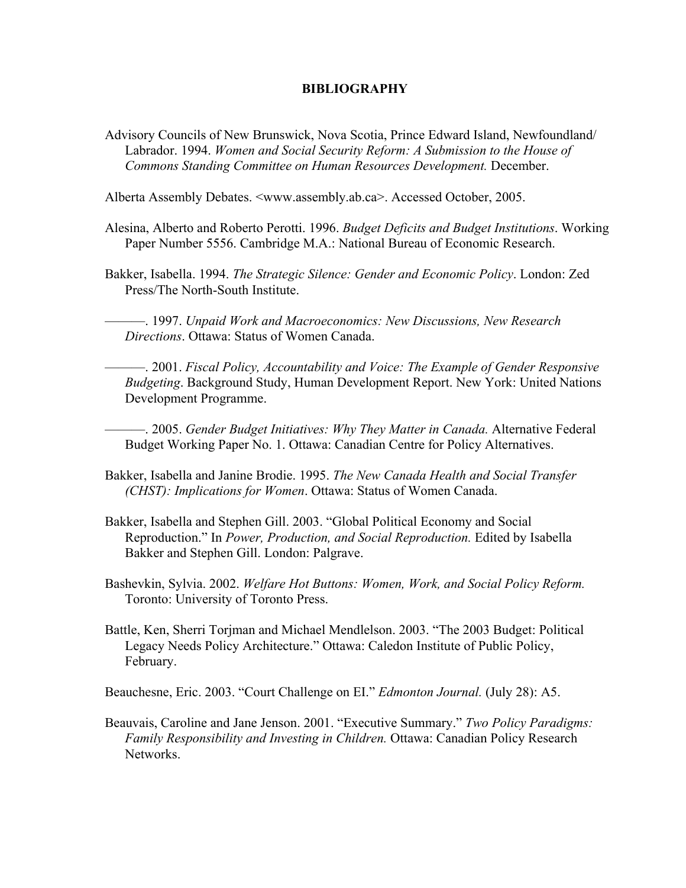#### **BIBLIOGRAPHY**

Advisory Councils of New Brunswick, Nova Scotia, Prince Edward Island, Newfoundland/ Labrador. 1994. *Women and Social Security Reform: A Submission to the House of Commons Standing Committee on Human Resources Development.* December.

Alberta Assembly Debates. <www.assembly.ab.ca>. Accessed October, 2005.

- Alesina, Alberto and Roberto Perotti. 1996. *Budget Deficits and Budget Institutions*. Working Paper Number 5556. Cambridge M.A.: National Bureau of Economic Research.
- Bakker, Isabella. 1994. *The Strategic Silence: Gender and Economic Policy*. London: Zed Press/The North-South Institute.

———. 1997. *Unpaid Work and Macroeconomics: New Discussions, New Research Directions*. Ottawa: Status of Women Canada.

———. 2001. *Fiscal Policy, Accountability and Voice: The Example of Gender Responsive Budgeting*. Background Study, Human Development Report. New York: United Nations Development Programme.

———. 2005. *Gender Budget Initiatives: Why They Matter in Canada.* Alternative Federal Budget Working Paper No. 1. Ottawa: Canadian Centre for Policy Alternatives.

- Bakker, Isabella and Janine Brodie. 1995. *The New Canada Health and Social Transfer (CHST): Implications for Women*. Ottawa: Status of Women Canada.
- Bakker, Isabella and Stephen Gill. 2003. "Global Political Economy and Social Reproduction." In *Power, Production, and Social Reproduction.* Edited by Isabella Bakker and Stephen Gill. London: Palgrave.
- Bashevkin, Sylvia. 2002. *Welfare Hot Buttons: Women, Work, and Social Policy Reform.* Toronto: University of Toronto Press.
- Battle, Ken, Sherri Torjman and Michael Mendlelson. 2003. "The 2003 Budget: Political Legacy Needs Policy Architecture." Ottawa: Caledon Institute of Public Policy, February.

Beauchesne, Eric. 2003. "Court Challenge on EI." *Edmonton Journal.* (July 28): A5.

Beauvais, Caroline and Jane Jenson. 2001. "Executive Summary." *Two Policy Paradigms: Family Responsibility and Investing in Children.* Ottawa: Canadian Policy Research Networks.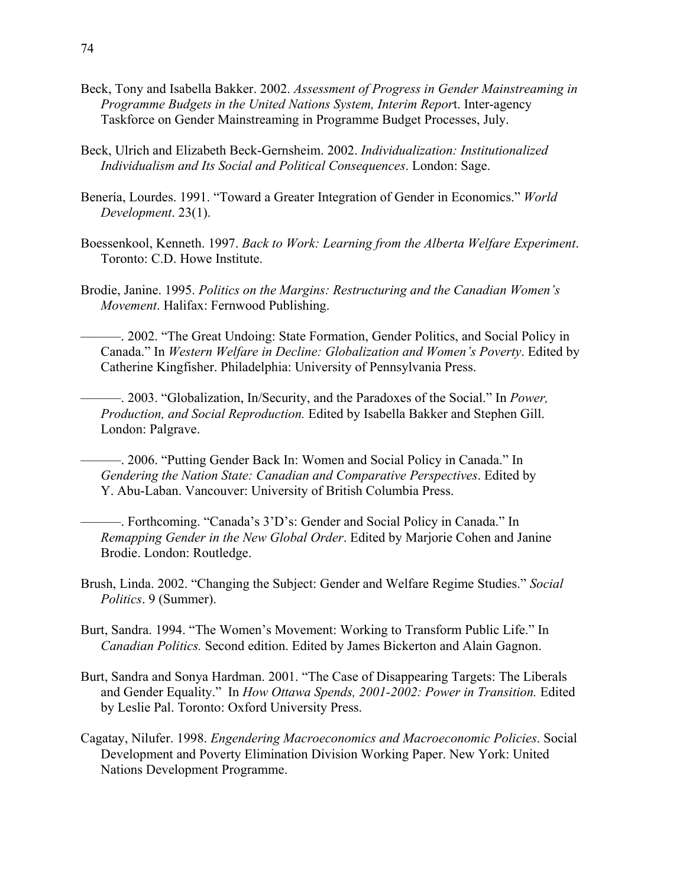- Beck, Tony and Isabella Bakker. 2002. *Assessment of Progress in Gender Mainstreaming in Programme Budgets in the United Nations System, Interim Repor*t. Inter-agency Taskforce on Gender Mainstreaming in Programme Budget Processes, July.
- Beck, Ulrich and Elizabeth Beck-Gernsheim. 2002. *Individualization: Institutionalized Individualism and Its Social and Political Consequences*. London: Sage.
- Benería, Lourdes. 1991. "Toward a Greater Integration of Gender in Economics." *World Development*. 23(1).
- Boessenkool, Kenneth. 1997. *Back to Work: Learning from the Alberta Welfare Experiment*. Toronto: C.D. Howe Institute.
- Brodie, Janine. 1995. *Politics on the Margins: Restructuring and the Canadian Women's Movement*. Halifax: Fernwood Publishing.
	- ———. 2002. "The Great Undoing: State Formation, Gender Politics, and Social Policy in Canada." In *Western Welfare in Decline: Globalization and Women's Poverty*. Edited by Catherine Kingfisher. Philadelphia: University of Pennsylvania Press.
	- ———. 2003. "Globalization, In/Security, and the Paradoxes of the Social." In *Power, Production, and Social Reproduction.* Edited by Isabella Bakker and Stephen Gill. London: Palgrave.
	- ———. 2006. "Putting Gender Back In: Women and Social Policy in Canada." In *Gendering the Nation State: Canadian and Comparative Perspectives*. Edited by Y. Abu-Laban. Vancouver: University of British Columbia Press.
	- ———. Forthcoming. "Canada's 3'D's: Gender and Social Policy in Canada." In *Remapping Gender in the New Global Order*. Edited by Marjorie Cohen and Janine Brodie. London: Routledge.
- Brush, Linda. 2002. "Changing the Subject: Gender and Welfare Regime Studies." *Social Politics*. 9 (Summer).
- Burt, Sandra. 1994. "The Women's Movement: Working to Transform Public Life." In *Canadian Politics.* Second edition. Edited by James Bickerton and Alain Gagnon.
- Burt, Sandra and Sonya Hardman. 2001. "The Case of Disappearing Targets: The Liberals and Gender Equality." In *How Ottawa Spends, 2001-2002: Power in Transition.* Edited by Leslie Pal. Toronto: Oxford University Press.
- Cagatay, Nilufer. 1998. *Engendering Macroeconomics and Macroeconomic Policies*. Social Development and Poverty Elimination Division Working Paper. New York: United Nations Development Programme.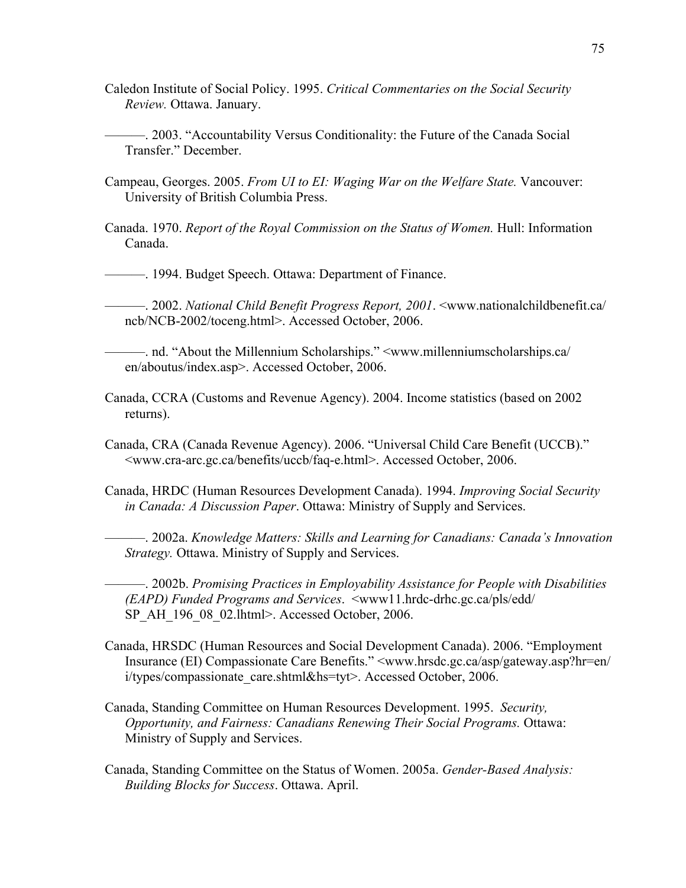- Caledon Institute of Social Policy. 1995. *Critical Commentaries on the Social Security Review.* Ottawa. January.
- ———. 2003. "Accountability Versus Conditionality: the Future of the Canada Social Transfer." December.
- Campeau, Georges. 2005. *From UI to EI: Waging War on the Welfare State.* Vancouver: University of British Columbia Press.
- Canada. 1970. *Report of the Royal Commission on the Status of Women.* Hull: Information Canada.
- ———. 1994. Budget Speech. Ottawa: Department of Finance.

———. 2002. *National Child Benefit Progress Report, 2001*. <www.nationalchildbenefit.ca/ ncb/NCB-2002/toceng.html>. Accessed October, 2006.

- ———. nd. "About the Millennium Scholarships." <www.millenniumscholarships.ca/ en/aboutus/index.asp>. Accessed October, 2006.
- Canada, CCRA (Customs and Revenue Agency). 2004. Income statistics (based on 2002 returns).
- Canada, CRA (Canada Revenue Agency). 2006. "Universal Child Care Benefit (UCCB)." <www.cra-arc.gc.ca/benefits/uccb/faq-e.html>. Accessed October, 2006.
- Canada, HRDC (Human Resources Development Canada). 1994. *Improving Social Security in Canada: A Discussion Paper*. Ottawa: Ministry of Supply and Services.

———. 2002a. *Knowledge Matters: Skills and Learning for Canadians: Canada's Innovation Strategy.* Ottawa. Ministry of Supply and Services.

———. 2002b. *Promising Practices in Employability Assistance for People with Disabilities (EAPD) Funded Programs and Services*. <www11.hrdc-drhc.gc.ca/pls/edd/ SP\_AH\_196\_08\_02.lhtml>. Accessed October, 2006.

- Canada, HRSDC (Human Resources and Social Development Canada). 2006. "Employment Insurance (EI) Compassionate Care Benefits." <www.hrsdc.gc.ca/asp/gateway.asp?hr=en/ i/types/compassionate\_care.shtml&hs=tyt>. Accessed October, 2006.
- Canada, Standing Committee on Human Resources Development. 1995. *Security, Opportunity, and Fairness: Canadians Renewing Their Social Programs.* Ottawa: Ministry of Supply and Services.
- Canada, Standing Committee on the Status of Women. 2005a. *Gender-Based Analysis: Building Blocks for Success*. Ottawa. April.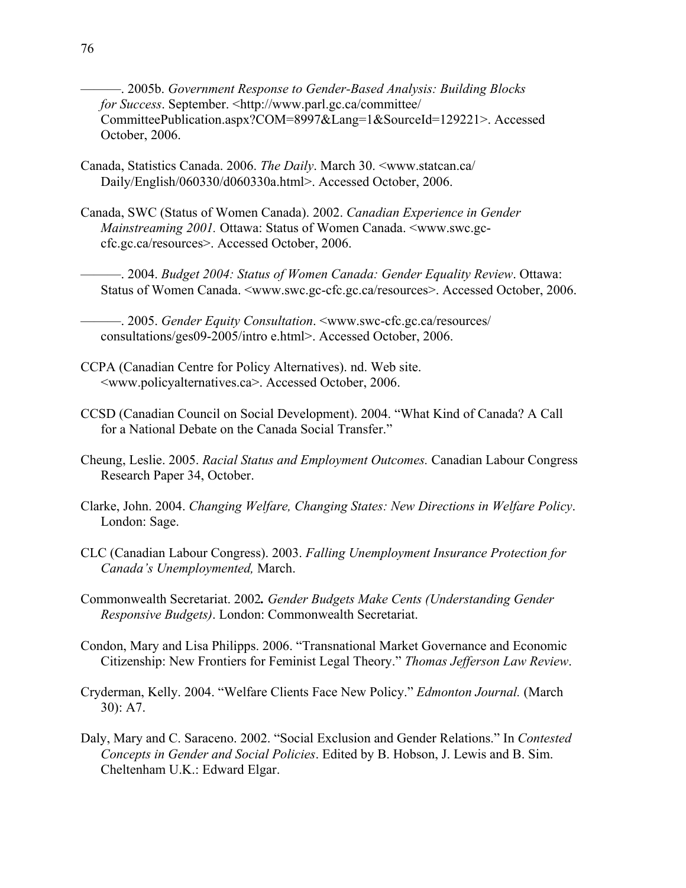———. 2005b. *Government Response to Gender-Based Analysis: Building Blocks for Success*. September. <http://www.parl.gc.ca/committee/ CommitteePublication.aspx?COM=8997&Lang=1&SourceId=129221>. Accessed October, 2006.

- Canada, Statistics Canada. 2006. *The Daily*. March 30. <www.statcan.ca/ Daily/English/060330/d060330a.html>. Accessed October, 2006.
- Canada, SWC (Status of Women Canada). 2002. *Canadian Experience in Gender Mainstreaming 2001.* Ottawa: Status of Women Canada. <www.swc.gccfc.gc.ca/resources>. Accessed October, 2006.
	- ———. 2004. *Budget 2004: Status of Women Canada: Gender Equality Review*. Ottawa: Status of Women Canada. <www.swc.gc-cfc.gc.ca/resources>. Accessed October, 2006.
- ———. 2005. *Gender Equity Consultation*. <www.swc-cfc.gc.ca/resources/ consultations/ges09-2005/intro e.html>. Accessed October, 2006.
- CCPA (Canadian Centre for Policy Alternatives). nd. Web site. <www.policyalternatives.ca>. Accessed October, 2006.
- CCSD (Canadian Council on Social Development). 2004. "What Kind of Canada? A Call for a National Debate on the Canada Social Transfer."
- Cheung, Leslie. 2005. *Racial Status and Employment Outcomes.* Canadian Labour Congress Research Paper 34, October.
- Clarke, John. 2004. *Changing Welfare, Changing States: New Directions in Welfare Policy*. London: Sage.
- CLC (Canadian Labour Congress). 2003. *Falling Unemployment Insurance Protection for Canada's Unemploymented,* March.
- Commonwealth Secretariat. 2002*. Gender Budgets Make Cents (Understanding Gender Responsive Budgets)*. London: Commonwealth Secretariat.
- Condon, Mary and Lisa Philipps. 2006. "Transnational Market Governance and Economic Citizenship: New Frontiers for Feminist Legal Theory." *Thomas Jefferson Law Review*.
- Cryderman, Kelly. 2004. "Welfare Clients Face New Policy." *Edmonton Journal.* (March 30): A7.
- Daly, Mary and C. Saraceno. 2002. "Social Exclusion and Gender Relations." In *Contested Concepts in Gender and Social Policies*. Edited by B. Hobson, J. Lewis and B. Sim. Cheltenham U.K.: Edward Elgar.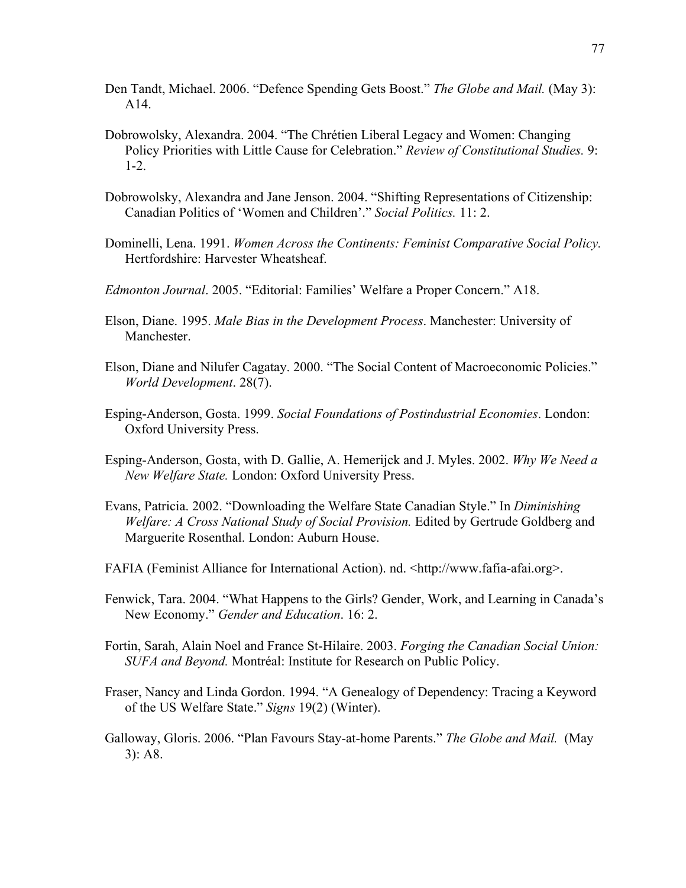- Den Tandt, Michael. 2006. "Defence Spending Gets Boost." *The Globe and Mail.* (May 3): A14.
- Dobrowolsky, Alexandra. 2004. "The Chrétien Liberal Legacy and Women: Changing Policy Priorities with Little Cause for Celebration." *Review of Constitutional Studies.* 9: 1-2.
- Dobrowolsky, Alexandra and Jane Jenson. 2004. "Shifting Representations of Citizenship: Canadian Politics of 'Women and Children'." *Social Politics.* 11: 2.
- Dominelli, Lena. 1991. *Women Across the Continents: Feminist Comparative Social Policy.* Hertfordshire: Harvester Wheatsheaf.
- *Edmonton Journal*. 2005. "Editorial: Families' Welfare a Proper Concern." A18.
- Elson, Diane. 1995. *Male Bias in the Development Process*. Manchester: University of Manchester.
- Elson, Diane and Nilufer Cagatay. 2000. "The Social Content of Macroeconomic Policies." *World Development*. 28(7).
- Esping-Anderson, Gosta. 1999. *Social Foundations of Postindustrial Economies*. London: Oxford University Press.
- Esping-Anderson, Gosta, with D. Gallie, A. Hemerijck and J. Myles. 2002. *Why We Need a New Welfare State.* London: Oxford University Press.
- Evans, Patricia. 2002. "Downloading the Welfare State Canadian Style." In *Diminishing Welfare: A Cross National Study of Social Provision.* Edited by Gertrude Goldberg and Marguerite Rosenthal. London: Auburn House.
- FAFIA (Feminist Alliance for International Action). nd. <http://www.fafia-afai.org>.
- Fenwick, Tara. 2004. "What Happens to the Girls? Gender, Work, and Learning in Canada's New Economy." *Gender and Education*. 16: 2.
- Fortin, Sarah, Alain Noel and France St-Hilaire. 2003. *Forging the Canadian Social Union: SUFA and Beyond.* Montréal: Institute for Research on Public Policy.
- Fraser, Nancy and Linda Gordon. 1994. "A Genealogy of Dependency: Tracing a Keyword of the US Welfare State." *Signs* 19(2) (Winter).
- Galloway, Gloris. 2006. "Plan Favours Stay-at-home Parents." *The Globe and Mail.* (May 3): A8.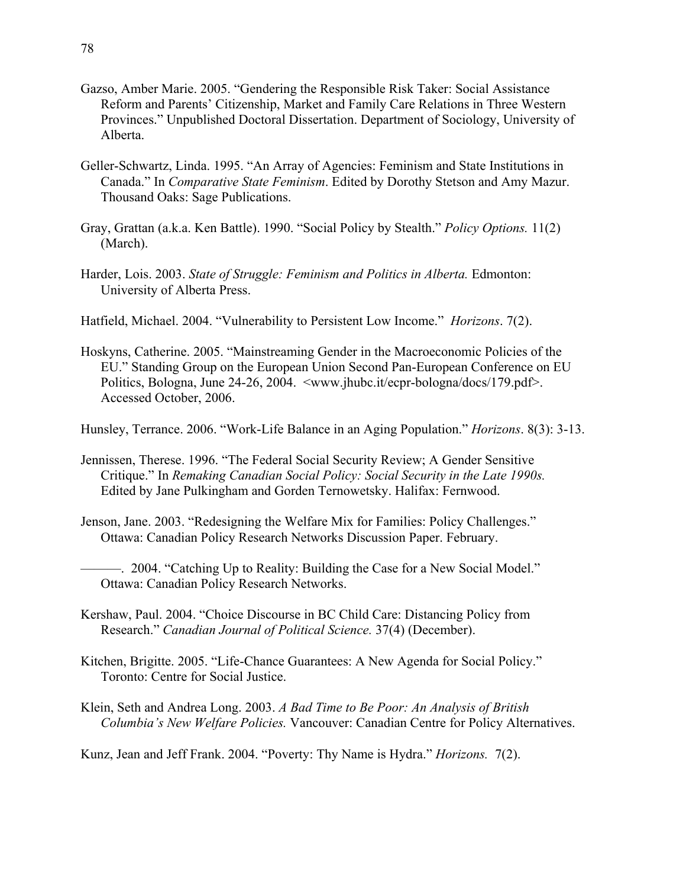- Gazso, Amber Marie. 2005. "Gendering the Responsible Risk Taker: Social Assistance Reform and Parents' Citizenship, Market and Family Care Relations in Three Western Provinces." Unpublished Doctoral Dissertation. Department of Sociology, University of Alberta.
- Geller-Schwartz, Linda. 1995. "An Array of Agencies: Feminism and State Institutions in Canada." In *Comparative State Feminism*. Edited by Dorothy Stetson and Amy Mazur. Thousand Oaks: Sage Publications.
- Gray, Grattan (a.k.a. Ken Battle). 1990. "Social Policy by Stealth." *Policy Options.* 11(2) (March).
- Harder, Lois. 2003. *State of Struggle: Feminism and Politics in Alberta.* Edmonton: University of Alberta Press.
- Hatfield, Michael. 2004. "Vulnerability to Persistent Low Income." *Horizons*. 7(2).
- Hoskyns, Catherine. 2005. "Mainstreaming Gender in the Macroeconomic Policies of the EU." Standing Group on the European Union Second Pan-European Conference on EU Politics, Bologna, June 24-26, 2004. <www.jhubc.it/ecpr-bologna/docs/179.pdf>. Accessed October, 2006.

Hunsley, Terrance. 2006. "Work-Life Balance in an Aging Population." *Horizons*. 8(3): 3-13.

- Jennissen, Therese. 1996. "The Federal Social Security Review; A Gender Sensitive Critique." In *Remaking Canadian Social Policy: Social Security in the Late 1990s.* Edited by Jane Pulkingham and Gorden Ternowetsky. Halifax: Fernwood.
- Jenson, Jane. 2003. "Redesigning the Welfare Mix for Families: Policy Challenges." Ottawa: Canadian Policy Research Networks Discussion Paper. February.
- ———. 2004. "Catching Up to Reality: Building the Case for a New Social Model." Ottawa: Canadian Policy Research Networks.
- Kershaw, Paul. 2004. "Choice Discourse in BC Child Care: Distancing Policy from Research." *Canadian Journal of Political Science.* 37(4) (December).
- Kitchen, Brigitte. 2005. "Life-Chance Guarantees: A New Agenda for Social Policy." Toronto: Centre for Social Justice.
- Klein, Seth and Andrea Long. 2003. *A Bad Time to Be Poor: An Analysis of British Columbia's New Welfare Policies.* Vancouver: Canadian Centre for Policy Alternatives.

Kunz, Jean and Jeff Frank. 2004. "Poverty: Thy Name is Hydra." *Horizons.* 7(2).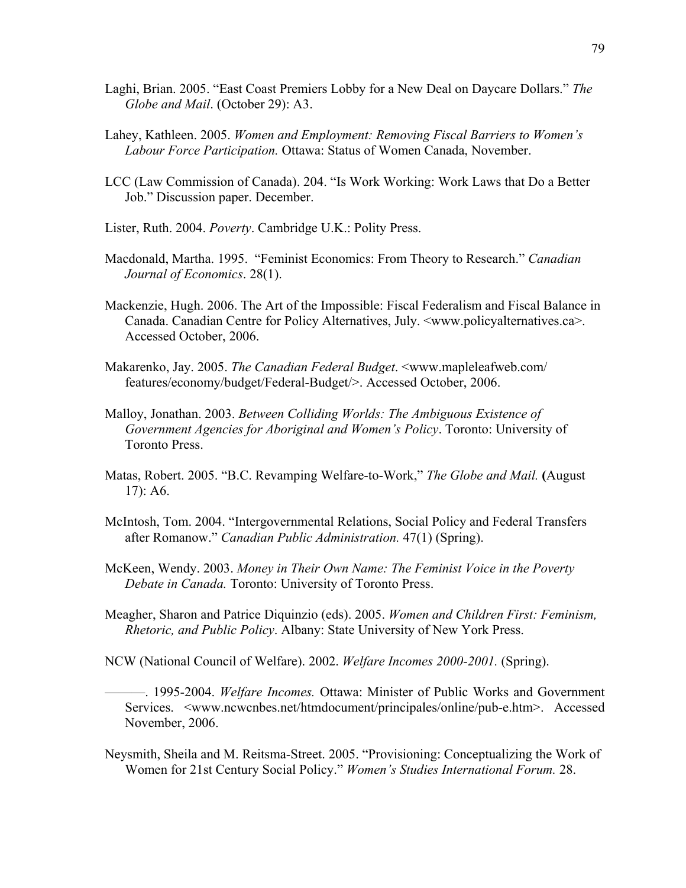- Laghi, Brian. 2005. "East Coast Premiers Lobby for a New Deal on Daycare Dollars." *The Globe and Mail*. (October 29): A3.
- Lahey, Kathleen. 2005. *Women and Employment: Removing Fiscal Barriers to Women's Labour Force Participation.* Ottawa: Status of Women Canada, November.
- LCC (Law Commission of Canada). 204. "Is Work Working: Work Laws that Do a Better Job." Discussion paper. December.
- Lister, Ruth. 2004. *Poverty*. Cambridge U.K.: Polity Press.
- Macdonald, Martha. 1995. "Feminist Economics: From Theory to Research." *Canadian Journal of Economics*. 28(1).
- Mackenzie, Hugh. 2006. The Art of the Impossible: Fiscal Federalism and Fiscal Balance in Canada. Canadian Centre for Policy Alternatives, July. <www.policyalternatives.ca>. Accessed October, 2006.
- Makarenko, Jay. 2005. *The Canadian Federal Budget*. <www.mapleleafweb.com/ features/economy/budget/Federal-Budget/>. Accessed October, 2006.
- Malloy, Jonathan. 2003. *Between Colliding Worlds: The Ambiguous Existence of Government Agencies for Aboriginal and Women's Policy*. Toronto: University of Toronto Press.
- Matas, Robert. 2005. "B.C. Revamping Welfare-to-Work," *The Globe and Mail.* **(**August 17): A6.
- McIntosh, Tom. 2004. "Intergovernmental Relations, Social Policy and Federal Transfers after Romanow." *Canadian Public Administration.* 47(1) (Spring).
- McKeen, Wendy. 2003. *Money in Their Own Name: The Feminist Voice in the Poverty Debate in Canada.* Toronto: University of Toronto Press.
- Meagher, Sharon and Patrice Diquinzio (eds). 2005. *Women and Children First: Feminism, Rhetoric, and Public Policy*. Albany: State University of New York Press.
- NCW (National Council of Welfare). 2002. *Welfare Incomes 2000-2001.* (Spring).
- ———. 1995-2004. *Welfare Incomes.* Ottawa: Minister of Public Works and Government Services. <www.ncwcnbes.net/htmdocument/principales/online/pub-e.htm>. Accessed November, 2006.
- Neysmith, Sheila and M. Reitsma-Street. 2005. "Provisioning: Conceptualizing the Work of Women for 21st Century Social Policy." *Women's Studies International Forum.* 28.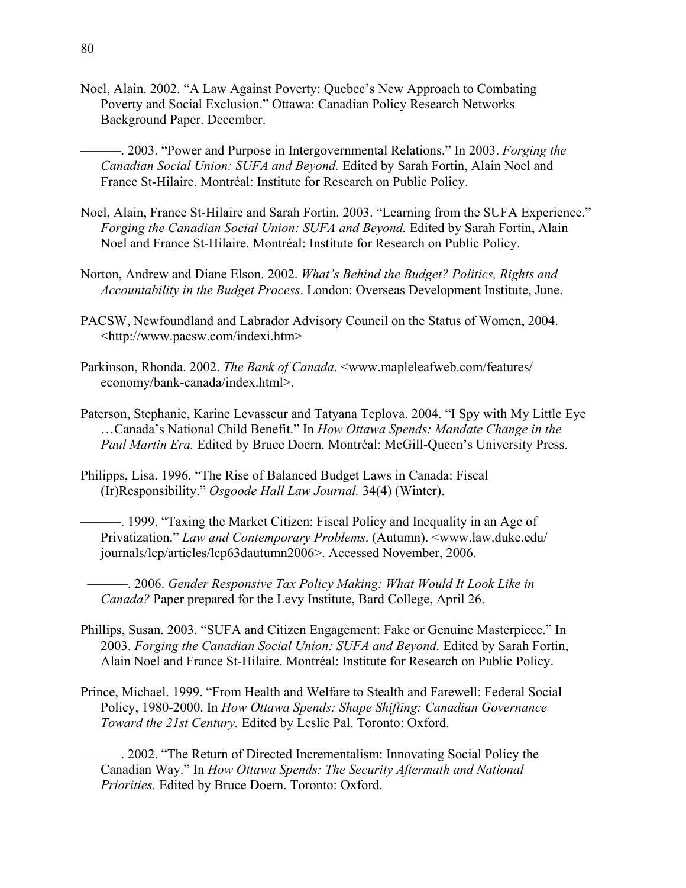- Noel, Alain. 2002. "A Law Against Poverty: Quebec's New Approach to Combating Poverty and Social Exclusion." Ottawa: Canadian Policy Research Networks Background Paper. December.
	- ———. 2003. "Power and Purpose in Intergovernmental Relations." In 2003. *Forging the Canadian Social Union: SUFA and Beyond.* Edited by Sarah Fortin, Alain Noel and France St-Hilaire. Montréal: Institute for Research on Public Policy.
- Noel, Alain, France St-Hilaire and Sarah Fortin. 2003. "Learning from the SUFA Experience." *Forging the Canadian Social Union: SUFA and Beyond.* Edited by Sarah Fortin, Alain Noel and France St-Hilaire. Montréal: Institute for Research on Public Policy.
- Norton, Andrew and Diane Elson. 2002. *What's Behind the Budget? Politics, Rights and Accountability in the Budget Process*. London: Overseas Development Institute, June.
- PACSW, Newfoundland and Labrador Advisory Council on the Status of Women, 2004. <http://www.pacsw.com/indexi.htm>
- Parkinson, Rhonda. 2002. *The Bank of Canada*. <www.mapleleafweb.com/features/ economy/bank-canada/index.html>.
- Paterson, Stephanie, Karine Levasseur and Tatyana Teplova. 2004. "I Spy with My Little Eye …Canada's National Child Benefit." In *How Ottawa Spends: Mandate Change in the Paul Martin Era.* Edited by Bruce Doern. Montréal: McGill-Queen's University Press.
- Philipps, Lisa. 1996. "The Rise of Balanced Budget Laws in Canada: Fiscal (Ir)Responsibility." *Osgoode Hall Law Journal.* 34(4) (Winter).
	- ———. 1999. "Taxing the Market Citizen: Fiscal Policy and Inequality in an Age of Privatization." *Law and Contemporary Problems*. (Autumn). <www.law.duke.edu/ journals/lcp/articles/lcp63dautumn2006>. Accessed November, 2006.

 ———. 2006. *Gender Responsive Tax Policy Making: What Would It Look Like in Canada?* Paper prepared for the Levy Institute, Bard College, April 26.

- Phillips, Susan. 2003. "SUFA and Citizen Engagement: Fake or Genuine Masterpiece." In 2003. *Forging the Canadian Social Union: SUFA and Beyond.* Edited by Sarah Fortin, Alain Noel and France St-Hilaire. Montréal: Institute for Research on Public Policy.
- Prince, Michael. 1999. "From Health and Welfare to Stealth and Farewell: Federal Social Policy, 1980-2000. In *How Ottawa Spends: Shape Shifting: Canadian Governance Toward the 21st Century.* Edited by Leslie Pal. Toronto: Oxford.
	- ———. 2002. "The Return of Directed Incrementalism: Innovating Social Policy the Canadian Way." In *How Ottawa Spends: The Security Aftermath and National Priorities.* Edited by Bruce Doern. Toronto: Oxford.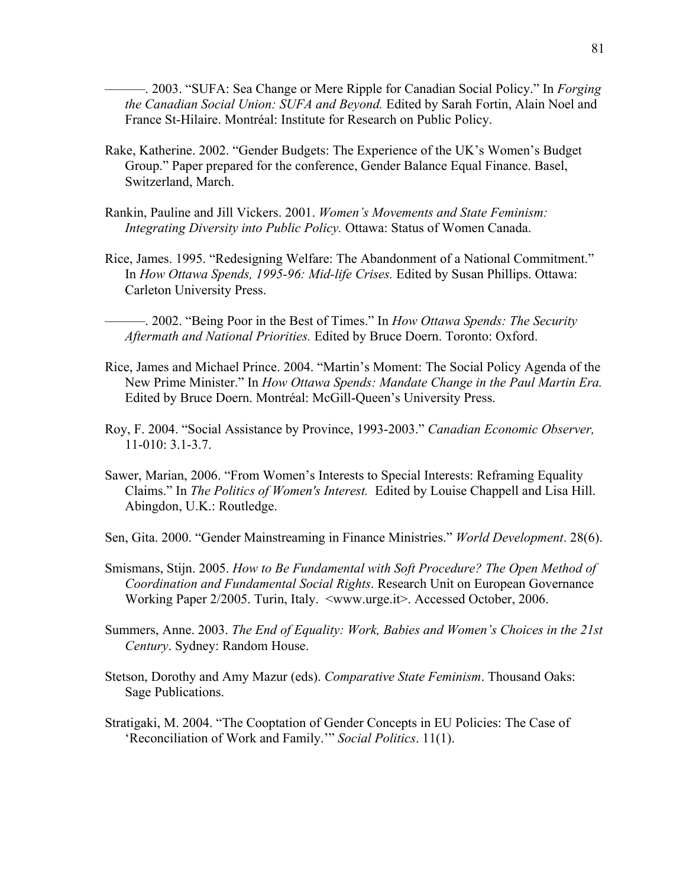———. 2003. "SUFA: Sea Change or Mere Ripple for Canadian Social Policy." In *Forging the Canadian Social Union: SUFA and Beyond.* Edited by Sarah Fortin, Alain Noel and France St-Hilaire. Montréal: Institute for Research on Public Policy.

- Rake, Katherine. 2002. "Gender Budgets: The Experience of the UK's Women's Budget Group." Paper prepared for the conference, Gender Balance Equal Finance. Basel, Switzerland, March.
- Rankin, Pauline and Jill Vickers. 2001. *Women's Movements and State Feminism: Integrating Diversity into Public Policy.* Ottawa: Status of Women Canada.
- Rice, James. 1995. "Redesigning Welfare: The Abandonment of a National Commitment." In *How Ottawa Spends, 1995-96: Mid-life Crises.* Edited by Susan Phillips. Ottawa: Carleton University Press.
- ———. 2002. "Being Poor in the Best of Times." In *How Ottawa Spends: The Security Aftermath and National Priorities.* Edited by Bruce Doern. Toronto: Oxford.
- Rice, James and Michael Prince. 2004. "Martin's Moment: The Social Policy Agenda of the New Prime Minister." In *How Ottawa Spends: Mandate Change in the Paul Martin Era.* Edited by Bruce Doern. Montréal: McGill-Queen's University Press.
- Roy, F. 2004. "Social Assistance by Province, 1993-2003." *Canadian Economic Observer,* 11-010: 3.1-3.7.
- Sawer, Marian, 2006. "From Women's Interests to Special Interests: Reframing Equality Claims." In *The Politics of Women's Interest.* Edited by Louise Chappell and Lisa Hill. Abingdon, U.K.: Routledge.

Sen, Gita. 2000. "Gender Mainstreaming in Finance Ministries." *World Development*. 28(6).

- Smismans, Stijn. 2005. *How to Be Fundamental with Soft Procedure? The Open Method of Coordination and Fundamental Social Rights*. Research Unit on European Governance Working Paper 2/2005. Turin, Italy. <www.urge.it>. Accessed October, 2006.
- Summers, Anne. 2003. *The End of Equality: Work, Babies and Women's Choices in the 21st Century*. Sydney: Random House.
- Stetson, Dorothy and Amy Mazur (eds). *Comparative State Feminism*. Thousand Oaks: Sage Publications.
- Stratigaki, M. 2004. "The Cooptation of Gender Concepts in EU Policies: The Case of 'Reconciliation of Work and Family.'" *Social Politics*. 11(1).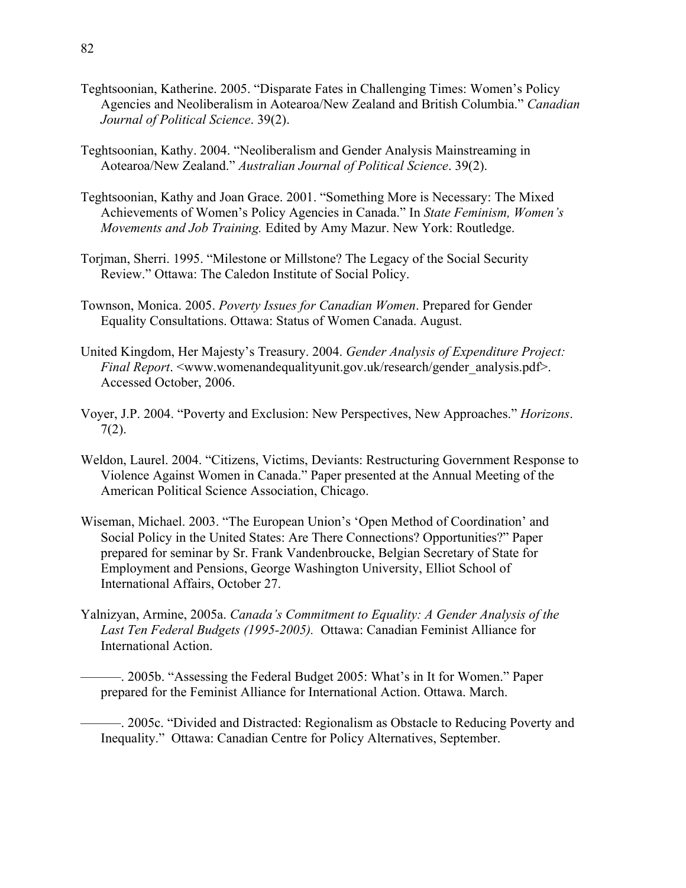- Teghtsoonian, Katherine. 2005. "Disparate Fates in Challenging Times: Women's Policy Agencies and Neoliberalism in Aotearoa/New Zealand and British Columbia." *Canadian Journal of Political Science*. 39(2).
- Teghtsoonian, Kathy. 2004. "Neoliberalism and Gender Analysis Mainstreaming in Aotearoa/New Zealand." *Australian Journal of Political Science*. 39(2).
- Teghtsoonian, Kathy and Joan Grace. 2001. "Something More is Necessary: The Mixed Achievements of Women's Policy Agencies in Canada." In *State Feminism, Women's Movements and Job Training.* Edited by Amy Mazur. New York: Routledge.
- Torjman, Sherri. 1995. "Milestone or Millstone? The Legacy of the Social Security Review." Ottawa: The Caledon Institute of Social Policy.
- Townson, Monica. 2005. *Poverty Issues for Canadian Women*. Prepared for Gender Equality Consultations. Ottawa: Status of Women Canada. August.
- United Kingdom, Her Majesty's Treasury. 2004. *Gender Analysis of Expenditure Project: Final Report*. <www.womenandequalityunit.gov.uk/research/gender\_analysis.pdf>. Accessed October, 2006.
- Voyer, J.P. 2004. "Poverty and Exclusion: New Perspectives, New Approaches." *Horizons*. 7(2).
- Weldon, Laurel. 2004. "Citizens, Victims, Deviants: Restructuring Government Response to Violence Against Women in Canada." Paper presented at the Annual Meeting of the American Political Science Association, Chicago.
- Wiseman, Michael. 2003. "The European Union's 'Open Method of Coordination' and Social Policy in the United States: Are There Connections? Opportunities?" Paper prepared for seminar by Sr. Frank Vandenbroucke, Belgian Secretary of State for Employment and Pensions, George Washington University, Elliot School of International Affairs, October 27.
- Yalnizyan, Armine, 2005a. *Canada's Commitment to Equality: A Gender Analysis of the Last Ten Federal Budgets (1995-2005).*Ottawa: Canadian Feminist Alliance for International Action.
	- ———. 2005b. "Assessing the Federal Budget 2005: What's in It for Women." Paper prepared for the Feminist Alliance for International Action. Ottawa. March.
	- ———. 2005c. "Divided and Distracted: Regionalism as Obstacle to Reducing Poverty and Inequality." Ottawa: Canadian Centre for Policy Alternatives, September.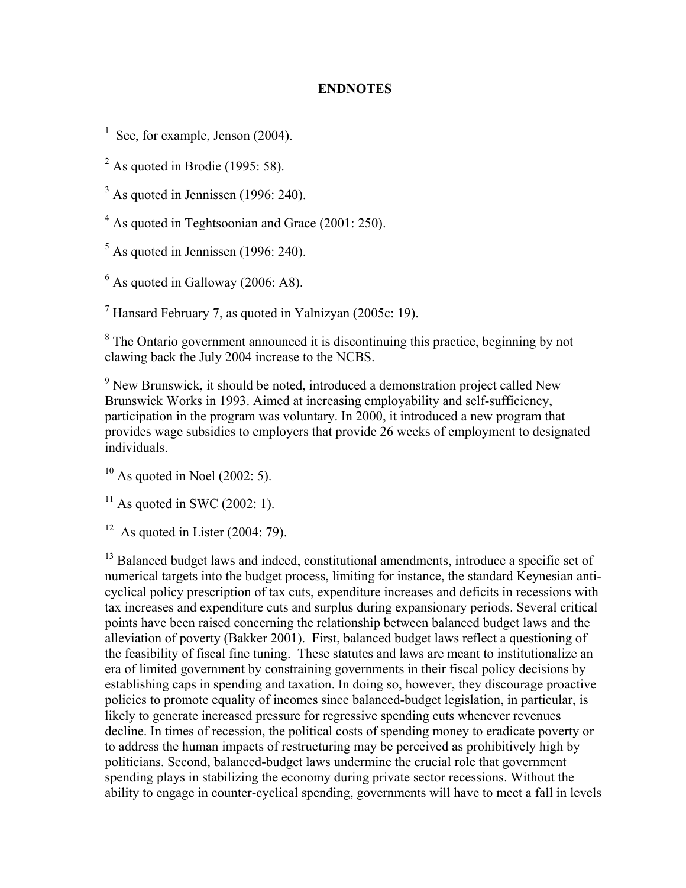#### **ENDNOTES**

 $<sup>1</sup>$  See, for example, Jenson (2004).</sup>

 $2^{2}$  As quoted in Brodie (1995: 58).

 $3$  As quoted in Jennissen (1996: 240).

 $4$  As quoted in Teghtsoonian and Grace (2001: 250).

 $<sup>5</sup>$  As quoted in Jennissen (1996: 240).</sup>

 $<sup>6</sup>$  As quoted in Galloway (2006: A8).</sup>

<sup>7</sup> Hansard February 7, as quoted in Yalnizyan (2005c: 19).

<sup>8</sup> The Ontario government announced it is discontinuing this practice, beginning by not clawing back the July 2004 increase to the NCBS.

 $9$  New Brunswick, it should be noted, introduced a demonstration project called New Brunswick Works in 1993. Aimed at increasing employability and self-sufficiency, participation in the program was voluntary. In 2000, it introduced a new program that provides wage subsidies to employers that provide 26 weeks of employment to designated individuals.

 $10$  As quoted in Noel (2002: 5).

 $11$  As quoted in SWC (2002: 1).

<sup>12</sup> As quoted in Lister  $(2004:79)$ .

<sup>13</sup> Balanced budget laws and indeed, constitutional amendments, introduce a specific set of numerical targets into the budget process, limiting for instance, the standard Keynesian anticyclical policy prescription of tax cuts, expenditure increases and deficits in recessions with tax increases and expenditure cuts and surplus during expansionary periods. Several critical points have been raised concerning the relationship between balanced budget laws and the alleviation of poverty (Bakker 2001). First, balanced budget laws reflect a questioning of the feasibility of fiscal fine tuning. These statutes and laws are meant to institutionalize an era of limited government by constraining governments in their fiscal policy decisions by establishing caps in spending and taxation. In doing so, however, they discourage proactive policies to promote equality of incomes since balanced-budget legislation, in particular, is likely to generate increased pressure for regressive spending cuts whenever revenues decline. In times of recession, the political costs of spending money to eradicate poverty or to address the human impacts of restructuring may be perceived as prohibitively high by politicians. Second, balanced-budget laws undermine the crucial role that government spending plays in stabilizing the economy during private sector recessions. Without the ability to engage in counter-cyclical spending, governments will have to meet a fall in levels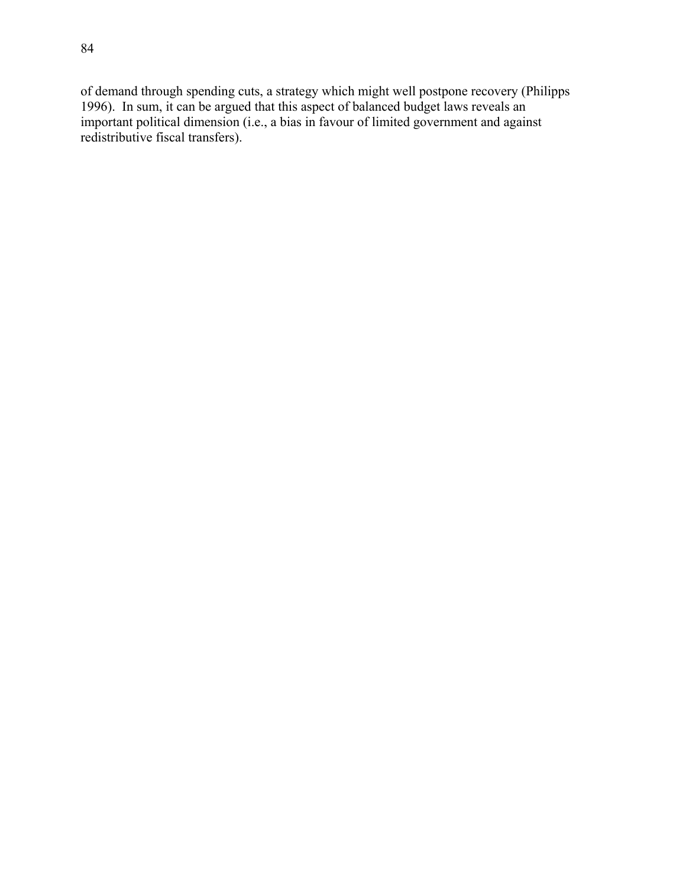of demand through spending cuts, a strategy which might well postpone recovery (Philipps 1996). In sum, it can be argued that this aspect of balanced budget laws reveals an important political dimension (i.e., a bias in favour of limited government and against redistributive fiscal transfers).